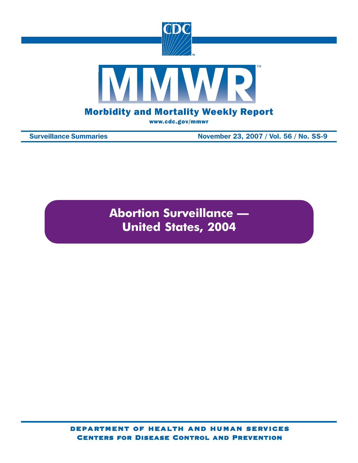

Surveillance Summaries November 23, 2007 / Vol. 56 / No. SS-9

**Abortion Surveillance — United States, 2004**

department of health and human services Centers for Disease Control and Prevention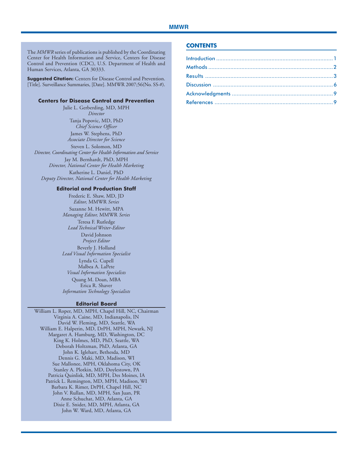The *MMWR* series of publications is published by the Coordinating Center for Health Information and Service, Centers for Disease Control and Prevention (CDC), U.S. Department of Health and Human Services, Atlanta, GA 30333.

**Suggested Citation:** Centers for Disease Control and Prevention. [Title]. Surveillance Summaries, [Date]. MMWR 2007;56(No. SS-#).

### **Centers for Disease Control and Prevention**

Julie L. Gerberding, MD, MPH *Director*

Tanja Popovic, MD, PhD *Chief Science Officer* James W. Stephens, PhD *Associate Director for Science*

Steven L. Solomon, MD *Director, Coordinating Center for Health Information and Service* Jay M. Bernhardt, PhD, MPH *Director, National Center for Health Marketing* Katherine L. Daniel, PhD *Deputy Director, National Center for Health Marketing*

#### **Editorial and Production Staff**

Frederic E. Shaw, MD, JD *Editor,* MMWR *Series*

Suzanne M. Hewitt, MPA *Managing Editor,* MMWR *Series* Teresa F. Rutledge *Lead Technical Writer-Editor*

> David Johnson *Project Editor*

Beverly J. Holland *Lead Visual Information Specialist*

Lynda G. Cupell Malbea A. LaPete *Visual Information Specialists*

Quang M. Doan, MBA Erica R. Shaver *Information Technology Specialists*

#### **Editorial Board**

William L. Roper, MD, MPH, Chapel Hill, NC, Chairman Virginia A. Caine, MD, Indianapolis, IN David W. Fleming, MD, Seattle, WA William E. Halperin, MD, DrPH, MPH, Newark, NJ Margaret A. Hamburg, MD, Washington, DC King K. Holmes, MD, PhD, Seattle, WA Deborah Holtzman, PhD, Atlanta, GA John K. Iglehart, Bethesda, MD Dennis G. Maki, MD, Madison, WI Sue Mallonee, MPH, Oklahoma City, OK Stanley A. Plotkin, MD, Doylestown, PA Patricia Quinlisk, MD, MPH, Des Moines, IA Patrick L. Remington, MD, MPH, Madison, WI Barbara K. Rimer, DrPH, Chapel Hill, NC John V. Rullan, MD, MPH, San Juan, PR Anne Schuchat, MD, Atlanta, GA Dixie E. Snider, MD, MPH, Atlanta, GA John W. Ward, MD, Atlanta, GA

### **CONTENTS**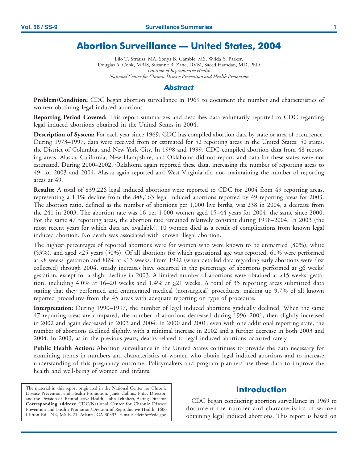# <span id="page-2-0"></span>**Abortion Surveillance — United States, 2004**

Lilo T. Strauss, MA, Sonya B. Gamble, MS, Wilda Y. Parker, Douglas A. Cook, MBIS, Suzanne B. Zane, DVM, Saeed Hamdan, MD, PhD *Division of Reproductive Health National Center for Chronic Disease Prevention and Health Promotion*

### *Abstract*

**Problem/Condition:** CDC began abortion surveillance in 1969 to document the number and characteristics of women obtaining legal induced abortions.

**Reporting Period Covered:** This report summarizes and describes data voluntarily reported to CDC regarding legal induced abortions obtained in the United States in 2004.

**Description of System:** For each year since 1969, CDC has compiled abortion data by state or area of occurrence. During 1973–1997, data were received from or estimated for 52 reporting areas in the United States: 50 states, the District of Columbia, and New York City. In 1998 and 1999, CDC compiled abortion data from 48 reporting areas. Alaska, California, New Hampshire, and Oklahoma did not report, and data for these states were not estimated. During 2000–2002, Oklahoma again reported these data, increasing the number of reporting areas to 49; for 2003 and 2004, Alaska again reported and West Virginia did not, maintaining the number of reporting areas at 49.

**Results:** A total of 839,226 legal induced abortions were reported to CDC for 2004 from 49 reporting areas, representing a 1.1% decline from the 848,163 legal induced abortions reported by 49 reporting areas for 2003. The abortion ratio, defined as the number of abortions per 1,000 live births, was 238 in 2004, a decrease from the 241 in 2003. The abortion rate was 16 per 1,000 women aged 15–44 years for 2004, the same since 2000. For the same 47 reporting areas, the abortion rate remained relatively constant during 1998–2004. In 2003 (the most recent years for which data are available), 10 women died as a result of complications from known legal induced abortion. No death was associated with known illegal abortion.

The highest percentages of reported abortions were for women who were known to be unmarried (80%), white (53%), and aged <25 years (50%). Of all abortions for which gestational age was reported, 61% were performed at <8 weeks' gestation and 88% at <13 weeks. From 1992 (when detailed data regarding early abortions were first collected) through 2004, steady increases have occurred in the percentage of abortions performed at  $\leq 6$  weeks' gestation, except for a slight decline in 2003. A limited number of abortions were obtained at >15 weeks' gestation, including 4.0% at 16–20 weeks and 1.4% at  $\geq$  21 weeks. A total of 35 reporting areas submitted data stating that they performed and enumerated medical (nonsurgical) procedures, making up 9.7% of all known reported procedures from the 45 areas with adequate reporting on type of procedure.

**Interpretation:** During 1990–1997, the number of legal induced abortions gradually declined. When the same 47 reporting areas are compared, the number of abortions decreased during 1996–2001, then slightly increased in 2002 and again decreased in 2003 and 2004. In 2000 and 2001, even with one additional reporting state, the number of abortions declined slightly, with a minimal increase in 2002 and a further decrease in both 2003 and 2004. In 2003, as in the previous years, deaths related to legal induced abortions occurred rarely.

**Public Health Action:** Abortion surveillance in the United States continues to provide the data necessary for examining trends in numbers and characteristics of women who obtain legal induced abortions and to increase understanding of this pregnancy outcome. Policymakers and program planners use these data to improve the health and well-being of women and infants.

The material in this report originated in the National Center for Chronic Disease Prevention and Health Promotion, Janet Collins, PhD, Director; and the Division of Reproductive Health, John Lehnherr, Acting Director. **Corresponding address:** CDC/National Center for Chronic Disease Prevention and Health Promotion/Division of Reproductive Health, 1600 Clifton Rd., NE, MS K-21, Atlanta, GA 30333. E-mail: cdcinfo@cdc.gov.

# **Introduction**

CDC began conducting abortion surveillance in 1969 to document the number and characteristics of women obtaining legal induced abortions. This report is based on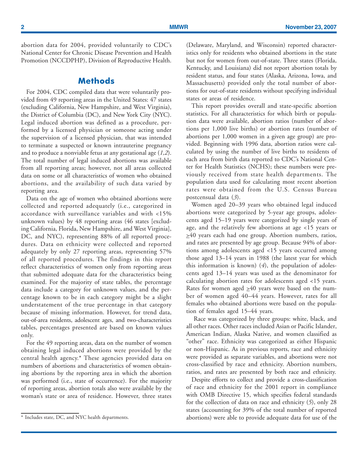<span id="page-3-0"></span>abortion data for 2004, provided voluntarily to CDC's National Center for Chronic Disease Prevention and Health Promotion (NCCDPHP), Division of Reproductive Health.

# **Methods**

For 2004, CDC compiled data that were voluntarily provided from 49 reporting areas in the United States: 47 states (excluding California, New Hampshire, and West Virginia), the District of Columbia (DC), and New York City (NYC). Legal induced abortion was defined as a procedure, performed by a licensed physician or someone acting under the supervision of a licensed physician, that was intended to terminate a suspected or known intrauterine pregnancy and to produce a nonviable fetus at any gestational age (*1,2*). The total number of legal induced abortions was available from all reporting areas; however, not all areas collected data on some or all characteristics of women who obtained abortions, and the availability of such data varied by reporting area.

Data on the age of women who obtained abortions were collected and reported adequately (i.e., categorized in accordance with surveillance variables and with <15% unknown values) by 48 reporting areas (46 states [excluding California, Florida, New Hampshire, and West Virginia], DC, and NYC), representing 88% of all reported procedures. Data on ethnicity were collected and reported adequately by only 27 reporting areas, representing 57% of all reported procedures. The findings in this report reflect characteristics of women only from reporting areas that submitted adequate data for the characteristics being examined. For the majority of state tables, the percentage data include a category for unknown values, and the percentage known to be in each category might be a slight understatement of the true percentage in that category because of missing information. However, for trend data, out-of-area residents, adolescent ages, and two-characteristics tables, percentages presented are based on known values only.

For the 49 reporting areas, data on the number of women obtaining legal induced abortions were provided by the central health agency.\* These agencies provided data on numbers of abortions and characteristics of women obtaining abortions by the reporting area in which the abortion was performed (i.e., state of occurrence). For the majority of reporting areas, abortion totals also were available by the woman's state or area of residence. However, three states (Delaware, Maryland, and Wisconsin) reported characteristics only for residents who obtained abortions in the state but not for women from out-of-state. Three states (Florida, Kentucky, and Louisiana) did not report abortion totals by resident status, and four states (Alaska, Arizona, Iowa, and Massachusetts) provided only the total number of abortions for out-of-state residents without specifying individual states or areas of residence.

This report provides overall and state-specific abortion statistics. For all characteristics for which birth or population data were available, abortion ratios (number of abortions per 1,000 live births) or abortion rates (number of abortions per 1,000 women in a given age group) are provided. Beginning with 1996 data, abortion ratios were calculated by using the number of live births to residents of each area from birth data reported to CDC's National Center for Health Statistics (NCHS); these numbers were previously received from state health departments. The population data used for calculating most recent abortion rates were obtained from the U.S. Census Bureau postcensual data (*3*).

Women aged 20–39 years who obtained legal induced abortions were categorized by 5-year age groups, adolescents aged 15–19 years were categorized by single years of age, and the relatively few abortions at age <15 years or  $\geq$ 40 years each had one group. Abortion numbers, ratios, and rates are presented by age group. Because 94% of abortions among adolescents aged <15 years occurred among those aged 13–14 years in 1988 (the latest year for which this information is known) (*4*), the population of adolescents aged 13–14 years was used as the denominator for calculating abortion rates for adolescents aged <15 years. Rates for women aged  $\geq 40$  years were based on the number of women aged 40–44 years. However, rates for all females who obtained abortions were based on the population of females aged 15–44 years.

 Race was categorized by three groups: white, black, and all other races. Other races included Asian or Pacific Islander, American Indian, Alaska Native, and women classified as "other" race. Ethnicity was categorized as either Hispanic or non-Hispanic. As in previous reports, race and ethnicity were provided as separate variables, and abortions were not cross-classified by race and ethnicity. Abortion numbers, ratios, and rates are presented by both race and ethnicity.

Despite efforts to collect and provide a cross-classification of race and ethnicity for the 2001 report in compliance with OMB Directive 15, which specifies federal standards for the collection of data on race and ethnicity (*5*), only 28 states (accounting for 39% of the total number of reported \* Includes state, DC, and NYC health departments. abortions) were able to provide adequate data for use of the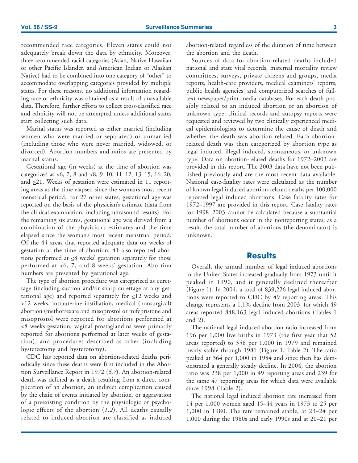<span id="page-4-0"></span>recommended race categories. Eleven states could not adequately break down the data by ethnicity. Moreover, three recommended racial categories (Asian, Native Hawaiian or other Pacific Islander, and American Indian or Alaskan Native) had to be combined into one category of "other" to accommodate overlapping categories provided by multiple states. For these reasons, no additional information regarding race or ethnicity was obtained as a result of unavailable data. Therefore, further efforts to collect cross-classified race and ethnicity will not be attempted unless additional states start collecting such data.

Marital status was reported as either married (including women who were married or separated) or unmarried (including those who were never married, widowed, or divorced). Abortion numbers and ratios are presented by marital status.

Gestational age (in weeks) at the time of abortion was categorized as  $\leq 6$ , 7, 8 and  $\leq 8$ , 9-10, 11-12, 13-15, 16-20, and  $\geq$ 21. Weeks of gestation were estimated in 11 reporting areas as the time elapsed since the woman's most recent menstrual period. For 27 other states, gestational age was reported on the basis of the physician's estimate (data from the clinical examination, including ultrasound results). For the remaining six states, gestational age was derived from a combination of the physician's estimates and the time elapsed since the woman's most recent menstrual period. Of the 44 areas that reported adequate data on weeks of gestation at the time of abortion, 41 also reported abortions performed at  $\leq 8$  weeks' gestation separately for those performed at  $\leq 6$ , 7, and 8 weeks' gestation. Abortion numbers are presented by gestational age.

The type of abortion procedure was categorized as curettage (including suction and/or sharp curettage at any gestational age) and reported separately for  $\leq$ 12 weeks and >12 weeks, intrauterine instillation, medical (nonsurgical) abortion (methotrexate and misoprostol or mifepristone and misoprostol were reported for abortions performed at  $\leq$ 8 weeks gestation; vaginal prostaglandins were primarily reported for abortions performed at later weeks of gestation), and procedures described as other (including hysterectomy and hysterotomy).

CDC has reported data on abortion-related deaths periodically since these deaths were first included in the Abortion Surveillance Report in 1972 (*6,7*). An abortion-related death was defined as a death resulting from a direct complication of an abortion, an indirect complication caused by the chain of events initiated by abortion, or aggravation of a preexisting condition by the physiologic or psychologic effects of the abortion (*1,2*). All deaths causally related to induced abortion are classified as induced abortion-related regardless of the duration of time between the abortion and the death.

Sources of data for abortion-related deaths included national and state vital records, maternal mortality review committees, surveys, private citizens and groups, media reports, health-care providers, medical examiners' reports, public health agencies, and computerized searches of fulltext newspaper/print media databases. For each death possibly related to an induced abortion or an abortion of unknown type, clinical records and autopsy reports were requested and reviewed by two clinically experienced medical epidemiologists to determine the cause of death and whether the death was abortion related. Each abortionrelated death was then categorized by abortion type as legal induced, illegal induced, spontaneous, or unknown type. Data on abortion-related deaths for 1972–2003 are provided in this report. The 2003 data have not been published previously and are the most recent data available. National case-fatality rates were calculated as the number of known legal induced abortion-related deaths per 100,000 reported legal induced abortions. Case fatality rates for 1972–1997 are provided in this report. Case fatality rates for 1998–2003 cannot be calculated because a substantial number of abortions occur in the nonreporting states; as a result, the total number of abortions (the denominator) is unknown.

# **Results**

Overall, the annual number of legal induced abortions in the United States increased gradually from 1973 until it peaked in 1990, and it generally declined thereafter (Figure 1). In 2004, a total of 839,226 legal induced abortions were reported to CDC by 49 reporting areas. This change represents a 1.1% decline from 2003, for which 49 areas reported 848,163 legal induced abortions (Tables 1 and 2).

The national legal induced abortion ratio increased from 196 per 1,000 live births in 1973 (the first year that 52 areas reported) to 358 per 1,000 in 1979 and remained nearly stable through 1981 (Figure 1; Table 2). The ratio peaked at 364 per 1,000 in 1984 and since then has demonstrated a generally steady decline. In 2004, the abortion ratio was 238 per 1,000 in 49 reporting areas and 239 for the same 47 reporting areas for which data were available since 1998 (Table 2).

The national legal induced abortion rate increased from 14 per 1,000 women aged 15–44 years in 1973 to 25 per 1,000 in 1980. The rate remained stable, at 23–24 per 1,000 during the 1980s and early 1990s and at 20–21 per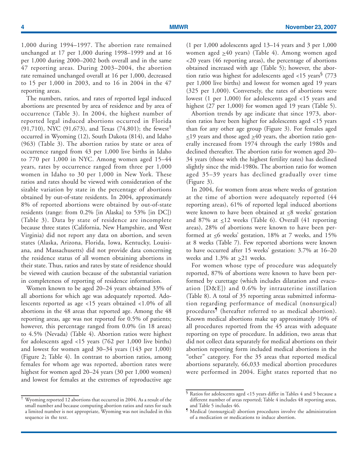1,000 during 1994–1997. The abortion rate remained unchanged at 17 per 1,000 during 1998–1999 and at 16 per 1,000 during 2000–2002 both overall and in the same 47 reporting areas. During 2003–2004, the abortion rate remained unchanged overall at 16 per 1,000, decreased to 15 per 1,000 in 2003, and to 16 in 2004 in the 47 reporting areas.

The numbers, ratios, and rates of reported legal induced abortions are presented by area of residence and by area of occurrence (Table 3). In 2004, the highest number of reported legal induced abortions occurred in Florida (91,710), NYC (91,673), and Texas (74,801); the fewest<sup>†</sup> occurred in Wyoming (12), South Dakota (814), and Idaho (963) (Table 3). The abortion ratios by state or area of occurrence ranged from 43 per 1,000 live births in Idaho to 770 per 1,000 in NYC. Among women aged 15–44 years, rates by occurrence ranged from three per 1,000 women in Idaho to 30 per 1,000 in New York. These ratios and rates should be viewed with consideration of the sizable variation by state in the percentage of abortions obtained by out-of-state residents. In 2004, approximately 8% of reported abortions were obtained by out-of-state residents (range: from 0.2% [in Alaska] to 53% [in DC]) (Table 3). Data by state of residence are incomplete because three states (California, New Hampshire, and West Virginia) did not report any data on abortion, and seven states (Alaska, Arizona, Florida, Iowa, Kentucky, Louisiana, and Massachusetts) did not provide data concerning the residence status of all women obtaining abortions in their state. Thus, ratios and rates by state of residence should be viewed with caution because of the substantial variation in completeness of reporting of residence information.

Women known to be aged 20–24 years obtained 33% of all abortions for which age was adequately reported. Adolescents reported as age <15 years obtained <1.0% of all abortions in the 48 areas that reported age. Among the 48 reporting areas, age was not reported for 0.5% of patients; however, this percentage ranged from 0.0% (in 18 areas) to 4.5% (Nevada) (Table 4). Abortion ratios were highest for adolescents aged <15 years (762 per 1,000 live births) and lowest for women aged 30–34 years (143 per 1,000) (Figure 2; Table 4). In contrast to abortion ratios, among females for whom age was reported, abortion rates were highest for women aged 20–24 years (30 per 1,000 women) and lowest for females at the extremes of reproductive age

(1 per 1,000 adolescents aged 13–14 years and 3 per 1,000 women aged  $\geq 40$  years) (Table 4). Among women aged <20 years (46 reporting areas), the percentage of abortions obtained increased with age (Table 5); however, the abortion ratio was highest for adolescents aged <15 years<sup>§</sup> (773) per 1,000 live births) and lowest for women aged 19 years (325 per 1,000). Conversely, the rates of abortions were lowest (1 per 1,000) for adolescents aged <15 years and highest (27 per 1,000) for women aged 19 years (Table 5).

Abortion trends by age indicate that since 1973, abortion ratios have been higher for adolescents aged <15 years than for any other age group (Figure 3). For females aged  $\leq$ 19 years and those aged  $\geq$ 40 years, the abortion ratio generally increased from 1974 through the early 1980s and declined thereafter. The abortion ratio for women aged 20– 34 years (those with the highest fertility rates) has declined slightly since the mid-1980s. The abortion ratio for women aged 35–39 years has declined gradually over time (Figure 3).

In 2004, for women from areas where weeks of gestation at the time of abortion were adequately reported (44 reporting areas), 61% of reported legal induced abortions were known to have been obtained at  $\leq 8$  weeks' gestation and 87% at  $\leq$ 12 weeks (Table 6). Overall (41 reporting areas), 28% of abortions were known to have been performed at  $\leq$ 6 weeks' gestation, 18% at 7 weeks, and 15% at 8 weeks (Table 7). Few reported abortions were known to have occurred after 15 weeks' gestation: 3.7% at 16–20 weeks and 1.3% at >21 weeks.

For women whose type of procedure was adequately reported, 87% of abortions were known to have been performed by curettage (which includes dilatation and evacuation [D&E]) and 0.6% by intrauterine instillation (Table 8). A total of 35 reporting areas submitted information regarding performance of medical (nonsurgical) procedures¶ (hereafter referred to as medical abortion). Known medical abortions make up approximately 10% of all procedures reported from the 45 areas with adequate reporting on type of procedure. In addition, two areas that did not collect data separately for medical abortions on their abortion reporting form included medical abortions in the "other" category. For the 35 areas that reported medical abortions separately, 66,033 medical abortion procedures were performed in 2004. Eight states reported that no

<sup>†</sup> Wyoming reported 12 abortions that occurred in 2004. As a result of the small number and because computing abortion ratios and rates for such a limited number is not appropriate, Wyoming was not included in this sequence in the text.

<sup>§</sup> Ratios for adolescents aged <15 years differ in Tables 4 and 5 because a different number of areas reported; Table 4 includes 48 reporting areas, and Table 5 includes 46.

<sup>¶</sup> Medical (nonsurgical) abortion procedures involve the administration of a medication or medications to induce abortion.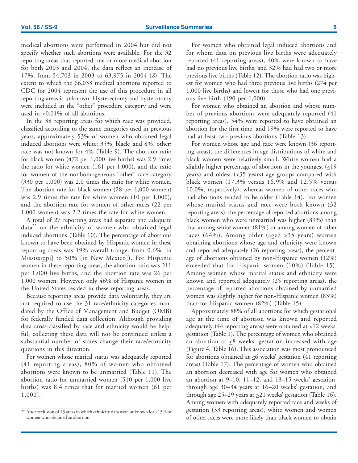medical abortions were performed in 2004 but did not specify whether such abortions were available. For the 32 reporting areas that reported one or more medical abortion for both 2003 and 2004, the data reflect an increase of 17%, from 54,703 in 2003 to 63,975 in 2004 (*8*). The extent to which the 66,033 medical abortions reported to CDC for 2004 represent the use of this procedure in all reporting areas is unknown. Hysterectomy and hysterotomy were included in the "other" procedure category and were used in <0.01% of all abortions.

In the 38 reporting areas for which race was provided, classified according to the same categories used in previous years, approximately 53% of women who obtained legal induced abortions were white; 35%, black; and 8%, other; race was not known for 4% (Table 9). The abortion ratio for black women (472 per 1,000 live births) was 2.9 times the ratio for white women (161 per 1,000), and the ratio for women of the nonhomogeneous "other" race category (330 per 1,000) was 2.0 times the ratio for white women. The abortion rate for black women (28 per 1,000 women) was 2.9 times the rate for white women (10 per 1,000), and the abortion rate for women of other races (22 per 1,000 women) was 2.2 times the rate for white women.

A total of 27 reporting areas had separate and adequate data<sup>\*\*</sup> on the ethnicity of women who obtained legal induced abortions (Table 10). The percentage of abortions known to have been obtained by Hispanic women in these reporting areas was 19% overall (range: from 0.6% [in Mississippi] to 50% [in New Mexico]). For Hispanic women in these reporting areas, the abortion ratio was 211 per 1,000 live births, and the abortion rate was 26 per 1,000 women. However, only 46% of Hispanic women in the United States resided in these reporting areas.

Because reporting areas provide data voluntarily, they are not required to use the 31 race/ethnicity categories mandated by the Office of Management and Budget (OMB) for federally funded data collection. Although providing data cross-classified by race and ethnicity would be helpful, collecting these data will not be continued unless a substantial number of states change their race/ethnicity questions in this direction.

For women whose marital status was adequately reported (41 reporting areas), 80% of women who obtained abortions were known to be unmarried (Table 11). The abortion ratio for unmarried women (510 per 1,000 live births) was 8.4 times that for married women (61 per 1,000).

For women who obtained legal induced abortions and for whom data on previous live births were adequately reported (41 reporting areas), 40% were known to have had no previous live births, and 32% had had two or more previous live births (Table 12). The abortion ratio was highest for women who had three previous live births (274 per 1,000 live births) and lowest for those who had one previous live birth (190 per 1,000).

For women who obtained an abortion and whose number of previous abortions were adequately reported (41 reporting areas), 54% were reported to have obtained an abortion for the first time, and 19% were reported to have had at least two previous abortions (Table 13).

For women whose age and race were known (36 reporting areas), the differences in age distributions of white and black women were relatively small. White women had a slightly higher percentage of abortions in the youngest  $(≤19)$ years) and oldest ( $\geq$ 35 years) age groups compared with black women (17.3% versus 16.9% and 12.5% versus 10.0%, respectively), whereas women of other races who had abortions tended to be older (Table 14). For women whose marital status and race were both known (32 reporting areas), the percentage of reported abortions among black women who were unmarried was higher (89%) than that among white women (81%) or among women of other races (64%). Among older (aged >35 years) women obtaining abortions whose age and ethnicity were known and reported adequately (26 reporting areas), the percentage of abortions obtained by non-Hispanic women (12%) exceeded that for Hispanic women (10%) (Table 15). Among women whose marital status and ethnicity were known and reported adequately (25 reporting areas), the percentage of reported abortions obtained by unmarried women was slightly higher for non-Hispanic women (83%) than for Hispanic women (82%) (Table 15).

Approximately 88% of all abortions for which gestational age at the time of abortion was known and reported adequately (44 reporting areas) were obtained at  $\leq$ 12 weeks' gestation (Table 1). The percentage of women who obtained an abortion at  $\leq 8$  weeks' gestation increased with age (Figure 4; Table 16). This association was most pronounced for abortions obtained at  $\leq$ 6 weeks' gestation (41 reporting areas) (Table 17). The percentage of women who obtained an abortion decreased with age for women who obtained an abortion at 9–10, 11–12, and 13–15 weeks' gestation, through age 30–34 years at 16–20 weeks' gestation, and through age 25–29 years at  $\geq$ 21 weeks' gestation (Table 16). Among women with adequately reported race and weeks of gestation (33 reporting areas), white women and women of other races were more likely than black women to obtain

<sup>\*\*</sup> After exclusion of 13 areas in which ethnicity data were unknown for >15% of women who obtained an abortion.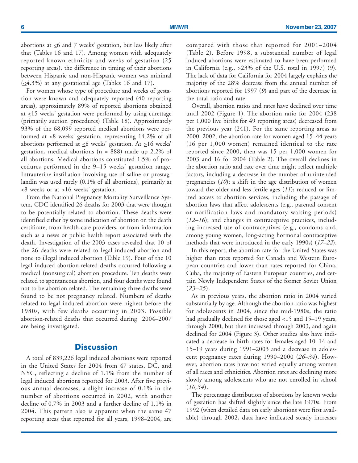<span id="page-7-0"></span>abortions at  $\leq 6$  and 7 weeks' gestation, but less likely after that (Tables 16 and 17). Among women with adequately reported known ethnicity and weeks of gestation (25 reporting areas), the difference in timing of their abortions between Hispanic and non-Hispanic women was minimal  $(\leq 4.3\%)$  at any gestational age (Tables 16 and 17).

For women whose type of procedure and weeks of gestation were known and adequately reported (40 reporting areas), approximately 89% of reported abortions obtained at  $\leq$ 15 weeks' gestation were performed by using curettage (primarily suction procedures) (Table 18). Approximately 93% of the 68,099 reported medical abortions were performed at  $\leq$ 8 weeks' gestation, representing 14.2% of all abortions performed at  $\leq 8$  weeks' gestation. At  $\geq 16$  weeks' gestation, medical abortions (n = 888) made up 2.2% of all abortions. Medical abortions constituted 1.5% of procedures performed in the 9–15 weeks' gestation range. Intrauterine instillation involving use of saline or prostaglandin was used rarely (0.1% of all abortions), primarily at  $\leq$ 8 weeks or at  $\geq$ 16 weeks' gestation.

From the National Pregnancy Mortality Surveillance System, CDC identified 26 deaths for 2003 that were thought to be potentially related to abortion. These deaths were identified either by some indication of abortion on the death certificate, from health-care providers, or from information such as a news or public health report associated with the death. Investigation of the 2003 cases revealed that 10 of the 26 deaths were related to legal induced abortion and none to illegal induced abortion (Table 19). Four of the 10 legal induced abortion-related deaths occurred following a medical (nonsurgical) abortion procedure. Ten deaths were related to spontaneous abortion, and four deaths were found not to be abortion related. The remaining three deaths were found to be not pregnancy related. Numbers of deaths related to legal induced abortion were highest before the 1980s, with few deaths occurring in 2003. Possible abortion-related deaths that occurred during 2004–2007 are being investigated.

# **Discussion**

A total of 839,226 legal induced abortions were reported in the United States for 2004 from 47 states, DC, and NYC, reflecting a decline of 1.1% from the number of legal induced abortions reported for 2003. After five previous annual decreases, a slight increase of 0.1% in the number of abortions occurred in 2002, with another decline of 0.7% in 2003 and a further decline of 1.1% in 2004. This pattern also is apparent when the same 47 reporting areas that reported for all years, 1998–2004, are compared with those that reported for 2001–2004 (Table 2). Before 1998, a substantial number of legal induced abortions were estimated to have been performed in California (e.g., >23% of the U.S. total in 1997) (*9*). The lack of data for California for 2004 largely explains the majority of the 28% decrease from the annual number of abortions reported for 1997 (*9*) and part of the decrease in the total ratio and rate.

Overall, abortion ratios and rates have declined over time until 2002 (Figure 1). The abortion ratio for 2004 (238 per 1,000 live births for 49 reporting areas) decreased from the previous year (241). For the same reporting areas as 2000–2002, the abortion rate for women aged 15–44 years (16 per 1,000 women) remained identical to the rate reported since 2000, then was 15 per 1,000 women for 2003 and 16 for 2004 (Table 2). The overall declines in the abortion ratio and rate over time might reflect multiple factors, including a decrease in the number of unintended pregnancies (*10*); a shift in the age distribution of women toward the older and less fertile ages (*11*); reduced or limited access to abortion services, including the passage of abortion laws that affect adolescents (e.g., parental consent or notification laws and mandatory waiting periods) (*12–16*); and changes in contraceptive practices, including increased use of contraceptives (e.g., condoms and, among young women, long-acting hormonal contraceptive methods that were introduced in the early 1990s) (*17–22*).

In this report, the abortion rate for the United States was higher than rates reported for Canada and Western European countries and lower than rates reported for China, Cuba, the majority of Eastern European countries, and certain Newly Independent States of the former Soviet Union (*23–25*).

As in previous years, the abortion ratio in 2004 varied substantially by age. Although the abortion ratio was highest for adolescents in 2004, since the mid-1980s, the ratio had gradually declined for those aged <15 and 15–19 years, through 2000, but then increased through 2003, and again declined for 2004 (Figure 3). Other studies also have indicated a decrease in birth rates for females aged 10–14 and 15–19 years during 1991–2003 and a decrease in adolescent pregnancy rates during 1990–2000 (*26–34*). However, abortion rates have not varied equally among women of all races and ethnicities. Abortion rates are declining more slowly among adolescents who are not enrolled in school (*10,34*).

The percentage distribution of abortions by known weeks of gestation has shifted slightly since the late 1970s. From 1992 (when detailed data on early abortions were first available) through 2002, data have indicated steady increases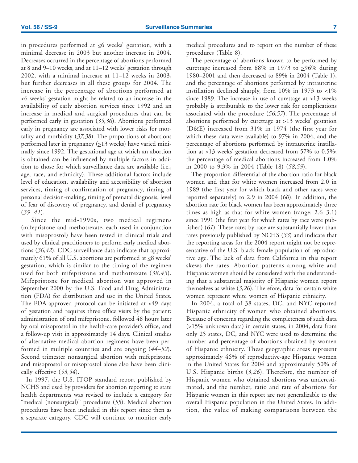in procedures performed at  $\leq 6$  weeks' gestation, with a minimal decrease in 2003 but another increase in 2004. Decreases occurred in the percentage of abortions performed at 8 and 9–10 weeks, and at 11–12 weeks' gestation through 2002, with a minimal increase at 11–12 weeks in 2003, but further decreases in all these groups for 2004. The increase in the percentage of abortions performed at  $\leq$ 6 weeks' gestation might be related to an increase in the availability of early abortion services since 1992 and an increase in medical and surgical procedures that can be performed early in gestation (*35,36*). Abortions performed early in pregnancy are associated with lower risks for mortality and morbidity (*37,38*). The proportions of abortions performed later in pregnancy  $( \geq 13$  weeks) have varied minimally since 1992. The gestational age at which an abortion is obtained can be influenced by multiple factors in addition to those for which surveillance data are available (i.e., age, race, and ethnicity). These additional factors include level of education, availability and accessibility of abortion services, timing of confirmation of pregnancy, timing of personal decision-making, timing of prenatal diagnosis, level of fear of discovery of pregnancy, and denial of pregnancy (*39–41*).

 Since the mid-1990s, two medical regimens (mifepristone and methotrexate, each used in conjunction with misoprostol) have been tested in clinical trials and used by clinical practitioners to perform early medical abortions (*36,42*). CDC surveillance data indicate that approximately 61% of all U.S. abortions are performed at  $\leq$ 8 weeks' gestation, which is similar to the timing of the regimen used for both mifepristone and methotrexate (*38,43*). Mifepristone for medical abortion was approved in September 2000 by the U.S. Food and Drug Administration (FDA) for distribution and use in the United States. The FDA-approved protocol can be initiated at <49 days of gestation and requires three office visits by the patient: administration of oral mifepristone, followed 48 hours later by oral misoprostol in the health-care provider's office, and a follow-up visit in approximately 14 days. Clinical studies of alternative medical abortion regimens have been performed in multiple countries and are ongoing (*44–52*). Second trimester nonsurgical abortion with mifepristone and misoprostol or misoprostol alone also have been clinically effective (*53,54*).

In 1997, the U.S. ITOP standard report published by NCHS and used by providers for abortion reporting to state health departments was revised to include a category for "medical (nonsurgical)" procedures (*55*). Medical abortion procedures have been included in this report since then as a separate category. CDC will continue to monitor early

medical procedures and to report on the number of these procedures (Table 8).

The percentage of abortions known to be performed by curettage increased from 88% in 1973 to  $\geq$ 96% during 1980–2001 and then decreased to 89% in 2004 (Table 1), and the percentage of abortions performed by intrauterine instillation declined sharply, from  $10\%$  in  $1973$  to  $\lt 1\%$ since 1989. The increase in use of curettage at  $\geq$ 13 weeks probably is attributable to the lower risk for complications associated with the procedure (*56,57*). The percentage of abortions performed by curettage at  $\geq$ 13 weeks' gestation (D&E) increased from 31% in 1974 (the first year for which these data were available) to 97% in 2004, and the percentage of abortions performed by intrauterine instillation at  $\geq$ 13 weeks' gestation decreased from 57% to 0.5%; the percentage of medical abortions increased from 1.0% in 2000 to 9.3% in 2004 (Table 18) (*58,59*).

The proportion differential of the abortion ratio for black women and that for white women increased from 2.0 in 1989 (the first year for which black and other races were reported separately) to 2.9 in 2004 (*60*). In addition, the abortion rate for black women has been approximately three times as high as that for white women (range: 2.6–3.1) since 1991 (the first year for which rates by race were published) (*61*). These rates by race are substantially lower than rates previously published by NCHS (*33*) and indicate that the reporting areas for the 2004 report might not be representative of the U.S. black female population of reproductive age. The lack of data from California in this report skews the rates. Abortion patterns among white and Hispanic women should be considered with the understanding that a substantial majority of Hispanic women report themselves as white (*3,26*). Therefore, data for certain white women represent white women of Hispanic ethnicity.

In 2004, a total of 38 states, DC, and NYC reported Hispanic ethnicity of women who obtained abortions. Because of concerns regarding the completeness of such data (>15% unknown data) in certain states, in 2004, data from only 25 states, DC, and NYC were used to determine the number and percentage of abortions obtained by women of Hispanic ethnicity. These geographic areas represent approximately 46% of reproductive-age Hispanic women in the United States for 2004 and approximately 50% of U.S. Hispanic births (*3,26*). Therefore, the number of Hispanic women who obtained abortions was underestimated, and the number, ratio and rate of abortions for Hispanic women in this report are not generalizable to the overall Hispanic population in the United States. In addition, the value of making comparisons between the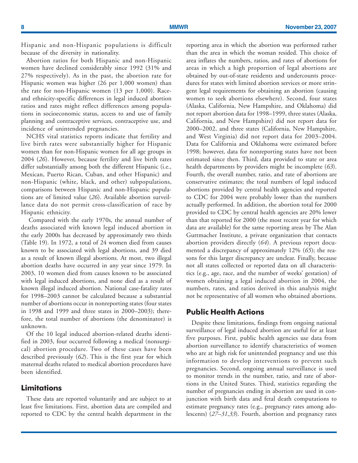Hispanic and non-Hispanic populations is difficult because of the diversity in nationality.

Abortion ratios for both Hispanic and non-Hispanic women have declined considerably since 1992 (31% and 27% respectively). As in the past, the abortion rate for Hispanic women was higher (26 per 1,000 women) than the rate for non-Hispanic women (13 per 1,000). Raceand ethnicity-specific differences in legal induced abortion ratios and rates might reflect differences among populations in socioeconomic status, access to and use of family planning and contraceptive services, contraceptive use, and incidence of unintended pregnancies.

NCHS vital statistics reports indicate that fertility and live birth rates were substantially higher for Hispanic women than for non-Hispanic women for all age groups in 2004 (*26*). However, because fertility and live birth rates differ substantially among both the different Hispanic (i.e., Mexican, Puerto Rican, Cuban, and other Hispanic) and non-Hispanic (white, black, and other) subpopulations, comparisons between Hispanic and non-Hispanic populations are of limited value (*26*). Available abortion surveillance data do not permit cross-classification of race by Hispanic ethnicity.

 Compared with the early 1970s, the annual number of deaths associated with known legal induced abortion in the early 2000s has decreased by approximately two thirds (Table 19). In 1972, a total of 24 women died from causes known to be associated with legal abortions, and 39 died as a result of known illegal abortions. At most, two illegal abortion deaths have occurred in any year since 1979. In 2003, 10 women died from causes known to be associated with legal induced abortions, and none died as a result of known illegal induced abortion. National case-fatality rates for 1998–2003 cannot be calculated because a substantial number of abortions occur in nonreporting states (four states in 1998 and 1999 and three states in 2000–2003); therefore, the total number of abortions (the denominator) is unknown.

Of the 10 legal induced abortion-related deaths identified in 2003, four occurred following a medical (nonsurgical) abortion procedure. Two of these cases have been described previously (*62*). This is the first year for which maternal deaths related to medical abortion procedures have been identified.

# **Limitations**

These data are reported voluntarily and are subject to at least five limitations. First, abortion data are compiled and reported to CDC by the central health department in the reporting area in which the abortion was performed rather than the area in which the woman resided. This choice of area inflates the numbers, ratios, and rates of abortions for areas in which a high proportion of legal abortions are obtained by out-of-state residents and undercounts procedures for states with limited abortion services or more stringent legal requirements for obtaining an abortion (causing women to seek abortions elsewhere). Second, four states (Alaska, California, New Hampshire, and Oklahoma) did not report abortion data for 1998–1999, three states (Alaska, California, and New Hampshire) did not report data for 2000–2002, and three states (California, New Hampshire, and West Virginia) did not report data for 2003–2004. Data for California and Oklahoma were estimated before 1998; however, data for nonreporting states have not been estimated since then. Third, data provided to state or area health departments by providers might be incomplete (*63*). Fourth, the overall number, ratio, and rate of abortions are conservative estimates; the total numbers of legal induced abortions provided by central health agencies and reported to CDC for 2004 were probably lower than the numbers actually performed. In addition, the abortion total for 2000 provided to CDC by central health agencies are 20% lower than that reported for 2000 (the most recent year for which data are available) for the same reporting areas by The Alan Guttmacher Institute, a private organization that contacts abortion providers directly (*64*). A previous report documented a discrepancy of approximately 12% (*65*); the reasons for this larger discrepancy are unclear. Finally, because not all states collected or reported data on all characteristics (e.g., age, race, and the number of weeks' gestation) of women obtaining a legal induced abortion in 2004, the numbers, rates, and ratios derived in this analysis might not be representative of all women who obtained abortions.

# **Public Health Actions**

Despite these limitations, findings from ongoing national surveillance of legal induced abortion are useful for at least five purposes. First, public health agencies use data from abortion surveillance to identify characteristics of women who are at high risk for unintended pregnancy and use this information to develop interventions to prevent such pregnancies. Second, ongoing annual surveillance is used to monitor trends in the number, ratio, and rate of abortions in the United States. Third, statistics regarding the number of pregnancies ending in abortion are used in conjunction with birth data and fetal death computations to estimate pregnancy rates (e.g., pregnancy rates among adolescents) (*27–31,33*). Fourth, abortion and pregnancy rates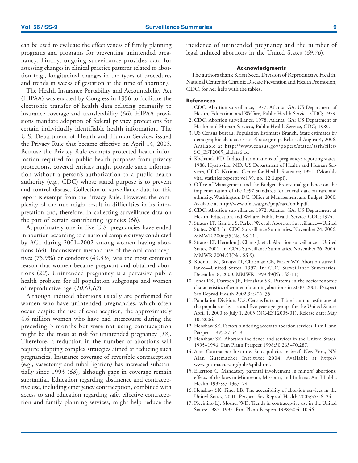<span id="page-10-0"></span>can be used to evaluate the effectiveness of family planning programs and programs for preventing unintended pregnancy. Finally, ongoing surveillance provides data for assessing changes in clinical practice patterns related to abortion (e.g., longitudinal changes in the types of procedures and trends in weeks of gestation at the time of abortion).

The Health Insurance Portability and Accountability Act (HIPAA) was enacted by Congress in 1996 to facilitate the electronic transfer of health data relating primarily to insurance coverage and transferability (*66*). HIPAA provisions mandate adoption of federal privacy protections for certain individually identifiable health information. The U.S. Department of Health and Human Services issued the Privacy Rule that became effective on April 14, 2003. Because the Privacy Rule exempts protected health information required for public health purposes from privacy protections, covered entities might provide such information without a person's authorization to a public health authority (e.g., CDC) whose stated purpose is to prevent and control disease. Collection of surveillance data for this report is exempt from the Privacy Rule. However, the complexity of the rule might result in difficulties in its interpretation and, therefore, in collecting surveillance data on the part of certain contributing agencies (*66*).

Approximately one in five U.S. pregnancies have ended in abortion according to a national sample survey conducted by AGI during 2001–2002 among women having abortions (*64*). Inconsistent method use of the oral contraceptives (75.9%) or condoms (49.3%) was the most common reason that women became pregnant and obtained abortions (*22*). Unintended pregnancy is a pervasive public health problem for all population subgroups and women of reproductive age (*10,61,67*).

Although induced abortions usually are performed for women who have unintended pregnancies, which often occur despite the use of contraception, the approximately 4.6 million women who have had intercourse during the preceding 3 months but were not using contraception might be the most at risk for unintended pregnancy (*18*). Therefore, a reduction in the number of abortions will require adapting complex strategies aimed at reducing such pregnancies. Insurance coverage of reversible contraception (e.g., vasectomy and tubal ligation) has increased substantially since 1993 (*68*), although gaps in coverage remain substantial. Education regarding abstinence and contraceptive use, including emergency contraception, combined with access to and education regarding safe, effective contraception and family planning services, might help reduce the incidence of unintended pregnancy and the number of legal induced abortions in the United States (*69,70*).

### **Acknowledgments**

The authors thank Kristi Seed, Division of Reproductive Health, National Center for Chronic Disease Prevention and Health Promotion, CDC, for her help with the tables.

### **References**

- 1. CDC. Abortion surveillance, 1977. Atlanta, GA: US Department of Health, Education, and Welfare, Public Health Service, CDC; 1979.
- 2. CDC. Abortion surveillance, 1978. Atlanta, GA: US Department of Health and Human Services, Public Health Service, CDC; 1980.
- 3. US Census Bureau, Population Estimates Branch. State estimates by demographic characteristics, 6 race group. Released August 4, 2006. Available at [http://www.census.gov/popest/states/asrh/files/](http://www.census.gov/popest/states/asrh/files/SC_EST2005_alldata6.txt) [SC\\_EST2005\\_alldata6.txt.](http://www.census.gov/popest/states/asrh/files/SC_EST2005_alldata6.txt)
- 4. Kochanek KD. Induced terminations of pregnancy: reporting states, 1988. Hyattsville, MD: US Department of Health and Human Services, CDC, National Center for Health Statistics; 1991. (Monthly vital statistics reports; vol 39, no. 12 Suppl).
- 5. Office of Management and the Budget. Provisional guidance on the implementation of the 1997 standards for federal data on race and ethnicity. Washington, DC: Office of Management and Budget; 2000. Available at [http://www.ofm.wa.gov/pop/race/omb.pdf.](http://www.ofm.wa.gov/pop/race/omb.pdf)
- 6. CDC. Abortion surveillance, 1972. Atlanta, GA: US Department of Health, Education, and Welfare, Public Health Service, CDC; 1974.
- 7. Strauss LT, Gamble S, Parker W, et al. Abortion Surveillance—United States, 2003. In: CDC Surveillance Summaries, November 24, 2006. MMWR 2006;55(No. SS-11).
- 8. Strauss LT, Herndon J, Chang J, et al. Abortion surveillance—United States, 2001. In: CDC Surveillance Summaries, November 26, 2004. MMWR 2004;53(No. SS-9).
- 9. Koonin LM, Strauss LT, Chrisman CE, Parker WY. Abortion surveillance—United States, 1997. In: CDC Surveillance Summaries, December 8, 2000. MMWR 1999;49(No. SS-11).
- 10. Jones RK, Darroch JE, Henshaw SK. Patterns in the socioeconomic characteristics of women obtaining abortions in 2000–2001. Perspect Sex Reprod Health 2002;34:226–35.
- 11. Population Division, U.S. Census Bureau. Table 1: annual estimates of the population by sex and five-year age groups for the United States: April 1, 2000 to July 1, 2005 (NC-EST2005-01). Release date: May 10, 2006.
- 12. Henshaw SK. Factors hindering access to abortion services. Fam Plann Perspect 1995;27:54–9.
- 13. Henshaw SK. Abortion incidence and services in the United States, 1995–1996. Fam Plann Perspect 1998;30:263–70,287.
- 14. Alan Guttmacher Institute. State policies in brief. New York, NY: Alan Guttmacher Institute; 2004. Available at [http://](http://www.guttmacher.org/pubs/spib.html) [www.guttmacher.org/pubs/spib.html.](http://www.guttmacher.org/pubs/spib.html)
- 15. Ellertson C. Mandatory parental involvement in minors' abortions: effects of the laws in Minnesota, Missouri, and Indiana. Am J Public Health 1997;87:1367–74.
- 16. Henshaw SK, Finer LB. The accessibility of abortion services in the United States, 2001. Perspect Sex Reprod Health 2003;35:16–24.
- 17. Piccinino LJ, Mosher WD. Trends in contraceptive use in the United States: 1982–1995. Fam Plann Perspect 1998;30:4–10,46.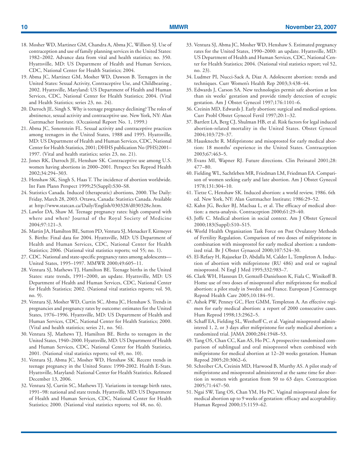- 18. Mosher WD, Martinez GM, Chandra A, Abma JC, Willson SJ. Use of contraception and use of family planning services in the United States: 1982–2002. Advance data from vital and health statistics; no. 350. Hyattsville, MD: US Department of Health and Human Services, CDC, National Center for Health Statistics; 2004.
- 19. Abma JC, Martinez GM, Mosher WD, Dawson B. Teenagers in the United States: Sexual Activity, Contraceptive Use, and Childbearing , 2002. Hyattsville, Maryland: US Department of Health and Human Services, CDC, National Center for Health Statistics; 2004. (Vital and Health Statistics; series 23, no. 24).
- 20. Darroch JE, Singh S. Why is teenage pregnancy declining? The roles of abstinence, sexual activity and contraceptive use. New York, NY: Alan Guttmacher Institute. (Occasional Report No. 1, 1999.)
- 21. Abma JC, Sonenstein FL. Sexual activity and contraceptive practices among teenagers in the United States, 1988 and 1995. Hyattsville, MD: US Department of Health and Human Services, CDC, National Center for Health Statistics, 2001; DHHS publication No (PHS)2001– 1997. (Vital and health statistics; series 23, no. 21).
- 22. Jones RK, Darroch JE, Henshaw SK. Contraceptive use among U.S. women having abortions in 2000–2001. Perspect Sex Reprod Health 2002;34:294–303.
- 23. Henshaw SK, Singh S, Haas T. The incidence of abortion worldwide. Int Fam Plann Perspect 1999;25(Suppl):S30–S8.
- 24. Statistics Canada. Induced (therapeutic) abortions, 2000. The Daily: Friday, March 28, 2003. Ottawa, Canada: Statistics Canada. Available at [http://www.statcan.ca/Daily/English/030328/d030328e.htm.](http://www.statcan.ca/Daily/English/030328/d030328e.htm)
- 25. Lawlor DA, Shaw M. Teenage pregnancy rates: high compared with where and when? Journal of the Royal Society of Medicine 2004;97:121–3.
- 26. Martin JA, Hamilton BE, Sutton PD, Ventura SJ, Menacker F, Kirmeyer S. Births: Final data for 2004. Hyattsville, MD: US Department of Health and Human Services, CDC, National Center for Health Statistics; 2006. (National vital statistics reports; vol 55; no. 1).
- 27. CDC. National and state-specific pregnancy rates among adolescents— United States, 1995–1997. MMWR 2000;49:605–11.
- 28. Ventura SJ, Mathews TJ, Hamilton BE. Teenage births in the United States: state trends, 1991–2000, an update. Hyattsville, MD: US Department of Health and Human Services, CDC, National Center for Health Statistics; 2002. (National vital statistics reports; vol. 50, no. 9).
- 29. Ventura SJ, Mosher WD, Curtin SC, Abma JC, Henshaw S. Trends in pregnancies and pregnancy rates by outcome: estimates for the United States, 1976–1996. Hyattsville, MD: US Department of Health and Human Services, CDC, National Center for Health Statistics; 2000. (Vital and health statistics; series 21, no. 56).
- 30. Ventura SJ, Mathews TJ, Hamilton BE. Births to teenagers in the United States, 1940–2000. Hyattsville, MD: US Department of Health and Human Services, CDC, National Center for Health Statistics, 2001. (National vital statistics reports; vol 49, no. 10).
- 31. Ventura SJ, Abma JC, Mosher WD, Henshaw SK. Recent trends in teenage pregnancy in the United States: 1990-2002. Health E-Stats. Hyattsville, Maryland: National Center for Health Statistics. Released December 13, 2006.
- 32. Ventura SJ, Curtin SC, Mathews TJ. Variations in teenage birth rates, 1991–98: national and state trends. Hyattsville, MD: US Department of Health and Human Services, CDC, National Center for Health Statistics; 2000. (National vital statistics reports; vol 48, no. 6).
- 33. Ventura SJ, Abma JC, Mosher WD, Henshaw S. Estimated pregnancy rates for the United States, 1990–2000: an update. Hyattsville, MD: US Department of Health and Human Services, CDC, National Center for Health Statistics; 2004. (National vital statistics report; vol 52, no. 23).
- 34. Ludmer PI, Nucci-Sack A, Diaz A. Adolescent abortion: trends and techniques. Curr Women's Health Rep 2003;3:438–44.
- 35. Edwards J, Carson SA. New technologies permit safe abortion at less than six weeks' gestation and provide timely detection of ectopic gestation. Am J Obstet Gynecol 1997;176:1101–6.
- 36. Creinin MD, Edwards J. Early abortion: surgical and medical options. Curr Probl Obstet Gynecol Fertil 1997;20:1–32.
- 37. Bartlett LA, Berg CJ, Shulman HB, et al. Risk factors for legal induced abortion-related mortality in the United States. Obstet Gynecol 2004;103:729–37.
- 38. Hausknecht R. Mifepristone and misoprostol for early medical abortion: 18 months' experience in the United States. Contraception 2003;67:463–5.
- 39. Evans MI, Wapner RJ. Future directions. Clin Perinatol 2001;28: 477–80.
- 40. Fielding WL, Sachtleben MR, Friedman LM, Friedman EA. Comparison of women seeking early and late abortion. Am J Obstet Gynecol 1978;131:304–10.
- 41. Tietze C, Henshaw SK. Induced abortion: a world review, 1986. 6th ed. New York, NY: Alan Guttmacher Institute; 1986:29–52.
- 42. Kahn JG, Becker BJ, MacIsaa L, et al. The efficacy of medical abortion: a meta-analysis. Contraception 2000;61:29–40.
- 43. Joffe C. Medical abortion in social context. Am J Obstet Gynecol 2000;183(Suppl):S10–S15.
- 44. World Health Organisation Task Force on Post Ovulatory Methods of Fertility Regulation. Comparison of two doses of mifepristone in combination with misoprostol for early medical abortion: a randomized trial. Br J Obstet Gynaecol 2000;107:524–30.
- 45. El-Refaey H, Rajasekar D, Abdalla M, Calder L, Templeton A. Induction of abortion with mifepristone (RU 486) and oral or vaginal misoprostol. N Engl J Med 1995;332:983–7.
- 46. Clark WH, Hassoun D, Gemzell-Danielsson K, Fiala C, Winikoff B. Home use of two doses of misoprostol after mifepristone for medical abortion: a pilot study in Sweden and France. European J Contracept Reprod Health Care 2005;10:184–91.
- 47. Ashok PW, Penney GC, Flett GMM, Templeton A. An effective regimen for early medical abortion: a report of 2000 consecutive cases. Hum Reprod 1998;13:2962–5.
- 48. Schaff EA, Fielding SL, Westhoff C, et al. Vaginal misoprostol administered 1, 2, or 3 days after mifepristone for early medical abortion: a randomized trial. JAMA 2000;284:1948–53.
- 49. Tang OS, Chan CC, Kan AS, Ho PC. A prospective randomized comparison of sublingual and oral misoprostol when combined with mifepristone for medical abortion at 12–20 weeks gestation. Human Reprod 2005;20:3062–6.
- 50. Schreiber CA, Creinin MD, Harwood B, Murthy AS. A pilot study of mifepristone and misoprostol administered at the same time for abortion in women with gestation from 50 to 63 days. Contraception 2005;71:447–50.
- 51. Ngai SW, Tang OS, Chan YM, Ho PC. Vaginal misoprostal alone for medical abortion up to 9 weeks of gestation: efficacy and acceptability. Human Reprod 2000;15:1159–62.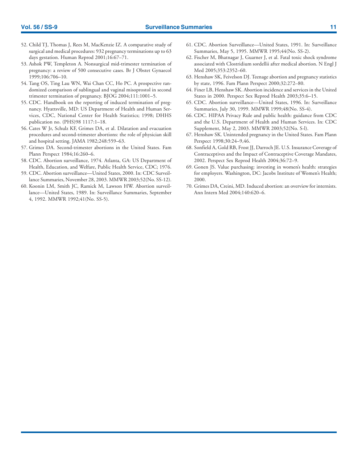- 52. Child TJ, Thomas J, Rees M, MacKenzie IZ. A comparative study of surgical and medical procedures: 932 pregnancy terminations up to 63 days gestation. Human Reprod 2001;16:67–71.
- 53. Ashok PW, Templeton A. Nonsurgical mid-trimester termination of pregnancy: a review of 500 consecutive cases. Br J Obstet Gynaecol 1999;106:706–10.
- 54. Tang OS, Ting Lau WN, Wai Chan CC, Ho PC. A prospective randomized comparison of sublingual and vaginal misoprostol in second trimester termination of pregnancy. BJOG 2004;111:1001–5.
- 55. CDC. Handbook on the reporting of induced termination of pregnancy. Hyattsville, MD: US Department of Health and Human Services, CDC, National Center for Health Statistics; 1998; DHHS publication no. (PHS)98 1117:1–18.
- 56. Cates W Jr, Schulz KF, Grimes DA, et al. Dilatation and evacuation procedures and second-trimester abortions: the role of physician skill and hospital setting. JAMA 1982;248:559–63.
- 57. Grimes DA. Second-trimester abortions in the United States. Fam Plann Perspect 1984;16:260–6.
- 58. CDC. Abortion surveillance, 1974. Atlanta, GA: US Department of Health, Education, and Welfare, Public Health Service, CDC; 1976.
- 59. CDC. Abortion surveillance—United States, 2000. In: CDC Surveillance Summaries, November 28, 2003. MMWR 2003;52(No. SS-12).
- 60. Koonin LM, Smith JC, Ramick M, Lawson HW. Abortion surveillance—United States, 1989. In: Surveillance Summaries, September 4, 1992. MMWR 1992;41(No. SS-5).
- 61. CDC. Abortion Surveillance—United States, 1991. In: Surveillance Summaries, May 5, 1995. MMWR 1995;44(No. SS-2).
- 62. Fischer M, Bhatnagar J, Guarner J, et al. Fatal toxic shock syndrome associated with Clostridium sordellii after medical abortion. N Engl J Med 2005;353:2352–60.
- 63. Henshaw SK, Feivelson DJ. Teenage abortion and pregnancy statistics by state, 1996. Fam Plann Perspect 2000;32:272–80.
- 64. Finer LB, Henshaw SK. Abortion incidence and services in the United States in 2000. Perspect Sex Reprod Health 2003;35:6–15.
- 65. CDC. Abortion surveillance—United States, 1996. In: Surveillance Summaries, July 30, 1999. MMWR 1999;48(No. SS-4).
- 66. CDC. HIPAA Privacy Rule and public health: guidance from CDC and the U.S. Department of Health and Human Services. In: CDC Supplement, May 2, 2003. MMWR 2003;52(No. S-l).
- 67. Henshaw SK. Unintended pregnancy in the United States. Fam Plann Perspect 1998;30:24–9,46.
- 68. Sonfield A, Gold RB, Frost JJ, Darroch JE. U.S. Insurance Coverage of Contraceptives and the Impact of Contraceptive Coverage Mandates, 2002. Perspect Sex Reprod Health 2004;36:72–9.
- 69. Gonen JS. Value purchasing: investing in women's health: strategies for employers. Washington, DC: Jacobs Institute of Women's Health; 2000.
- 70. Grimes DA, Creini, MD. Induced abortion: an overview for internists. Ann Intern Med 2004;140:620–6.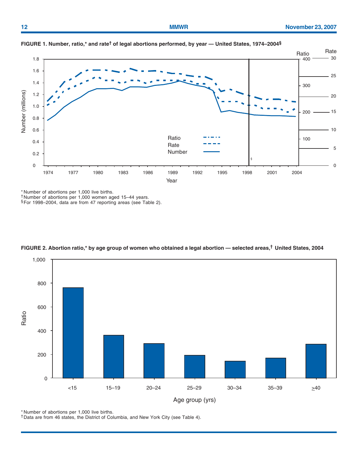



\* Number of abortions per 1,000 live births.

†Number of abortions per 1,000 women aged 15–44 years.

§For 1998–2004, data are from 47 reporting areas (see Table 2).



**FIGURE 2. Abortion ratio,\* by age group of women who obtained a legal abortion — selected areas,† United States, 2004**

\* Number of abortions per 1,000 live births.

†Data are from 46 states, the District of Columbia, and New York City (see Table 4).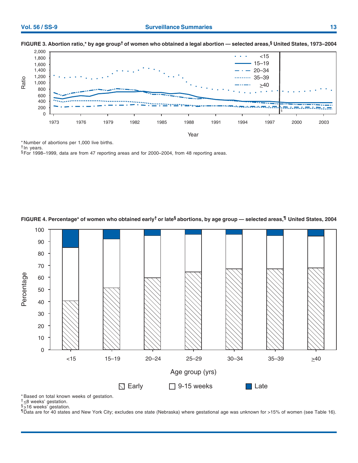

### **FIGURE 3. Abortion ratio,\* by age group† of women who obtained a legal abortion — selected areas,§ United States, 1973–2004**

Year

\* Number of abortions per 1,000 live births.

† In years.

§For 1998–1999, data are from 47 reporting areas and for 2000–2004, from 48 reporting areas.





 $\frac{1}{2}$  <8 weeks' gestation.

 $\sqrt[6]{5}$  16 weeks<sup>'</sup> gestation.

¶Data are for 40 states and New York City; excludes one state (Nebraska) where gestational age was unknown for >15% of women (see Table 16).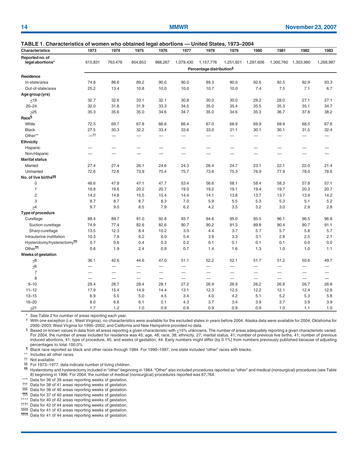#### **TABLE 1. Characteristics of women who obtained legal abortions — United States, 1973–2004**

| I ADLL T. Unaracteristics of women who obtained legal abortions<br><b>Characteristics</b> | 1973                     | 1974                     | 1975                     | 1976                     | 1977                     | omea<br>1978                                      | <b>JIAICS, 1970-LUV4</b><br>1979 | 1980                     | 1981                     | 1982                     | 1983                     |
|-------------------------------------------------------------------------------------------|--------------------------|--------------------------|--------------------------|--------------------------|--------------------------|---------------------------------------------------|----------------------------------|--------------------------|--------------------------|--------------------------|--------------------------|
| Reported no. of<br>legal abortions*                                                       | 615,831                  | 763,476                  | 854,853                  | 988,267                  | 1,079,430                | 1,157,776<br>Percentage distribution <sup>§</sup> | 1,251,921                        | 1,297,606                | 1,300,760                | 1.303.980                | 1.268.987                |
| Residence                                                                                 |                          |                          |                          |                          |                          |                                                   |                                  |                          |                          |                          |                          |
| In-state/area                                                                             | 74.8                     | 86.6                     | 89.2                     | 90.0                     | 90.0                     | 89.3                                              | 90.0                             | 92.6                     | 92.5                     | 92.9                     | 93.3                     |
| Out-of-state/area                                                                         | 25.2                     | 13.4                     | 10.8                     | 10.0                     | 10.0                     | 10.7                                              | 10.0                             | 7.4                      | 7.5                      | 7.1                      | 6.7                      |
| Age group (yrs)                                                                           |                          |                          |                          |                          |                          |                                                   |                                  |                          |                          |                          |                          |
| $\leq 19$                                                                                 | 32.7                     | 32.6                     | 33.1                     | 32.1                     | 30.8                     | 30.0                                              | 30.0                             | 29.2                     | 28.0                     | 27.1                     | 27.1                     |
| $20 - 24$                                                                                 | 32.0                     | 31.8                     | 31.9                     | 33.3                     | 34.5                     | 35.0                                              | 35.4                             | 35.5                     | 35.3                     | 35.1                     | 34.7                     |
| $\geq 25$                                                                                 | 35.3                     | 35.6                     | 35.0                     | 34.6                     | 34.7                     | 35.0                                              | 34.6                             | 35.3                     | 36.7                     | 37.8                     | 38.2                     |
| Race <sup>¶</sup>                                                                         |                          |                          |                          |                          |                          |                                                   |                                  |                          |                          |                          |                          |
| White                                                                                     | 72.5                     | 69.7                     | 67.8                     | 66.6                     | 66.4                     | 67.0                                              | 68.9                             | 69.9                     | 69.9                     | 68.5                     | 67.6                     |
| <b>Black</b>                                                                              | 27.5                     | 30.3                     | 32.2                     | 33.4                     | 33.6                     | 33.0                                              | 31.1                             | 30.1                     | 30.1                     | 31.5                     | 32.4                     |
| Other**                                                                                   | $-$ tt                   | $\overline{\phantom{0}}$ |                          | $\overline{\phantom{0}}$ | $\overline{\phantom{0}}$ | $\overline{\phantom{0}}$                          | $\overline{\phantom{0}}$         |                          | $\overline{\phantom{0}}$ | $\overline{\phantom{0}}$ | $\overline{\phantom{0}}$ |
| <b>Ethnicity</b>                                                                          |                          |                          |                          |                          |                          |                                                   |                                  |                          |                          |                          |                          |
| Hispanic                                                                                  | $\overline{\phantom{0}}$ | $\overline{\phantom{0}}$ |                          | $\overline{\phantom{0}}$ | —                        | $\overline{\phantom{0}}$                          | —                                | $\overline{\phantom{0}}$ | $\overline{\phantom{0}}$ | $\overline{\phantom{0}}$ |                          |
| Non-Hispanic                                                                              |                          |                          |                          |                          |                          |                                                   |                                  |                          |                          |                          |                          |
| <b>Marital status</b>                                                                     |                          |                          |                          |                          |                          |                                                   |                                  |                          |                          |                          |                          |
| Married                                                                                   | 27.4                     | 27.4                     | 26.1                     | 24.6                     | 24.3                     | 26.4                                              | 24.7                             | 23.1                     | 22.1                     | 22.0                     | 21.4                     |
| Unmarried                                                                                 | 72.6                     | 72.6                     | 73.9                     | 75.4                     | 75.7                     | 73.6                                              | 75.3                             | 76.9                     | 77.9                     | 78.0                     | 78.6                     |
| No. of live births <sup>§§</sup>                                                          |                          |                          |                          |                          |                          |                                                   |                                  |                          |                          |                          |                          |
| 0                                                                                         | 48.6                     | 47.9                     | 47.1                     | 47.7                     | 53.4                     | 56.6                                              | 58.1                             | 58.4                     | 58.3                     | 57.8                     | 57.1                     |
| 1                                                                                         | 18.8                     | 19.6                     | 20.2                     | 20.7                     | 19.0                     | 19.2                                              | 19.1                             | 19.4                     | 19.7                     | 20.3                     | 20.7                     |
| $\overline{c}$                                                                            | 14.2                     | 14.8                     | 15.5                     | 15.4                     | 14.4                     | 14.1                                              | 13.8                             | 13.7                     | 13.7                     | 13.9                     | 14.2                     |
| 3                                                                                         | 8.7                      | 8.7                      | 8.7                      | 8.3                      | 7.0                      | 5.9                                               | 5.5                              | 5.3                      | 5.3                      | 5.1                      | 5.2                      |
| $\geq$ 4                                                                                  | 9.7                      | 9.0                      | 8.5                      | 7.9                      | 6.2                      | 4.2                                               | 3.5                              | 3.2                      | 3.0                      | 2.9                      | 2.8                      |
| Type of procedure                                                                         |                          |                          |                          |                          |                          |                                                   |                                  |                          |                          |                          |                          |
| Curettage                                                                                 | 88.4                     | 89.7                     | 91.0                     | 92.8                     | 93.7                     | 94.6                                              | 95.0                             | 95.5                     | 96.1                     | 96.5                     | 96.8                     |
| Suction curettage                                                                         | 74.9                     | 77.4                     | 82.6                     | 82.6                     | 90.7                     | 90.2                                              | 91.3                             | 89.8                     | 90.4                     | 90.7                     | 91.1                     |
| Sharp curettage                                                                           | 13.5                     | 12.3                     | 8.4                      | 10.2                     | 3.0                      | 4.4                                               | 3.7                              | 5.7                      | 5.7                      | 5.8                      | 5.7                      |
| Intrauterine instillation                                                                 | 10.3                     | 7.8                      | 6.2                      | 6.0                      | 5.4                      | 3.9                                               | 3.3                              | 3.1                      | 2.8                      | 2.5                      | 2.1                      |
| Hysterotomy/hysterectomy <sup>111</sup>                                                   | 0.7                      | 0.6                      | 0.4                      | 0.3                      | 0.2                      | 0.1                                               | 0.1                              | 0.1                      | 0.1                      | 0.0                      | 0.0                      |
| Other <sup>11</sup>                                                                       | 0.6                      | 1.9                      | 2.4                      | 0.9                      | 0.7                      | 1.4                                               | 1.6                              | 1.3                      | 1.0                      | 1.0                      | 1.1                      |
| Weeks of gestation                                                                        |                          |                          |                          |                          |                          |                                                   |                                  |                          |                          |                          |                          |
| ≤8                                                                                        | 36.1                     | 42.6                     | 44.6                     | 47.0                     | 51.1                     | 52.2                                              | 52.1                             | 51.7                     | 51.2                     | 50.6                     | 49.7                     |
| ≤6                                                                                        | $\overline{\phantom{0}}$ | —                        |                          | $\overline{\phantom{0}}$ | $\overline{\phantom{0}}$ | $\overline{\phantom{0}}$                          | —                                |                          | $\overline{\phantom{0}}$ | $\overline{\phantom{0}}$ | —                        |
| $\overline{7}$                                                                            |                          | $\overline{\phantom{0}}$ |                          | $\overline{\phantom{0}}$ | $\overline{\phantom{0}}$ |                                                   | $\overline{\phantom{0}}$         | $\overline{\phantom{0}}$ | $\overline{\phantom{0}}$ | —                        | $\overline{\phantom{0}}$ |
| 8                                                                                         | $\overline{\phantom{0}}$ | $\overline{\phantom{0}}$ | $\overline{\phantom{0}}$ | $\qquad \qquad -$        | $\overline{\phantom{0}}$ | $\overline{\phantom{0}}$                          | $\overline{\phantom{0}}$         | $\overline{\phantom{0}}$ | $\overline{\phantom{0}}$ | —                        | $\overline{\phantom{0}}$ |
| $9 - 10$                                                                                  | 29.4                     | 28.7                     | 28.4                     | 28.1                     | 27.2                     | 26.9                                              | 26.9                             | 26.2                     | 26.8                     | 26.7                     | 26.8                     |
| $11 - 12$                                                                                 | 17.9                     | 15.4                     | 14.9                     | 14.4                     | 13.1                     | 12.3                                              | 12.5                             | 12.2                     | 12.1                     | 12.4                     | 12.8                     |
| $13 - 15$                                                                                 | 6.9                      | 5.5                      | 5.0                      | 4.5                      | 3.4                      | 4.0                                               | 4.2                              | 5.1                      | 5.2                      | 5.3                      | 5.8                      |
| $16 - 20$                                                                                 | 8.0                      | 6.6                      | 6.1                      | 5.1                      | 4.3                      | 3.7                                               | 3.4                              | 3.9                      | 3.7                      | 3.9                      | 3.9                      |
| $\geq$ 21                                                                                 | 1.7                      | 1.2                      | 1.0                      | 0.9                      | 0.9                      | 0.9                                               | 0.9                              | 0.9                      | 1.0                      | 1.1                      | 1.0                      |

See Table 2 for number of areas reporting each year.

† With one exception (i.e., West Virginia), no characteristics were available for the excluded states in years before 2004. Alaska data were available for 2004; Oklahoma for 2000–2003; West Virginia for 1995–2002; and California and New Hampshire provided no data.

§ Based on known values in data from all areas reporting a given characteristic with <15% unknowns. The number of areas adequately reporting a given characteristic varied. For 2004, the number of areas included for residence was 45; age, 48; race, 38; ethnicity, 27; marital status, 41; number of previous live births, 41; number of previous induced abortions, 41; type of procedure, 45; and weeks of gestation, 44. Early numbers might differ (by 0.1%) from numbers previously published because of adjusting percentages to total 100.0%.

¶ Black race reported as black and other races through 1984. For 1990–1997, one state included "other" races with blacks.

\*\* Includes all other races.

†† Not available.

§§ For 1973-1977, data indicate number of living children.

¶¶ Hysterotomy and hysterectomy included in "other" beginning in 1984. "Other" also included procedures reported as "other" and medical (nonsurgical) procedures (see Table 8) beginning in 1996. For 2004, the number of medical (nonsurgical) procedures reported was 67,764.

\*\*\* Data for 36 of 39 areas reporting weeks of gestation.

††† Data for 38 of 41 areas reporting weeks of gestation.

§§§ Data for 38 of 40 areas reporting weeks of gestation.

¶¶¶ Data for 37 of 40 areas reporting weeks of gestation.

\*\*\*\* Data for 40 of 42 areas reporting weeks of gestation.

†††† Data for 42 of 44 areas reporting weeks of gestation.

§§§§§ Data for 41 of 43 areas reporting weeks of gestation.

¶¶¶¶ Data for 41 of 44 areas reporting weeks of gestation.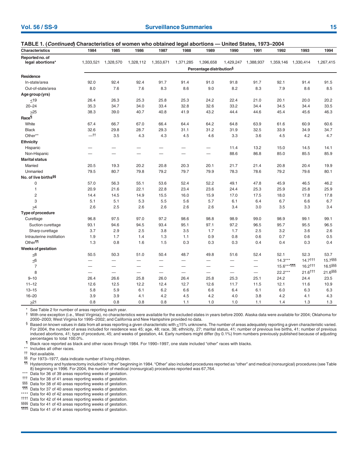#### **TABLE 1. (***Continued***) Characteristics of women who obtained legal abortions — United States, 1973–2004**

| Characteristics                     | 1984                     | 1985                     | 1986                     | 1987                     | 1988                            | 1989                                              | 1990                     | 1991                     | 1992        | 1993                           | 1994      |
|-------------------------------------|--------------------------|--------------------------|--------------------------|--------------------------|---------------------------------|---------------------------------------------------|--------------------------|--------------------------|-------------|--------------------------------|-----------|
| Reported no. of<br>legal abortions* | 1.333.521                | 1,328,570                | 1,328,112                | 1,353,671                | 1,371,285                       | 1,396,658<br>Percentage distribution <sup>§</sup> | 1,429,247                | 1,388,937                | 1.359.146   | 1.330.414                      | 1.267.415 |
| Residence                           |                          |                          |                          |                          |                                 |                                                   |                          |                          |             |                                |           |
| In-state/area                       | 92.0                     | 92.4                     | 92.4                     | 91.7                     | 91.4                            | 91.0                                              | 91.8                     | 91.7                     | 92.1        | 91.4                           | 91.5      |
| Out-of-state/area                   | 8.0                      |                          |                          |                          | 8.6                             | 9.0                                               | 8.2                      |                          |             |                                |           |
|                                     |                          | 7.6                      | 7.6                      | 8.3                      |                                 |                                                   |                          | 8.3                      | 7.9         | 8.6                            | 8.5       |
| Age group (yrs)                     | 26.4                     | 26.3                     | 25.3                     | 25.8                     | 25.3                            | 24.2                                              | 22.4                     | 21.0                     | 20.1        | 20.0                           | 20.2      |
| $\leq19$<br>$20 - 24$               | 35.3                     | 34.7                     | 34.0                     | 33.4                     | 32.8                            | 32.6                                              | 33.2                     | 34.4                     | 34.5        | 34.4                           | 33.5      |
| $\geq$ 25                           | 38.3                     | 39.0                     | 40.7                     | 40.8                     | 41.9                            | 43.2                                              | 44.4                     | 44.6                     | 45.4        | 45.6                           | 46.3      |
| Race <sup>¶</sup>                   |                          |                          |                          |                          |                                 |                                                   |                          |                          |             |                                |           |
|                                     |                          |                          |                          |                          |                                 |                                                   |                          |                          |             |                                |           |
| White                               | 67.4                     | 66.7                     | 67.0                     | 66.4                     | 64.4                            | 64.2                                              | 64.8                     | 63.9                     | 61.6        | 60.9                           | 60.6      |
| <b>Black</b>                        | 32.6<br>$-$ tt           | 29.8                     | 28.7                     | 29.3                     | 31.1                            | 31.2                                              | 31.9                     | 32.5                     | 33.9        | 34.9                           | 34.7      |
| Other**                             |                          | 3.5                      | 4.3                      | 4.3                      | 4.5                             | 4.6                                               | 3.3                      | 3.6                      | 4.5         | 4.2                            | 4.7       |
| Ethnicity                           |                          |                          |                          |                          |                                 |                                                   |                          |                          |             |                                |           |
| Hispanic                            |                          |                          |                          |                          |                                 | —                                                 | 11.4                     | 13.2                     | 15.0        | 14.5                           | 14.1      |
| Non-Hispanic                        |                          |                          |                          |                          |                                 |                                                   | 88.6                     | 86.8                     | 85.0        | 85.5                           | 85.9      |
| <b>Marital status</b>               |                          |                          |                          |                          |                                 |                                                   |                          |                          |             |                                |           |
| Married                             | 20.5                     | 19.3                     | 20.2                     | 20.8                     | 20.3                            | 20.1                                              | 21.7                     | 21.4                     | 20.8        | 20.4                           | 19.9      |
| Unmarried                           | 79.5                     | 80.7                     | 79.8                     | 79.2                     | 79.7                            | 79.9                                              | 78.3                     | 78.6                     | 79.2        | 79.6                           | 80.1      |
| No. of live births <sup>§§</sup>    |                          |                          |                          |                          |                                 |                                                   |                          |                          |             |                                |           |
| $\mathbf 0$                         | 57.0                     | 56.3                     | 55.1                     | 53.6                     | 52.4                            | 52.2                                              | 49.1                     | 47.8                     | 45.9        | 46.5                           | 46.2      |
| 1                                   | 20.9                     | 21.6                     | 22.1                     | 22.8                     | 23.4                            | 23.6                                              | 24.4                     | 25.3                     | 25.9        | 25.8                           | 25.9      |
| $\overline{c}$                      | 14.4                     | 14.5                     | 14.9                     | 15.5                     | 16.0                            | 15.9                                              | 17.0                     | 17.5                     | 18.0        | 17.8                           | 17.8      |
| 3                                   | 5.1                      | 5.1                      | 5.3                      | 5.5                      | 5.6                             | 5.7                                               | 6.1                      | 6.4                      | 6.7         | 6.6                            | 6.7       |
| $\geq$ 4                            | 2.6                      | 2.5                      | 2.6                      | 2.6                      | 2.6                             | 2.6                                               | 3.4                      | 3.0                      | 3.5         | 3.3                            | 3.4       |
| Type of procedure                   |                          |                          |                          |                          |                                 |                                                   |                          |                          |             |                                |           |
| Curettage                           | 96.8                     | 97.5                     | 97.0                     | 97.2                     | 98.6                            | 98.8                                              | 98.9                     | 99.0                     | 98.9        | 99.1                           | 99.1      |
| Suction curettage                   | 93.1                     | 94.6                     | 94.5                     | 93.4                     | 95.1                            | 97.1                                              | 97.2                     | 96.5                     | 95.7        | 95.5                           | 96.5      |
| Sharp curettage                     | 3.7                      | 2.9                      | 2.5                      | 3.8                      | 3.5                             | 1.7                                               | 1.7                      | 2.5                      | 3.2         | 3.6                            | 2.6       |
| Intrauterine instillation           | 1.9                      | 1.7                      | 1.4                      | 1.3                      | 1.1                             | 0.9                                               | 0.8                      | 0.6                      | 0.7         | 0.6                            | 0.5       |
| Other <sup>11</sup>                 | 1.3                      | 0.8                      | 1.6                      | 1.5                      | 0.3                             | 0.3                                               | 0.3                      | 0.4                      | 0.4         | 0.3                            | 0.4       |
| Weeks of gestation                  |                          |                          |                          |                          |                                 |                                                   |                          |                          |             |                                |           |
| $\leq 8$                            | 50.5                     | 50.3                     | 51.0                     | 50.4                     | 48.7                            | 49.8                                              | 51.6                     | 52.4                     | 52.1        | 52.3                           | 53.7      |
| $\leq 6$                            |                          | $\overline{\phantom{0}}$ |                          | —                        |                                 | —                                                 |                          | —                        | $14.3***$   | $14.7^{\dagger\dagger\dagger}$ | 15.7 \$§  |
| $\overline{7}$                      | $\overline{\phantom{0}}$ | —                        | $\overline{\phantom{0}}$ | $\overline{\phantom{0}}$ | $\overbrace{\phantom{1232211}}$ | $\overline{\phantom{0}}$                          | $\overline{\phantom{0}}$ | $\overline{\phantom{0}}$ | 15.6*** 111 | 16.2 <sup>+++</sup>            | 16.5 \$\$ |
| 8                                   | —                        | —                        | —                        | —                        | —                               | $\overline{\phantom{0}}$                          | $\overline{\phantom{0}}$ | $\overline{\phantom{0}}$ | 22.2***     | 21.6 <sup>+++</sup>            | 21.6 \$\$ |
| $9 - 10$                            | 26.4                     | 26.6                     | 25.8                     | 26.0                     | 26.4                            | 25.8                                              | 25.3                     | 25.1                     | 24.2        | 24.4                           | 23.5      |
| $11 - 12$                           | 12.6                     | 12.5                     | 12.2                     | 12.4                     | 12.7                            | 12.6                                              | 11.7                     | 11.5                     | 12.1        | 11.6                           | 10.9      |
| $13 - 15$                           | 5.8                      | 5.9                      | 6.1                      | 6.2                      | 6.6                             | 6.6                                               | 6.4                      | 6.1                      | 6.0         | 6.3                            | 6.3       |
| $16 - 20$                           | 3.9                      | 3.9                      | 4.1                      | 4.2                      | 4.5                             | 4.2                                               | 4.0                      | 3.8                      | 4.2         | 4.1                            | 4.3       |
| >21                                 | 0.8                      | 0.8                      | 0.8                      | 0.8                      | 1.1                             | 1.0                                               | 1.0                      | 1.1                      | 1.4         | 1.3                            | 1.3       |

See Table 2 for number of areas reporting each year.

† With one exception (i.e., West Virginia), no characteristics were available for the excluded states in years before 2000. Alaska data were available for 2004; Oklahoma for 2000–2003; West Virginia for 1995–2002; and California and New Hampshire provided no data.

 $\$  Based on known values in data from all areas reporting a given characteristic with  $\leq$ 15% unknowns. The number of areas adequately reporting a given characteristic varied.<br>For 2004, the number of areas included for induced abortions, 41; type of procedure, 45; and weeks of gestation, 44. Early numbers might differ (by 0.1%) from numbers previously published because of adjusting percentages to total 100.0%.

¶ Black race reported as black and other races through 1984. For 1990–1997, one state included "other" races with blacks.

\*\* Includes all other races.

†† Not available.

§§ For 1973-1977, data indicate number of living children.

¶¶ Hysterotomy and hysterectomy included in "other" beginning in 1984. "Other" also included procedures reported as "other" and medical (nonsurgical) procedures (see Table 8) beginning in 1996. For 2004, the number of medical (nonsurgical) procedures reported was 67,764.

\*\*\* Data for 36 of 39 areas reporting weeks of gestation.

††† Data for 38 of 41 areas reporting weeks of gestation.

§§§ Data for 38 of 40 areas reporting weeks of gestation.

¶¶¶ Data for 37 of 40 areas reporting weeks of gestation.

\*\*\*\* Data for 40 of 42 areas reporting weeks of gestation.

†††† Data for 42 of 44 areas reporting weeks of gestation.

§§§§§ Data for 41 of 43 areas reporting weeks of gestation.

¶¶¶¶ Data for 41 of 44 areas reporting weeks of gestation.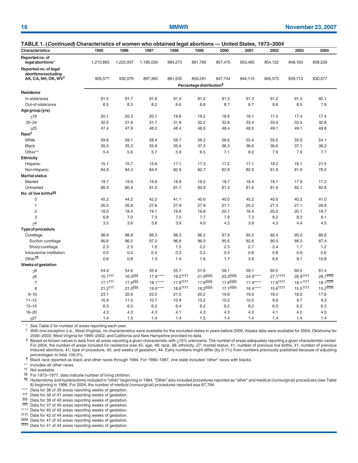### **TABLE 1. (***Continued***) Characteristics of women who obtained legal abortions — United States, 1973–2004**

| TABLE 1. ( <i>Continued</i> ) Characteristics of women who obtained legal abortions<br>Characteristics | 1995                                      | 1996        | 1997      | 1998                                  | 1999                                 | 2000          | United States, 1973–2004<br>2001 | 2002                                       | 2003                                        | 2004                  |
|--------------------------------------------------------------------------------------------------------|-------------------------------------------|-------------|-----------|---------------------------------------|--------------------------------------|---------------|----------------------------------|--------------------------------------------|---------------------------------------------|-----------------------|
| Reported no, of<br>legal abortions*                                                                    | 1.210.883                                 | 1,225,937   | 1.186.039 | 884,273                               | 861.789                              | 857.475       | 853.485                          | 854.122                                    | 848.163                                     | 839,226               |
| Reported no. of legal<br>abortions excluding<br>AK, CA, NH, OK, WV <sup>+</sup>                        | 905,577                                   | 932,079     | 897,363   | 881,535                               | 859,291                              | 847,744       | 844,115                          | 845,573                                    | 839,713                                     | 830,577               |
|                                                                                                        |                                           |             |           |                                       | Percentage distribution <sup>§</sup> |               |                                  |                                            |                                             |                       |
| Residence                                                                                              |                                           |             |           |                                       |                                      |               |                                  |                                            |                                             |                       |
| In-state/area                                                                                          | 91.5                                      | 91.7        | 91.8      | 91.4                                  | 91.2                                 | 91.3          | 91.3                             | 91.2                                       | 91.5                                        | 92.1                  |
| Out-of-state/area                                                                                      | 8.5                                       | 8.3         | 8.2       | 8.6                                   | 8.8                                  | 8.7           | 8.7                              | 8.8                                        | 8.5                                         | 7.9                   |
| Age group (yrs)                                                                                        |                                           |             |           |                                       |                                      |               |                                  |                                            |                                             |                       |
| < 19                                                                                                   | 20.1                                      | 20.3        | 20.1      | 19.8                                  | 19.2                                 | 18.8          | 18.1                             | 17.5                                       | 17.4                                        | 17.4                  |
| $20 - 24$                                                                                              | 32.5                                      | 31.8        | 31.7      | 31.8                                  | 32.2                                 | 32.8          | 33.4                             | 33.4                                       | 33.5                                        | 32.8                  |
| >25                                                                                                    | 47.4                                      | 47.9        | 48.2      | 48.4                                  | 48.6                                 | 48.4          | 48.5                             | 49.1                                       | 49.1                                        | 49.8                  |
| Race <sup>1</sup>                                                                                      |                                           |             |           |                                       |                                      |               |                                  |                                            |                                             |                       |
| White                                                                                                  | 59.6                                      | 59.1        | 58.4      | 58.7                                  | 56.2                                 | 56.6          | 55.4                             | 55.5                                       | 55.0                                        | 54.1                  |
| <b>Black</b>                                                                                           | 35.0                                      | 35.3        | 35.9      | 35.4                                  | 37.3                                 | 36.3          | 36.6                             | 36.6                                       | 37.1                                        | 38.2                  |
| Other**                                                                                                | 5.4                                       | 5.6         | 5.7       | 5.9                                   | 6.5                                  | 7.1           | 8.0                              | 7.9                                        | 7.9                                         | 7.7                   |
| <b>Ethnicity</b>                                                                                       |                                           |             |           |                                       |                                      |               |                                  |                                            |                                             |                       |
| Hispanic                                                                                               | 15.1                                      | 15.7        | 15.6      | 17.1                                  | 17.3                                 | 17.2          | 17.1                             | 18.2                                       | 18.1                                        | 21.5                  |
| Non-Hispanic                                                                                           | 84.9                                      | 84.3        | 84.4      | 82.9                                  | 82.7                                 | 82.8          | 82.9                             | 81.8                                       | 81.9                                        | 78.5                  |
| <b>Marital status</b>                                                                                  |                                           |             |           |                                       |                                      |               |                                  |                                            |                                             |                       |
| Married                                                                                                | 19.7                                      | 19.6        | 19.0      | 18.9                                  | 19.2                                 | 18.7          | 18.4                             | 18.1                                       | 17.9                                        | 17.2                  |
| Unmarried                                                                                              | 80.3                                      | 80.4        | 81.0      | 81.1                                  | 80.8                                 | 81.3          | 81.6                             | 81.9                                       | 82.1                                        | 82.8                  |
| No. of live births <sup>§§</sup>                                                                       |                                           |             |           |                                       |                                      |               |                                  |                                            |                                             |                       |
| $\mathbf 0$                                                                                            | 45.2                                      | 44.2        | 42.2      | 41.1                                  | 40.6                                 | 40.0          | 45.2                             | 40.0                                       | 40.2                                        | 41.0                  |
| $\mathbf{1}$                                                                                           | 26.5                                      | 26.8        | 27.6      | 27.9                                  | 27.9                                 | 27.7          | 25.2                             | 27.3                                       | 27.1                                        | 26.8                  |
| $\overline{c}$                                                                                         | 18.0                                      | 18.4        | 19.1      | 19.6                                  | 19.8                                 | 20.1          | 18.4                             | 20.2                                       | 20.1                                        | 19.7                  |
| 3                                                                                                      | 6.8                                       | 7.0         | 7.3       | 7.5                                   | 7.7                                  | 7.9           | 7.3                              | 8.2                                        | 8.2                                         | 8.1                   |
| $\geq$ 4                                                                                               | 3.5                                       | 3.6         | 3.8       | 3.9                                   | 4.0                                  | 4.3           | 3.9                              | 4.3                                        | 4.4                                         | 4.5                   |
| Type of procedure                                                                                      |                                           |             |           |                                       |                                      |               |                                  |                                            |                                             |                       |
| Curettage                                                                                              | 98.9                                      | 98.8        | 98.3      | 98.3                                  | 98.2                                 | 97.9          | 95.5                             | 92.4                                       | 90.0                                        | 88.6                  |
| Suction curettage                                                                                      | 96.6                                      | 96.5        | 97.3      | 96.8                                  | 96.0                                 | 95.6          | 92.8                             | 90.0                                       | 88.3                                        | 87.4                  |
| Sharp curettage                                                                                        | 2.3                                       | 2.3         | 1.0       | 1.5                                   | 2.2                                  | 2.3           | 2.7                              | 2.4                                        | 1.7                                         | 1.2                   |
| Intrauterine instillation                                                                              | 0.5                                       | 0.4         | 0.4       | 0.3                                   | 0.2                                  | 0.4           | 0.6                              | 0.8                                        | 0.9                                         | 0.6                   |
| Other <sup>11</sup>                                                                                    | 0.6                                       | 0.8         | 1.3       | 1.4                                   | 1.6                                  | 1.7           | 3.9                              | 6.8                                        | 9.1                                         | 10.8                  |
| Weeks of gestation                                                                                     |                                           |             |           |                                       |                                      |               |                                  |                                            |                                             |                       |
| ⊴8                                                                                                     | 54.0                                      | 54.6        | 55.4      | 55.7                                  | 57.6                                 | 58.1          | 59.1                             | 60.5                                       | 60.5                                        | 61.4                  |
| ⊴6                                                                                                     | $15.7$ <sup><math>\uparrow</math>††</sup> | 16.3999     | $17.6***$ | 19.2 <sup>††††</sup>                  | 21.9 <sup>§§§§</sup>                 | 23.3§§§§      | 24.9****                         | 27.1 <sup>+</sup>                          | 26.9 <sup>††††</sup>                        | 28.1 1111             |
| $\overline{7}$                                                                                         | $17.1^{\text{+}}$                         | 17.4 \$§    | $18.1***$ | 17.8 <sup>1111</sup>                  | 17.6 <sup>§§§§</sup>                 | 17.8 \$\$\$\$ | $17.9***$                        | $17.8$ <sup><math>\uparrow</math>†††</sup> | $18.1$ <sup><math>\uparrow</math>††††</sup> | 18.1 <sup>11111</sup> |
| 8                                                                                                      | 21.2 <sup>+++</sup>                       | 21.0 \$\$\$ | $19.6***$ | $18.8^{\dagger\dagger\dagger\dagger}$ | 18.2 <sup>§§§§</sup>                 | 17.19999      | $16.4***$                        | 15.6 <sup>++++</sup>                       | 15.5 <sup>++++</sup>                        | 15.2 <sup>11111</sup> |
| $9 - 10$                                                                                               | 23.1                                      | 22.6        | 22.0      | 21.5                                  | 20.2                                 | 19.8          | 19.0                             | 18.4                                       | 18.0                                        | 17.6                  |
| $11 - 12$                                                                                              | 10.9                                      | 11.0        | 10.7      | 10.9                                  | 10.2                                 | 10.2          | 10.0                             | 9.6                                        | 9.7                                         | 9.3                   |
| $13 - 15$                                                                                              | 6.3                                       | 6.0         | 6.2       | 6.4                                   | 6.2                                  | 6.2           | 6.2                              | 6.0                                        | 6.2                                         | 6.3                   |
| $16 - 20$                                                                                              | 4.3                                       | 4.3         | 4.3       | 4.1                                   | 4.3                                  | 4.3           | 4.3                              | 4.1                                        | 4.2                                         | 4.0                   |
| >21                                                                                                    | 1.4                                       | 1.5         | 1.4       | 1.4                                   | 1.5                                  | 1.4           | 1.4                              | 1.4                                        | 1.4                                         | 1.4                   |

See Table 2 for number of areas reporting each year.

† With one exception (i.e., West Virginia), no characteristics were available for the excluded states in years before 2000. Alaska data were available for 2004; Oklahoma for 2000–2003; West Virginia for 1995–2002; and California and New Hampshire provided no data.

S Based on known values in data from all areas reporting a given characteristic with  $\leq 15\%$  unknowns. The number of areas adequately reporting a given characteristic varied. For 2004, the number of areas included for residence was 45; age, 48; race, 38; ethnicity, 27; marital status, 41; number of previous live births, 41; number of previous induced abortions, 41; type of procedure, 45; and weeks of gestation, 44. Early numbers might differ (by 0.1%) from numbers previously published because of adjusting percentages to total 100.0%.

¶ Black race reported as black and other races through 1984. For 1990–1997, one state included "other" races with blacks.

Includes all other races.

†† Not available.

§§ For 1973–1977, data indicate number of living children.

¶¶ Hysterotomy and hysterectomy included in "other" beginning in 1984. "Other" also included procedures reported as "other" and medical (nonsurgical) procedures (see Table 8) beginning in 1996. For 2004, the number of medical (nonsurgical) procedures reported was 67,764.

\*\*\* Data for 36 of 39 areas reporting weeks of gestation.

††† Data for 38 of 41 areas reporting weeks of gestation.

§§§ Data for 38 of 40 areas reporting weeks of gestation.

¶¶¶ Data for 37 of 40 areas reporting weeks of gestation.

†††† Data for 42 of 44 areas reporting weeks of gestation.

§§§§ Data for 41 of 43 areas reporting weeks of gestation.

¶¶¶¶ Data for 41 of 44 areas reporting weeks of gestation.

<sup>\*\*\*\*</sup> Data for 40 of 42 areas reporting weeks of gestation.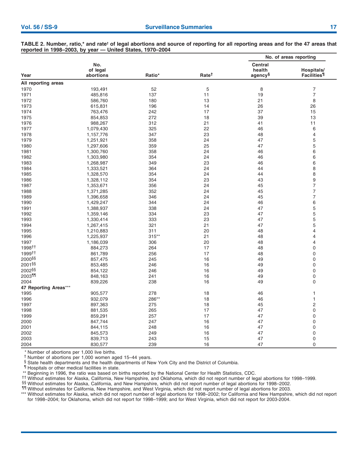|                       |                              |            |                   |                                          | No. of areas reporting                        |
|-----------------------|------------------------------|------------|-------------------|------------------------------------------|-----------------------------------------------|
| Year                  | No.<br>of legal<br>abortions | Ratio*     | Rate <sup>†</sup> | Central<br>health<br>agency <sup>§</sup> | Hospitals/<br><b>Facilities</b> <sup>11</sup> |
| All reporting areas   |                              |            |                   |                                          |                                               |
| 1970                  | 193,491                      | 52         | 5                 | 8                                        | $\overline{7}$                                |
| 1971                  | 485,816                      | 137        | 11                | 19                                       | $\overline{7}$                                |
| 1972                  | 586,760                      | 180        | 13                | 21                                       | 8                                             |
| 1973                  | 615,831                      | 196        | 14                | 26                                       | 26                                            |
| 1974                  | 763,476                      | 242        | 17                | 37                                       | 15                                            |
| 1975                  | 854,853                      | 272        | 18                | 39                                       | 13                                            |
| 1976                  | 988,267                      | 312        | 21                | 41                                       | 11                                            |
| 1977                  | 1,079,430                    | 325        | 22                | 46                                       | 6                                             |
| 1978                  | 1,157,776                    | 347        | 23                | 48                                       | 4                                             |
| 1979                  | 1,251,921                    | 358        | 24                | 47                                       | 5                                             |
| 1980                  | 1,297,606                    | 359        | 25                | 47                                       | 5                                             |
| 1981                  | 1,300,760                    | 358        | 24                | 46                                       | 6                                             |
| 1982                  | 1,303,980                    | 354        | 24                | 46                                       | 6                                             |
| 1983                  | 1,268,987                    | 349        | 23                | 46                                       | 6                                             |
| 1984                  | 1,333,521                    | 364        | 24                | 44                                       | 8                                             |
| 1985                  | 1,328,570                    | 354        | 24                | 44                                       | 8                                             |
| 1986                  | 1,328,112                    | 354        | 23                | 43                                       | 9                                             |
| 1987                  | 1,353,671                    | 356        | 24                | 45                                       | $\overline{7}$                                |
| 1988                  | 1,371,285                    | 352        | 24                | 45                                       | $\overline{7}$                                |
| 1989                  | 1,396,658                    | 346        | 24                | 45                                       | $\overline{\mathcal{I}}$                      |
| 1990                  | 1,429,247                    | 344        | 24                | 46                                       | 6                                             |
| 1991                  | 1,388,937                    | 338        | 24                | 47                                       | 5                                             |
| 1992                  | 1,359,146                    | 334        | 23                | 47                                       | 5                                             |
| 1993                  | 1,330,414                    | 333        | 23                | 47                                       | 5                                             |
| 1994                  | 1,267,415                    | 321        | 21                | 47                                       | 5                                             |
| 1995                  | 1,210,883                    | 311        | 20                | 48                                       | 4                                             |
| 1996                  | 1,225,937                    | $315***$   | 21                | 48                                       | 4                                             |
| 1997                  | 1,186,039                    | 306        | 20                | 48                                       | 4                                             |
| 1998 <sup>††</sup>    | 884,273                      | 264        | 17                | 48                                       | 0                                             |
| 1999††                | 861,789                      | 256        | 17                | 48                                       | 0                                             |
| 2000 <sup>§§</sup>    | 857,475                      | 245        | 16                | 49                                       | 0                                             |
| 2001 <sup>§§</sup>    | 853,485                      | 246        | 16                | 49                                       | $\pmb{0}$                                     |
| 2002§§                | 854,122                      | 246        | 16                | 49                                       | 0                                             |
| 2003111               | 848,163                      | 241        | 16                | 49                                       | 0                                             |
| 2004                  | 839,226                      | 238        | 16                | 49                                       | 0                                             |
| 47 Reporting Areas*** |                              |            |                   |                                          |                                               |
| 1995                  | 905,577                      | 278        | 18                | 46                                       | 1                                             |
| 1996                  | 932,079                      | 286**      | 18                | 46                                       | $\mathbf{1}$                                  |
| 1997                  | 897,363                      | 275        | 18                | 45                                       | $\overline{c}$                                |
| 1998                  | 881,535                      | 265        | 17                | 47                                       | $\pmb{0}$                                     |
| 1999                  | 859,291                      | 257        | 17                | 47                                       | $\mathsf 0$                                   |
| 2000                  |                              | 247        | 16                | 47                                       | 0                                             |
|                       | 847,744                      |            |                   |                                          |                                               |
| 2001                  | 844,115                      | 248        | 16                | 47                                       | 0                                             |
| 2002<br>2003          | 845,573<br>839,713           | 249<br>243 | 16<br>15          | 47<br>47                                 | 0<br>0                                        |
| 2004                  | 830,577                      | 239        | 16                | 47                                       | $\mathbf{0}$                                  |
|                       |                              |            |                   |                                          |                                               |

**TABLE 2. Number, ratio,\* and rate† of legal abortions and source of reporting for all reporting areas and for the 47 areas that reported in 1998–2003, by year — United States, 1970–2004**

\* Number of abortions per 1,000 live births.

† Number of abortions per 1,000 women aged 15–44 years.

§ State health departments and the health departments of New York City and the District of Columbia.

¶ Hospitals or other medical facilities in state.

\*\* Beginning in 1996, the ratio was based on births reported by the National Center for Health Statistics, CDC.

†† Without estimates for Alaska, California, New Hampshire, and Oklahoma, which did not report number of legal abortions for 1998–1999.

§§ Without estimates for Alaska, California, and New Hampshire, which did not report number of legal abortions for 1998–2002.

¶¶ Without estimates for California, New Hampshire, and West Virginia, which did not report number of legal abortions for 2003.

\*\*\* Without estimates for Alaska, which did not report number of legal abortions for 1998-2002; for California and New Hampshire, which did not report for 1998–2004; for Oklahoma, which did not report for 1998–1999; and for West Virginia, which did not report for 2003-2004.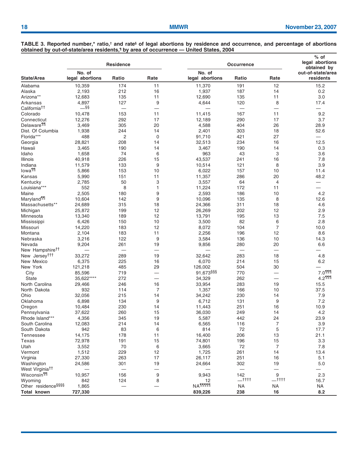**% of legal abortions Residence Occurrence obtained by No. of No. of out-of-state/area State/Area legal abortions Ratio Rate legal abortions Ratio Rate residents** Alabama 10,359 174 11 11,370 191 12 15.2 Alaska 2,193 212 16 1,937 187 14 0.2 Arizona\*\* 12,683 135 11 12,690 135 11 3.0 Arkansas 4,897 127 9 4,644 120 8 17.4 California†† —§§ —— — — — — Colorado 10,478 153 11 11,415 167 11 9.2 Connecticut 12,276 292 17 12,189 290 17 3.7 Delaware¶¶ 3,469 305 20 4,588 404 26 28.9 Dist. Of Columbia 1,938 244 14 2,401 303 18 52.6 Florida\*\*\* 488 2 0 91,710 421 27 — Georgia 28,821 208 14 32,513 234 16 12.5 Hawaii 3,465 190 14 3,467 190 14 0.3 Idaho 1,658 74 6 963 43 3 3.6 Illinois 40,918 226 15 43,537 241 16 7.8 Indiana 11,579 133 9 10,514 121 8 3.9 Iowa¶¶ 5,866 153 10 6,022 157 10 11.4 Kansas 5,990 151 11 11,357 286 20 48.2 Kentucky 2,785 50 3 3,557 64 4 — Louisiana\*\*\* 552 8 1 11,224 172 11 — Maine 2,505 180 9 2,593 186 10 4.2 Maryland¶¶ 10,604 142 9 10,096 135 8 12.6 Massachusetts\*\* 24,689 315 18 24,366 311 18 4.6 Michigan 25,872 199 12 26,269 202 12 2.9 Minnesota 13,340 189 12 13,791 195 13 7.5 Mississippi 6,426 150 10 3,500 82 6 2.8 Missouri 14,220 183 12 8,072 104 7 10.0 Montana 2,104 183 11 2,256 196 12 8.6 Nebraska 3,216 122 9 3,584 136 10 14.3 Nevada 9,204 261 19 9,856 280 20 6.6 New Hampshire<sup>††</sup> New Jersey††† 33,272 289 19 32,642 283 18 4.8 New Mexico 6,375 225 16 6,070 214 15 6.2 New York 121,218 485 29 126,002 504 30 — City 85,596 719 — 91,673§§§ 770 — 7.0¶¶¶ State 35,622\*\*\*\* 272 — 34,329 262 — 4.2¶¶¶ North Carolina 29,466 246 16 33,954 283 19 15.5 North Dakota 932 114 7 1,357 166 10 37.5 Ohio 32,056 215 14 34,242 230 14 7.9 Oklahoma 6,898 134 9 6,712 131 9 7.2 Oregon 10,484 230 14 11,443 251 16 10.9 Pennsylvania 37,622 260 15 36,030 249 14 4.2 Rhode Island\*\*\* 4,356 345 19 5,587 442 24 23.9 South Carolina 12,083 214 14 6,565 116 7 3.9 South Dakota 942 83 6 814 72 5 17.7 Tennessee 14,175 178 11 16,400 206 13 21.1 Texas 72,978 191 15 74,801 196 15 3.3 Utah 3,552 70 6 3,665 72 7 7.8 Vermont 1,512 229 12 1,725 261 14 13.4 Virginia 27,330 263 17 26,117 251 16 5.1 Washington 24,586 301 19 24,664 302 19 5.0 West Virginia†† — —— — — — — Wisconsin¶¶ 10,957 156 9 9,943 142 9 2.3 Wyoming 842 124 8 12 —†††† —†††† 16.7 Other residence<sup>§§§§</sup> 1,865 — — NA¶¶¶¶ NA NA NA NA **Total known 727,330 839,226 238 16 8.2**

TABLE 3. Reported number,\* ratio,† and rate<sup>§</sup> of legal abortions by residence and occurrence, and percentage of abortions **obtained by out-of-state/area residents,¶ by area of occurrence — United States, 2004**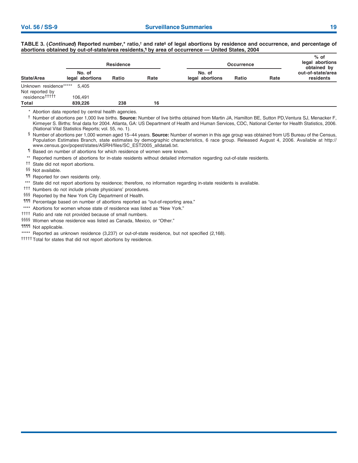#### **TABLE 3. (***Continued***) Reported number,\* ratio,† and rate§ of legal abortions by residence and occurrence, and percentage of abortions obtained by out-of-state/area residents,¶ by area of occurrence — United States, 2004**

|                                               |                           | <b>Residence</b> |      |                           | <b>Occurrence</b> |      | $%$ of<br>legal abortions<br>obtained by |
|-----------------------------------------------|---------------------------|------------------|------|---------------------------|-------------------|------|------------------------------------------|
| State/Area                                    | No. of<br>legal abortions | Ratio            | Rate | No. of<br>legal abortions | Ratio             | Rate | out-of-state/area<br>residents           |
| Unknown residence*****                        | 5.405                     |                  |      |                           |                   |      |                                          |
| Not reported by<br>residence <sup>†††††</sup> | 106.491                   |                  |      |                           |                   |      |                                          |
| Total                                         | 839.226                   | 238              | 16   |                           |                   |      |                                          |

\* Abortion data reported by central health agencies.

† Number of abortions per 1,000 live births. **Source:** Number of live births obtained from Martin JA, Hamilton BE, Sutton PD,Ventura SJ, Menacker F, Kirmeyer S. Births: final data for 2004. Atlanta, GA: US Department of Health and Human Services, CDC, National Center for Health Statistics, 2006. (National Vital Statistics Reports; vol. 55, no. 1).

§ Number of abortions per 1,000 women aged 15–44 years. **Source:** Number of women in this age group was obtained from US Bureau of the Census, Population Estimates Branch, state estimates by demographic characteristics, 6 race group. Released August 4, 2006. Available at [http://](http://www.census.gov/popest/states/ASRH/files/SC_EST2005_alldata6.txt) [www.census.gov/popest/states/ASRH/files/SC\\_EST2005\\_alldata6.txt.](http://www.census.gov/popest/states/ASRH/files/SC_EST2005_alldata6.txt)

¶ Based on number of abortions for which residence of women were known.

\*\* Reported numbers of abortions for in-state residents without detailed information regarding out-of-state residents.

†† State did not report abortions.

§§ Not available.

**11** Reported for own residents only.

State did not report abortions by residence; therefore, no information regarding in-state residents is available.

††† Numbers do not include private physicians' procedures.

§§§ Reported by the New York City Department of Health.

¶¶¶ Percentage based on number of abortions reported as "out-of-reporting area."

\*\*\*\* Abortions for women whose state of residence was listed as "New York."

†††† Ratio and rate not provided because of small numbers.

§§§§ Women whose residence was listed as Canada, Mexico, or "Other."

¶¶¶¶ Not applicable.

\*\*\*\*\* Reported as unknown residence (3,237) or out-of-state residence, but not specified (2,168).

††††† Total for states that did not report abortions by residence.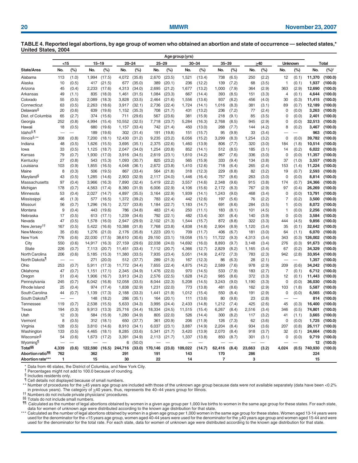|                              | <15                      |       | $15 - 19$ |        | $20 - 24$        |        | $25 - 29$        |        | 30-34            |        | 35-39  |        |        | >40   | <b>Unknown</b>           |       |                 | <b>Total</b>    |
|------------------------------|--------------------------|-------|-----------|--------|------------------|--------|------------------|--------|------------------|--------|--------|--------|--------|-------|--------------------------|-------|-----------------|-----------------|
| State/Area                   | No.                      | (%)   | No.       | (%)    | No.              | $(\%)$ | No.              | (%)    | No.              | $(\%)$ | No.    | $(\%)$ | No.    | (%)   | No.                      | (%)   | No.             | $(%)^{\dagger}$ |
| Alabama                      | 113                      | (1.0) | 1,994     | (17.5) | 4,072            | (35.8) | 2,670            | (23.5) | 1,521            | (13.4) | 738    | (6.5)  | 250    | (2.2) | 12                       | (0.1) | 11,370          | (100.0)         |
| Alaska                       | 10                       | (0.5) | 417       | (21.5) | 677              | (35.0) | 389              | (20.1) | 236              | (12.2) | 139    | (7.2)  | 68     | (3.5) | 1                        | (0.1) | 1,937           | (100.0)         |
| Arizona                      | 45                       | (0.4) | 2,233     | (17.6) | 4,313            | (34.0) | 2,695            | (21.2) | 1,677            | (13.2) | 1,000  | (7.9)  | 364    | (2.9) | 363                      | (2.9) | 12,690          | (100.0)         |
| Arkansas                     | 49                       | (1.1) | 835       | (18.0) | 1,461            | (31.5) | 1,084            | (23.3) | 667              | (14.4) | 393    | (8.5)  | 151    | (3.3) | 4                        | (0.1) | 4,644           | (100.0)         |
| Colorado                     | 55                       | (0.5) | 2,089     | (18.3) | 3,828            | (33.5) | 2,464            | (21.6) | 1,556            | (13.6) | 937    | (8.2)  | 456    | (4.0) | 30                       | (0.3) | 11,415          | (100.0)         |
| Connecticut                  | 63                       | (0.5) | 2,263     | (18.6) | 3,917            | (32.1) | 2,736            | (22.4) | 1,724            | (14.1) | 1,016  | (8.3)  | 381    | (3.1) | 89                       | (0.7) | 12,189          | (100.0)         |
| Delaware <sup>§</sup>        | 20                       | (0.6) | 639       | (19.6) | 1,152            | (35.3) | 708              | (21.7) | 431              | (13.2) | 236    | (7.2)  | 77     | (2.4) | 0                        | (0.0) | 3,263           | (100.0)         |
| Dist. of Columbia            | 65                       | (2.7) | 374       | (15.6) | 711              | (29.6) | 567              | (23.6) | 381              | (15.9) | 218    | (9.1)  | 85     | (3.5) | 0                        | (0.0) | 2,401           | (100.0)         |
| Georgia                      | 252                      | (0.8) | 4,994     | (15.4) | 10,552           | (32.5) | 7,718            | (23.7) | 5,284            | (16.3) | 2,768  | (8.5)  | 945    | (2.9) | 0                        | (0.0) | 32,513          | (100.0)         |
| Hawaii                       | 18                       | (0.5) | 680       | (19.6) | 1,157            | (33.4) | 742              | (21.4) | 450              | (13.0) | 268    | (7.7)  | 144    | (4.2) | 8                        | (0.2) | 3,467           | (100.0)         |
| !daho <sup>§,¶</sup>         |                          |       | 189       | (19.6) | 302              | (31.4) | 191              | (19.8) | 151              | (15.7) | 95     | (9.9)  | 33     | (3.4) |                          |       | 963             | (100.0)         |
| lllinois <sup>§,</sup> **    | 308                      | (0.8) | 7,200     | (18.1) | 12,430           | (31.2) | 9,235            | (23.2) | 6,056            | (15.2) | 3,299  | (8.3)  | 1,254  | (3.2) | 0                        | (0.0) | 39,782          | (100.0)         |
| Indiana                      | 48                       | (0.5) | 1,626     | (15.5) | 3,695            | (35.1) | 2,375            | (22.6) | 1,460            | (13.9) | 806    | (7.7)  | 320    | (3.0) | 184                      | (1.8) | 10,514          | (100.0)         |
| lowa                         | 33                       | (0.5) | 1,125     | (18.7) | 2,047            | (34.0) | 1,254            | (20.8) | 852              | (14.1) | 512    | (8.5)  | 185    | (3.1) | 14                       | (0.2) | 6,022           | (100.0)         |
| Kansas                       | 79                       | (0.7) | 1,930     | (17.0) | 3,916            | (34.5) | 2,619            | (23.1) | 1,610            | (14.2) | 867    | (7.6)  | 336    | (3.0) | $\mathbf 0$              | (0.0) | 11,357          | (100.0)         |
| Kentucky                     | 27                       | (0.8) | 543       | (15.3) | 1,093            | (30.7) | 825              | (23.2) | 565              | (15.9) | 333    | (9.4)  | 134    | (3.8) | 37                       | (1.0) | 3,557           | (100.0)         |
| Louisiana                    | 103                      | (0.9) | 1,855     | (16.5) | 4,048            | (36.1) | 2,672            | (23.8) | 1,410            | (12.6) | 718    | (6.4)  | 265    | (2.4) | 153                      | (1.4) | 11,224          | (100.0)         |
| Maine                        | 8                        | (0.3) | 506       | (19.5) | 867              | (33.4) | 564              | (21.8) | 318              | (12.3) | 229    | (8.8)  | 82     | (3.2) | 19                       | (0.7) | 2,593           | (100.0)         |
| Maryland <sup>§</sup>        | 43                       | (0.5) | 1,285     | (14.6) | 2,903            | (32.9) | 2,117            | (24.0) | 1,446            | (16.4) | 757    | (8.6)  | 263    | (3.0) | 0                        | (0.0) | 8,814           | (100.0)         |
| Massachusetts                | 97                       | (0.4) | 3,966     | (16.3) | 7,890            | (32.4) | 5,419            | (22.2) | 3,557            | (14.6) | 2,348  | (9.6)  | 915    | (3.8) | 174                      | (0.7) | 24,366          | (100.0)         |
| Michigan                     | 178                      | (0.7) | 4,563     | (17.4) | 8,380            | (31.9) | 6,006            | (22.9) | 4,106            | (15.6) | 2,172  | (8.3)  | 767    | (2.9) | 97                       | (0.4) | 26,269          | (100.0)         |
| Minnesota                    | 53                       | (0.4) | 2,027     | (14.7) | 4,897            | (35.5) | 3,164            | (22.9) | 1,939            | (14.1) | 1,243  | (9.0)  | 468    | (3.4) | 0                        | (0.0) | 13,791          | (100.0)         |
| Mississippi                  | 46                       | (1.3) | 577       | (16.5) | 1,372            | (39.2) | 783              | (22.4) | 442              | (12.6) | 197    | (5.6)  | 76     | (2.2) | 7                        | (0.2) | 3,500           | (100.0)         |
| Missouri                     | 56                       | (0.7) | 1,296     | (16.1) | 2,727            | (33.8) | 1,184            | (22.7) | 1,183            | (14.7) | 691    | (8.6)  | 284    | (3.5) | 1                        | (0.0) | 8,072           | (100.0)         |
| Montana                      | 9                        | (0.4) | 443       | (19.6) | 786              | (34.8) | 483              | (21.4) | 250              | (11.1) | 183    | (8.1)  | 101    | (4.5) | 1                        | (0.0) | 2,256           | (100.0)         |
| Nebraska                     | 17                       | (0.5) | 613       | (17.1) | 1,239            | (34.6) | 792              | (22.1) | 482              | (13.4) | 301    | (8.4)  | 140    | (3.9) | 0                        | (0.0) | 3,584           | (100.0)         |
| Nevada                       | 47                       | (0.5) | 1,578     | (16.0) | 2,947            | (29.9) | 2,102            | (21.3) | 1,544            | (15.7) | 872    | (8.8)  | 322    | (3.3) | 444                      | (4.5) | 9,856           | (100.0)         |
| New Jersey <sup>††</sup>     | 167                      | (0.5) | 5,422     | (16.6) | 10,388           | (31.8) | 7,768            | (23.8) | 4,838            | (14.8) | 2,904  | (8.9)  | 1,120  | (3.4) | 35                       | (0.1) | 32,642          | (100.0)         |
| New Mexico                   | 35                       | (0.6) | 1,276     | (21.0) | 2,176            | (35.8) | 1,223            | (20.1) | 709              | (11.7) | 406    | (6.7)  | 181    | (3.0) | 64                       | (1.1) | 6,070           | (100.0)         |
| New York                     | 776                      | (0.6) | 22,030    | (17.5) | 38,610           | (30.6) | 29,150           | (23.1) | 19,058           | (15.1) | 11,722 | (9.3)  | 4,313  | (3.4) | 343                      | (0.3) | 126,002         | (100.0)         |
| City                         | 550                      | (0.6) | 14,917    | (16.3) | 27,159           | (29.6) | 22,038           | (24.0) | 14,692           | (16.0) | 8,893  | (9.7)  | 3,148  | (3.4) | 276                      | (0.3) | 91,673          | (100.0)         |
| <b>State</b>                 | 226                      | (0.7) | 7,113     | (20.7) | 11,451           | (33.4) | 7,112            | (20.7) | 4,366            | (12.7) | 2,829  | (8.2)  | 1,165  | (3.4) | 67                       | (0.2) | 34,329          | (100.0)         |
| North Carolina               | 206                      | (0.6) | 5,185     | (15.3) | 11,380           | (33.5) | 7,935            | (23.4) | 5,051            | (14.9) | 2,472  | (7.3)  | 783    | (2.3) | 942                      | (2.8) | 33,954          | (100.0)         |
| North Dakota <sup>¶</sup>    | $\overline{\phantom{0}}$ |       | 271       | (20.0) | 512              | (37.7) | 289              | (21.3) | 167              | (12.3) | 86     | (6.3)  | 28     | (2.1) | $\overline{\phantom{0}}$ |       | 1,357           | (100.0)         |
| Ohio                         | 253                      | (0.7) | 5,911     | (17.3) | 11,772           | (34.4) | 7,655            | (22.4) | 4,875            | (14.2) | 2,589  | (7.6)  | 978    | (2.9) | 209                      | (0.6) | 34,242          | (100.0)         |
| Oklahoma                     | 47                       | (0.7) | 1,151     | (17.1) | 2,345            | (34.9) | 1,476            | (22.0) | 970              | (14.5) | 533    | (7.9)  | 183    | (2.7) | 7                        | (0.1) | 6,712           | (100.0)         |
| Oregon                       | 51                       | (0.4) | 1,906     | (16.7) | 3,913            | (34.2) | 2,576            | (22.5) | 1,628            | (14.2) | 985    | (8.6)  | 372    | (3.3) | 12                       | (0.1) | 11,443          | (100.0)         |
| Pennsylvania                 | 245                      | (0.7) | 6,042     | (16.8) | 12,058           | (33.5) | 8,044            | (22.3) | 5,208            | (14.5) | 3,243  | (9.0)  | 1,190  | (3.3) | 0                        | (0.0) | 36,030          | (100.0)         |
| Rhode Island                 | 25                       | (0.4) | 974       | (17.4) | 1,838            | (32.9) | 1,231            | (22.0) | 773              | (13.8) | 481    | (8.6)  | 162    | (2.9) | 103                      | (1.8) | 5,587           | (100.0)         |
| South Carolina               | 44                       | (0.7) | 1,139     | (17.3) | 2,188            | (33.3) | 1,441            | (21.9) | 1,012            | (15.4) | 550    | (8.4)  | 191    | (2.9) | 0                        | (0.0) | 6,565           | (100.0)         |
| South Dakota¶                | $\overline{\phantom{0}}$ |       | 148       | (18.2) | 286              | (35.1) | 164              | (20.1) | 111              | (13.6) | 80     | (9.8)  | 23     | (2.8) |                          |       | 814             | (100.0)         |
| Tennessee                    | 119                      | (0.7) | 2,538     | (15.5) | 5,633            | (34.3) | 3,995            | (24.4) | 2,433            | (14.8) | 1,212  | (7.4)  | 425    | (2.6) | 45                       | (0.3) | 16,400          | (100.0)         |
| Texas                        | 194                      | (0.3) | 9,913     | (13.3) | 25,716           | (34.4) | 18,334           | (24.5) | 11,515           | (15.4) | 6,267  | (8.4)  | 2,516  | (3.4) | 346                      | (0.5) | 74,801          | (100.0)         |
| Utah                         | 12                       | (0.3) | 584       | (15.9) | 1,280            | (34.9) | 805              | (22.0) | 526              | (14.4) | 300    | (8.2)  | 117    | (3.2) | 41                       | (1.1) | 3,665           | (100.0)         |
| Vermont                      | 8                        | (0.5) | 312       | (18.1) | 650              | (37.7) | 361              | (20.9) | 206              | (11.9) | 126    | (7.3)  | 62     | (3.6) | 0                        | (0.0) | 1,725           | (100.0)         |
| Virginia                     | 128                      | (0.5) | 3,810     | (14.6) | 8,910            | (34.1) | 6,037            | (23.1) | 3,887            | (14.9) | 2,204  | (8.4)  | 934    | (3.6) | 207                      | (0.8) | 26,117          | (100.0)         |
| Washington                   | 133                      | (0.5) | 4,465     | (18.1) | 8,285            | (33.6) | 5,341            | (21.7) | 3,420            | (13.9) | 2,070  | (8.4)  | 918    | (3.7) | 32                       | (0.1) | 24,664          | (100.0)         |
| Wisconsin <sup>§</sup>       | 54                       | (0.6) | 1,673     | (17.2) | 3,391            | (34.9) | 2,113            | (21.7) | 1,337            | (13.8) | 850    | (8.7)  | 301    | (3.1) | 0                        | (0.0) | 9,719           | (100.0)         |
| Wyoming¶                     |                          |       |           |        | 6                | (50.0) |                  |        |                  |        |        |        |        |       |                          |       | 12              | (100.0)         |
| Total <sup>§§</sup>          | 4,339                    | (0.6) | 122,590   |        | $(16.5)$ 244,716 |        | $(33.0)$ 170,146 |        | $(23.0)$ 109,022 | (14.7) | 62,416 | (8.4)  | 23,663 | (3.2) | 4,024                    |       | $(0.5)$ 740,930 | (100.0)         |
| Abortion ratio <sup>¶¶</sup> | 762                      |       | 362       |        | 291              |        | 191              |        | 143              |        | 170    |        | 286    |       |                          |       | 224             |                 |

**TABLE 4. Reported legal abortions, by age group of women who obtained an abortion and state of occurrence — selected states,\* United States, 2004 Age group (yrs)**

\* Data from 46 states, the District of Columbia, and New York City.

† Percentages might not add to 100.0 because of rounding.

§ Includes residents only.

¶ Cell details not displayed because of small numbers.

\*\* Number of procedures for the  $\geq$ 45 years age group are included with those of the unknown age group because data were not available separately (data have been <0.2% in previous years). The category of  $\geq$ 40 years, thus, represents the 40–44 years group for Illinois.

**Abortion rate\*\*\* 1 15 30 22 14 7 3 15**

†† Numbers do not include private physicians' procedures.

§§ Totals do not include small numbers.<br><sup>11</sup> Calculated as the number of legal ab

Calculated as the number of legal abortions obtained by women in a given age group per 1,000 live births to women in the same age group for these states. For each state, data for women of unknown age were distributed according to the known age distribution for that state.

Calculated as the number of legal abortions obtained by women in a given age group per 1,000 women in the same age group for these states. Women aged 13-14 years were used for the denominator for the <15 years age group, women aged 40-44 years were used for the denominator for the  $\geq 40$  years age group and women aged 15-44 and were used for the denominator for the total rate. For each state, data for women of unknown age were distributed according to the known age distribution for that state.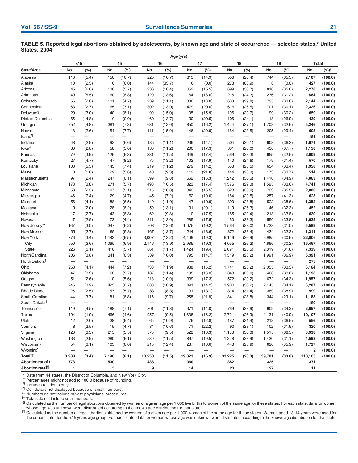|                              |                          |                          |                          |                          |                          |                          | Age (yrs)                |                          |                          |                          |                          |                          |         |                 |
|------------------------------|--------------------------|--------------------------|--------------------------|--------------------------|--------------------------|--------------------------|--------------------------|--------------------------|--------------------------|--------------------------|--------------------------|--------------------------|---------|-----------------|
|                              |                          | $<$ 15                   |                          | 15                       |                          | 16                       |                          | 17                       |                          | 18                       |                          | 19                       |         | <b>Total</b>    |
| State/Area                   | No.                      | (%)                      | No.                      | $(\%)$                   | No.                      | (%)                      | No                       | (%)                      | No.                      | (%)                      | No.                      | (%)                      | No.     | $(%)^{\dagger}$ |
| Alabama                      | 113                      | (5.4)                    | 156                      | (10.7)                   | 225                      | (10.7)                   | 313                      | (14.9)                   | 556                      | (26.4)                   | 744                      | (35.3)                   | 2,107   | (100.0)         |
| Alaska                       | 10                       | (2.3)                    | $\mathbf 0$              | (0.0)                    | 144                      | (33.7)                   | $\mathbf 0$              | (0.0)                    | 273                      | (63.9)                   | 0                        | (0.0)                    | 427     | (100.0)         |
| Arizona                      | 45                       | (2.0)                    | 130                      | (5.7)                    | 236                      | (10.4)                   | 352                      | (15.5)                   | 699                      | (30.7)                   | 816                      | (35.8)                   | 2,278   | (100.0)         |
| Arkansas                     | 49                       | (5.5)                    | 60                       | (6.8)                    | 120                      | (13.6)                   | 164                      | (18.6)                   | 215                      | (24.3)                   | 276                      | (31.2)                   | 884     | (100.0)         |
| Colorado                     | 55                       | (2.6)                    | 101                      | (4.7)                    | 239                      | (11.1)                   | 386                      | (18.0)                   | 638                      | (29.8)                   | 725                      | (33.8)                   | 2,144   | (100.0)         |
| Connecticut                  | 63                       | (2.7)                    | 165                      | (7.1)                    | 302                      | (13.0)                   | 479                      | (20.6)                   | 616                      | (26.5)                   | 701                      | (30.1)                   | 2,326   | (100.0)         |
| Delaware <sup>§</sup>        | 20                       | (3.0)                    | 40                       | (6.1)                    | 99                       | (15.0)                   | 105                      | (15.9)                   | 196                      | (29.7)                   | 199                      | (30.2)                   | 659     | (100.0)         |
| Dist. of Columbia            | 65                       | (14.8)                   | 0                        | (0.0)                    | 60                       | (13.7)                   | 90                       | (20.5)                   | 106                      | (24.1)                   | 118                      | (26.9)                   | 439     | (100.0)         |
| Georgia                      | 252                      | (4.8)                    | 381                      | (7.3)                    | 631                      | (12.0)                   | 850                      | (16.2)                   | 1,424                    | (27.1)                   | 1,708                    | (32.6)                   | 5,246   | (100.0)         |
| Hawaii                       | 18                       | (2.6)                    | 54                       | (7.7)                    | 111                      | (15.9)                   | 146                      | (20.9)                   | 164                      | (23.5)                   | 205                      | (29.4)                   | 698     | (100.0)         |
| ldaho¶                       | $\overline{\phantom{0}}$ | $\overline{\phantom{0}}$ | $\overline{\phantom{0}}$ |                          | $\overline{\phantom{0}}$ | $\overline{\phantom{0}}$ | $\overline{\phantom{0}}$ |                          | $\overline{\phantom{0}}$ | $\overline{\phantom{0}}$ | $\overline{\phantom{0}}$ |                          | 191     | (100.0)         |
| Indiana                      | 48                       | (2.9)                    | 93                       | (5.6)                    | 185                      | (11.1)                   | 236                      | (14.1)                   | 504                      | (30.1)                   | 608                      | (36.3)                   | 1,674   | (100.0)         |
| lowa§                        | 33                       | (2.8)                    | 58                       | (5.0)                    | 130                      | (11.2)                   | 200                      | (17.3)                   | 301                      | (26.0)                   | 436                      | (37.7)                   | 1,158   | (100.0)         |
| Kansas                       | 79                       | (3.9)                    | 126                      | (6.3)                    | 231                      | (11.5)                   | 349                      | (17.4)                   | 569                      | (28.3)                   | 655                      | (32.6)                   | 2,009   | (100.0)         |
| Kentucky                     | 27                       | (4.7)                    | 47                       | (8.2)                    | 75                       | (13.2)                   | 102                      | (17.9)                   | 140                      | (24.6)                   | 179                      | (31.4)                   | 570     | (100.0)         |
| Louisiana                    | 103                      | (5.3)                    | 145                      | (7.4)                    | 219                      | (11.2)                   | 279                      | (14.2)                   | 558                      | (28.5)                   | 654                      | (33.4)                   | 1,958   | (100.0)         |
| Maine                        | 8                        | (1.6)                    | 29                       | (5.6)                    | 48                       | (9.3)                    | 112                      | (21.8)                   | 144                      | (28.0)                   | 173                      | (33.7)                   | 514     | (100.0)         |
| Massachusetts                | 97                       | (2.4)                    | 247                      | (6.1)                    | 399                      | (9.8)                    | 662                      | (16.3)                   | 1,242                    | (30.6)                   | 1,416                    | (34.9)                   | 4,063   | (100.0)         |
| Michigan                     | 178                      | (3.8)                    | 271                      | (5.7)                    | 498                      | (10.5)                   | 823                      | (17.4)                   | 1,376                    | (29.0)                   | 1,595                    | (33.6)                   | 4,741   | (100.0)         |
| Minnesota                    | 53                       | (2.5)                    | 107                      | (5.1)                    | 215                      | (10.3)                   | 343                      | (16.5)                   | 623                      | (30.0)                   | 739                      | (35.5)                   | 2,080   | (100.0)         |
| Mississippi                  | 46                       | (7.4)                    | 29                       | (4.7)                    | 45                       | (7.2)                    | 62                       | (10.0)                   | 184                      | (29.5)                   | 257                      | (41.3)                   | 623     | (100.0)         |
| Missouri                     | 56                       | (4.1)                    | 88                       | (6.5)                    | 149                      | (11.0)                   | 147                      | (10.9)                   | 390                      | (28.8)                   | 522                      | (38.6)                   | 1,352   | (100.0)         |
| Montana                      | 9                        | (2.0)                    | 28                       | (6.2)                    | 59                       | (13.1)                   | 91                       | (20.1)                   | 119                      | (26.3)                   | 146                      | (32.3)                   | 452     | (100.0)         |
| Nebraska                     | 17                       | (2.7)                    | 43                       | (6.8)                    | 62                       | (9.8)                    | 110                      | (17.5)                   | 185                      | (29.4)                   | 213                      | (33.8)                   | 630     | (100.0)         |
| Nevada                       | 47                       | (2.9)                    | 72                       | (4.4)                    | 211                      | (13.0)                   | 285                      | (17.5)                   | 460                      | (28.3)                   | 550                      | (33.8)                   | 1,625   | (100.0)         |
| New Jersey**                 | 167                      | (3.0)                    | 347                      | (6.2)                    | 703                      | (12.6)                   | 1,075                    | (19.2)                   | 1,564                    | (28.0)                   | 1,733                    | (31.0)                   | 5,589   | (100.0)         |
| New Mexico                   | 35                       | (2.7)                    | 69                       | (5.3)                    | 167                      | (12.7)                   | 244                      | (18.6)                   | 372                      | (28.4)                   | 424                      | (32.3)                   | 1,311   | (100.0)         |
| New York                     | 776                      | (3.4)                    | 1,483                    | (6.5)                    | 3,007                    | (13.2)                   | 4,409                    | (19.3)                   | 6,146                    | (26.9)                   | 6,985                    | (30.6)                   | 22,806  | (100.0)         |
| City                         | 550                      | (3.6)                    | 1,065                    | (6.9)                    | 2,146                    | (13.9)                   | 2,985                    | (19.3)                   | 4,055                    | (26.2)                   | 4,666                    | (30.2)                   | 15,467  | (100.0)         |
| <b>State</b>                 | 226                      | (3.1)                    | 418                      | (5.7)                    | 861                      | (11.7)                   | 1,424                    | (19.4)                   | 2,091                    | (28.5)                   | 2,319                    | (31.6)                   | 7,339   | (100.0)         |
| North Carolina               | 206                      | (3.8)                    | 341                      | (6.3)                    | 539                      | (10.0)                   | 795                      | (14.7)                   | 1,519                    | (28.2)                   | 1,991                    | (36.9)                   | 5,391   | (100.0)         |
| North Dakota¶                |                          | $\overline{\phantom{0}}$ | $\overline{\phantom{0}}$ | $\overline{\phantom{0}}$ |                          | $\overline{\phantom{0}}$ | $\overline{\phantom{0}}$ | $\overline{\phantom{0}}$ |                          | $\overline{\phantom{0}}$ | $\overline{\phantom{0}}$ | $\overline{\phantom{0}}$ | 275     | (100.0)         |
| Ohio                         | 253                      | (4.1)                    | 444                      | (7.2)                    | 733                      | (11.9)                   | 938                      | (15.2)                   | 1,741                    | (28.2)                   | 2,055                    | (33.3)                   | 6,164   | (100.0)         |
| Oklahoma                     | 47                       | (3.9)                    | 68                       | (5.7)                    | 137                      | (11.4)                   | 195                      | (16.3)                   | 348                      | (29.0)                   | 403                      | (33.6)                   | 1,198   | (100.0)         |
| Oregon                       | 51                       | (2.6)                    | 110                      | (5.6)                    | 213                      | (10.9)                   | 339                      | (17.3)                   | 572                      | (29.2)                   | 672                      | (34.3)                   | 1,957   | (100.0)         |
| Pennsylvania                 | 245                      | (3.9)                    | 423                      | (6.7)                    | 683                      | (10.9)                   | 891                      | (14.2)                   | 1,900                    | (30.2)                   | 2,145                    | (34.1)                   | 6,287   | (100.0)         |
| Rhode Island                 | 25                       | (2.5)                    | 57                       | (5.7)                    | 83                       | (8.3)                    | 131                      | (13.1)                   | 314                      | (31.4)                   | 389                      | (38.9)                   | 999     | (100.0)         |
| South Carolina               | 44                       | (3.7)                    | 81                       | (6.8)                    | 115                      | (9.7)                    | 258                      | (21.8)                   | 341                      | (28.8)                   | 344                      | (29.1)                   | 1,183   | (100.0)         |
| South Dakota <sup>¶</sup>    | $\overline{\phantom{0}}$ | $\overline{\phantom{0}}$ |                          | $\overline{\phantom{0}}$ |                          |                          | $\overline{\phantom{0}}$ |                          |                          | $\overline{\phantom{0}}$ |                          | $\overline{\phantom{0}}$ | 150     | (100.0)         |
| Tennessee                    | 119                      | (4.5)                    | 188                      | (7.1)                    | 301                      | (11.3)                   | 371                      | (14.0)                   | 769                      | (28.9)                   | 909                      | (34.2)                   | 2,657   | (100.0)         |
| Texas                        | 194                      | (1.9)                    | 466                      | (4.6)                    | 957                      | (9.5)                    | 1,638                    | (16.2)                   | 2,721                    | (26.9)                   | 4,131                    | (40.9)                   | 10,107  | (100.0)         |
| Utah                         | 12                       | (2.0)                    | 38                       | (6.4)                    | 65                       | (10.9)                   | 76                       | (12.8)                   | 187                      | (31.4)                   | 218                      | (36.6)                   | 596     | (100.0)         |
| Vermont                      | 8                        | (2.5)                    | 15                       | (4.7)                    | 34                       | (10.6)                   | 71                       | (22.2)                   | 90                       | (28.1)                   | 102                      | (31.9)                   | 320     | (100.0)         |
| Virginia                     | 128                      | (3.3)                    | 215                      | (5.5)                    | 375                      | (9.5)                    | 522                      | (13.3)                   | 1,183                    | (30.0)                   | 1,515                    | (38.5)                   | 3,938   | (100.0)         |
| Washington                   | 133                      | (2.9)                    | 280                      | (6.1)                    | 530                      | (11.5)                   | 897                      | (19.5)                   | 1,328                    | (28.9)                   | 1,430                    | (31.1)                   | 4,598   | (100.0)         |
| Wisconsin <sup>§</sup>       | 54                       | (3.1)                    | 103                      | (6.0)                    | 215                      | (12.4)                   | 287                      | (16.6)                   | 448                      | (25.9)                   | 620                      | (35.9)                   | 1,727   | (100.0)         |
| Wyoming <sup>¶</sup>         | $\overline{\phantom{0}}$ |                          |                          | $\overline{\phantom{0}}$ |                          | $\overline{\phantom{0}}$ | $\overline{\phantom{0}}$ |                          |                          | $\overline{\phantom{0}}$ | -                        |                          | 2       | (100.0)         |
| Total <sup>tt</sup>          | 3,988                    | (3.4)                    | 7,198                    | (6.1)                    | 13,550                   | (11.5)                   | 19,823                   | (16.9)                   | 33,225                   | (28.3)                   | 39,701                   | (33.8)                   | 118,103 | (100.0)         |
| Abortion ratio <sup>§§</sup> | 773                      |                          | 530                      |                          | 438                      |                          | 360                      |                          | 382                      |                          | 325                      |                          | 371     |                 |
| Abortion rate <sup>111</sup> | $\mathbf{1}$             |                          | 5                        |                          | 9                        |                          | 14                       |                          | 23                       |                          | 27                       |                          | 11      |                 |

**TABLE 5. Reported legal abortions obtained by adolescents, by known age and state of occurrence — selected states,\* United States, 2004**

\* Data from 44 states, the District of Columbia, and New York City. † Percentages might not add to 100.0 because of rounding.

§ Includes residents only.

¶ Cell details not displayed because of small numbers. \*\* Numbers do not include private physicians' procedures.

†† Totals do not include small numbers.

§§ Calculated as the number of legal abortions obtained by women of a given age per 1,000 live births to women of the same age for these states. For each state, data for women whose age was unknown were distributed according to the known age distribution for that state.

**Iff** Calculated as the number of legal abortions obtained by women of a given age per 1,000 women of the same age for these states. Women aged 13-14 years were used for the denominator for the <15 years age group. For each state, data for women whose age was unknown were distributed according to the known age distribution for that state.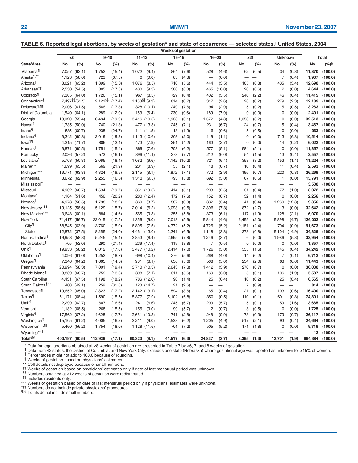|                             | Weeks of gestation |                            |          |        |                             |        |           |        |                |           |       |        |                |        |         |              |
|-----------------------------|--------------------|----------------------------|----------|--------|-----------------------------|--------|-----------|--------|----------------|-----------|-------|--------|----------------|--------|---------|--------------|
|                             | -8                 |                            | $9 - 10$ |        | $11 - 12$                   |        | $13 - 15$ |        |                | $16 - 20$ | $>21$ |        | Unknown        |        |         | <b>Total</b> |
| State/Area                  | No.                | $(\%)$                     | No.      | $(\%)$ | No.                         | $(\%)$ | No.       | $(\%)$ | No.            | $(\%)$    | No.   | $(\%)$ | No.            | $(\%)$ | No.     | (%)§         |
| Alabama <sup>11</sup>       | 7,057              | (62.1)                     | 1,753    | (15.4) | 1,072                       | (9.4)  | 864       | (7.6)  | 528            | (4.6)     | 62    | (0.5)  | 34             | (0.3)  | 11,370  | (100.0)      |
| Alaska <sup>¶,**</sup>      | 1,123              | (58.0)                     | 723      | (37.3) | 0                           | (0.0)  | 83        | (4.3)  |                | (0.0)     |       |        | $\overline{7}$ | (0.4)  | 1,937   | (100.0)      |
| Arizona¶                    | 8,021              | (63.2)                     | 1,899    | (15.0) | 1,076                       | (8.5)  | 710       | (5.6)  | 444            | (3.5)     | 105   | (0.8)  | 435            | (3.4)  | 12,690  | (100.0)      |
| Arkansas <sup>††</sup>      | 2,530              | (54.5)                     | 805      | (17.3) | 430                         | (9.3)  | 386       | (8.3)  | 465            | (10.0)    | 26    | (0.6)  | $\overline{c}$ | (0.0)  | 4,644   | (100.0)      |
| Colorado <sup>11</sup>      | 7,305              | (64.0)                     | 1,720    | (15.1) | 967                         | (8.5)  | 729       | (6.4)  | 402            | (3.5)     | 246   | (2.2)  | 46             | (0.4)  | 11,415  | (100.0)      |
| Connecticut <sup>¶</sup>    |                    | 7,497 <sup>§§</sup> (61.5) | 2,121§§  | (17.4) | $1,133$ <sup>§§</sup> (9.3) |        | 814       | (6.7)  | 317            | (2.6)     | 28    | (0.2)  | 279            | (2.3)  | 12,189  | (100.0)      |
| Delaware <sup>¶,111</sup>   | 2,006              | (61.5)                     | 566      | (17.3) | 328                         | (10.1) | 249       | (7.6)  | 94             | (2.9)     | 5     | (0.2)  | 15             | (0.5)  | 3,263   | (100.0)      |
| Dist. of Columbia           | 1,540              | (64.1)                     | 289      | (12.0) | 153                         | (6.4)  | 230       | (9.6)  | 189            | (7.9)     | 0     | (0.0)  | 0              | (0.0)  | 2,401   | (100.0)      |
| Georgia                     | 18,020             | (55.4)                     | 6,484    | (19.9) | 3,416                       | (10.5) | 1,968     | (6.1)  | 1,572          | (4.8)     | 1.053 | (3.2)  | $\mathbf 0$    | (0.0)  | 32,513  | (100.0)      |
| Hawaii <sup>¶</sup>         | 1,735              | (50.0)                     | 740      | (21.3) | 477                         | (13.8) | 245       | (7.1)  | 231            | (6.7)     | 24    | (0.7)  | 15             | (0.4)  | 3,467   | (100.0)      |
| Idaho <sup>¶</sup>          | 585                | (60.7)                     | 238      | (24.7) | 111                         | (11.5) | 18        | (1.9)  | 6              | (0.6)     | 5     | (0.5)  | 0              | (0.0)  | 963     | (100.0)      |
| Indiana <sup>1</sup>        | 6,342              | (60.3)                     | 2,019    | (19.2) | 1,113                       | (10.6) | 208       | (2.0)  | 119            | (1.1)     | 0     | (0.0)  | 713            | (6.8)  | 10,514  | (100.0)      |
| lowa <sup>¶¶</sup>          | 4,315              | (71.7)                     | 806      | (13.4) | 473                         | (7.9)  | 251       | (4.2)  | 163            | (2.7)     | 0     | (0.0)  | 14             | (0.2)  | 6.022   | (100.0)      |
| Kansas¶                     | 6,871              | (60.5)                     | 1,751    | (15.4) | 866                         | (7.6)  | 708       | (6.2)  | 577            | (5.1)     | 584   | (5.1)  | $\mathbf 0$    | (0.0)  | 11,357  | (100.0)      |
| Kentucky                    | 2,036              | (57.2)                     | 573      | (16.1) | 396                         | (11.1) | 273       | (7.7)  | 212            | (6.0)     | 54    | (1.5)  | 13             | (0.4)  | 3,557   | (100.0)      |
| Louisiana <sup>11</sup>     | 5,703              | (50.8)                     | 2,065    | (18.4) | 1,082                       | (9.6)  | 1,142     | (10.2) | 721            | (6.4)     | 358   | (3.2)  | 153            | (1.4)  | 11,224  | (100.0)      |
| Maine***                    | 1,699              | (65.5)                     | 569      | (21.9) | 231                         | (8.9)  | 55        | (2.1)  | 18             | (0.7)     | 10    | (0.4)  | 11             | (0.4)  | 2,593   | (100.0)      |
| Michigan***                 | 16,771             | (63.8)                     | 4,324    | (16.5) | 2,115                       | (8.1)  | 1,872     | (7.1)  | 772            | (2.9)     | 195   | (0.7)  | 220            | (0.8)  | 26,269  | (100.0)      |
| Minnesota <sup>¶</sup>      | 8,672              | (62.9)                     | 2,253    | (16.3) | 1,313                       | (9.5)  | 793       | (5.8)  | 692            | (5.0)     | 67    | (0.5)  | 1              | (0.0)  | 13,791  | (100.0)      |
| Mississippi <sup>*</sup>    |                    |                            |          |        |                             |        |           |        |                |           |       |        |                |        | 3,500   | (100.0)      |
| Missouri                    | 4.902              | (60.7)                     | 1,594    | (19.7) | 851                         | (10.5) | 414       | (5.1)  | 203            | (2.5)     | 31    | (0.4)  | 77             | (1.0)  | 8,072   | (100.0)      |
| Montana <sup>11</sup>       | 1,164              | (51.6)                     | 456      | (20.2) | 280                         | (12.4) | 172       | (7.6)  | 152            | (6.7)     | 32    | (1.4)  | 0              | (0.0)  | 2,256   | (100.0)      |
| Nevada <sup>1</sup>         | 4,978              | (50.5)                     | 1,798    | (18.2) | 860                         | (8.7)  | 587       | (6.0)  | 332            | (3.4)     | 41    | (0.4)  | 1,260          | (12.8) | 9,856   | (100.0)      |
| New Jersey <sup>†††</sup>   | 19,125             | (58.6)                     | 5,129    | (15.7) | 2,014                       | (6.2)  | 3,093     | (9.5)  | 2,396          | (7.3)     | 872   | (2.7)  | 13             | (0.0)  | 32,642  | (100.0)      |
| New Mexico***               | 3,648              | (60.1)                     | 884      | (14.6) | 565                         | (9.3)  | 355       | (5.8)  | 373            | (6.1)     | 117   | (1.9)  | 128            | (2.1)  | 6,070   | (100.0)      |
| New York                    | 71,417             | (56.7)                     | 22,015   | (17.5) | 11,356                      | (9.0)  | 7,013     | (5.6)  | 5,844          | (4.6)     | 2,459 | (2.0)  | 5,898          | (4.7)  | 126,002 | (100.0)      |
| City <sup>1</sup>           | 58,545             | (63.9)                     | 13,760   | (15.0) | 6,895                       | (7.5)  | 4,772     | (5.2)  | 4,726          | (5.2)     | 2,181 | (2.4)  | 794            | (0.9)  | 91,673  | (100.0)      |
| <b>State</b>                | 12,872             | (37.5)                     | 8,255    | (24.0) | 4,461                       | (13.0) | 2,241     | (6.5)  | 1,118          | (3.3)     | 278   | (0.8)  | 5,104          | (14.9) | 34,329  | (100.0)      |
| North Carolina <sup>1</sup> | 19,953             | (58.8)                     | 5,245    | (15.4) | 2,853                       | (8.4)  | 2,665     | (7.8)  | 1,246          | (3.7)     | 6     | (0.0)  | 1,986          | (5.8)  | 33,954  | (100.0)      |
| North Dakota <sup>11</sup>  | 705                | (52.0)                     | 290      | (21.4) | 236                         | (17.4) | 119       | (8.8)  | $\overline{7}$ | (0.5)     | 0     | (0.0)  | 0              | (0.0)  | 1,357   | (100.0)      |
| Ohio <sup>¶</sup>           | 19,933             | (58.2)                     | 6,012    | (17.6) | 3,477                       | (10.2) | 2,414     | (7.0)  | 1,726          | (5.0)     | 535   | (1.6)  | 145            | (0.4)  | 34,242  | (100.0)      |
| Oklahoma <sup>11</sup>      | 4,096              | (61.0)                     | 1,253    | (18.7) | 698                         | (10.4) | 376       | (5.6)  | 268            | (4.0)     | 14    | (0.2)  | 7              | (0.1)  | 6,712   | (100.0)      |
| Oregon <sup>11</sup>        | 7,346              | (64.2)                     | 1,665    | (14.6) | 931                         | (8.1)  | 636       | (5.6)  | 568            | (5.0)     | 234   | (2.0)  | 63             | (0.6)  | 11,443  | (100.0)      |
| Pennsylvania                | 20,994             | (58.3)                     | 7,001    | (19.4) | 3,710                       | (10.3) | 2,643     | (7.3)  | 1,412          | (3.9)     | 270   | (0.7)  | 0              | (0.0)  | 36,030  | (100.0)      |
| Rhode Island <sup>¶</sup>   | 3,839              | (68.7)                     | 759      | (13.6) | 398                         | (7.1)  | 311       | (5.6)  | 169            | (3.0)     | 5     | (0.1)  | 106            | (1.9)  | 5,587   | (100.0)      |
| South Carolina              | 4,431              | (67.5)                     | 1,198    | (18.2) | 786                         | (12.0) | 90        | (1.4)  | 25             | (0.4)     | 10    | (0.2)  | 25             | (0.4)  | 6,565   | (100.0)      |
| South Dakota <sup>¶,*</sup> | 400                | (49.1)                     | 259      | (31.8) | 120                         | (14.7) | 21        | (2.6)  |                |           | 7     | (0.9)  |                |        | 814     | (100.0)      |
| Tennessee <sup>¶</sup>      | 10,652             | (65.0)                     | 2,823    | (17.2) | 2,142                       | (13.1) | 594       | (3.6)  | 65             | (0.4)     | 21    | (0.1)  | 103            | (0.6)  | 16,400  | (100.0)      |
| Texas¶                      | 51,171             | (68.4)                     | 11,590   | (15.5) | 5,877                       | (7.9)  | 5,102     | (6.8)  | 350            | (0.5)     | 110   | (0.1)  | 601            | (0.8)  | 74,801  | (100.0)      |
| Utah <sup>¶</sup>           | 2,299              | (62.7)                     | 607      | (16.6) | 241                         | (6.6)  | 245       | (6.7)  | 209            | (5.7)     | 5     | (0.1)  | 59             | (1.6)  | 3,665   | (100.0)      |
| Vermont                     | 1,182              | (68.5)                     | 268      | (15.5) | 156                         | (9.0)  | 99        | (5.7)  | 12             | (0.7)     | 8     | (0.5)  | 0              | (0.0)  | 1,725   | (100.0)      |
| Virginia <sup>¶</sup>       | 17,562             | (67.2)                     | 4,628    | (17.7) | 2,681                       | (10.3) | 741       | (2.8)  | 248            | (0.9)     | 78    | (0.3)  | 179            | (0.7)  | 26,117  | (100.0)      |
| Washington <sup>¶</sup>     | 15,105             | (61.2)                     | 4,005    | (16.2) | 2,211                       | (9.0)  | 1,528     | (6.2)  | 1,205          | (4.9)     | 517   | (2.1)  | 93             | (0.4)  | 24,664  | (100.0)      |
| Wisconsin <sup>††,¶¶</sup>  | 5,460              | (56.2)                     | 1,754    | (18.0) | 1,128                       | (11.6) | 701       | (7.2)  | 505            | (5.2)     | 171   | (1.8)  | 0              | (0.0)  | 9,719   | (100.0)      |
| Wyoming** <sup>,††</sup>    |                    |                            |          |        |                             |        |           |        |                |           |       |        |                |        | 12      | (100.0)      |
| Total <sup>§§§</sup>        | 400,197            | (60.5)                     | 112,936  | (17.1) | 60,323                      | (9.1)  | 41,517    | (6.3)  | 24,837         | (3.7)     | 8,365 | (1.3)  | 12,701         | (1.9)  | 664,384 | (100.0)      |

**TABLE 6. Reported legal abortions, by weeks of gestation\* and state of occurrence — selected states,† United States, 2004**

Data for legal abortions obtained at  $\leq8$  weeks of gestation are presented in Table 7 by  $\leq6$ , 7, and 8 weeks of gestation.

† Data from 42 states, the District of Columbia, and New York City; excludes one state (Nebraska) where gestational age was reported as unknown for >15% of women. § Percentages might not add to 100.0 because of rounding.

¶ Weeks of gestation based on physicians' estimates.

\*\* Cell details not displayed because of small numbers.

†† Weeks of gestation based on physicians' estimates only if date of last menstrual period was unknown.

§§ Numbers obtained at <12 weeks of gestation were redistributed.

¶¶ Includes residents only. \*\*\* Weeks of gestation based on date of last menstrual period only if physicians' estimates were unknown.

††† Numbers do not include private physicians' procedures.

§§§ Totals do not include small numbers.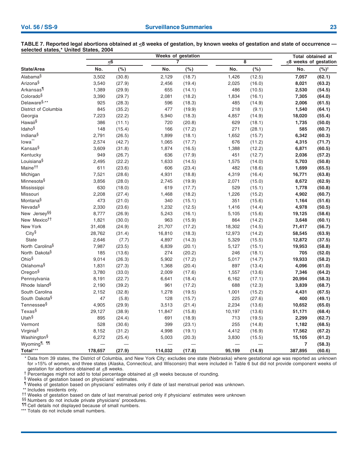**TABLE 7. Reported legal abortions obtained at <8 weeks of gestation, by known weeks of gestation and state of occurrence selected states,\* United States, 2004**

|                                                |         |        |         | Weeks of gestation |        |                |                             | Total obtained at |
|------------------------------------------------|---------|--------|---------|--------------------|--------|----------------|-----------------------------|-------------------|
|                                                |         | ≤6     |         | 7                  |        | $\overline{8}$ | $\leq$ 8 weeks of gestation |                   |
| State/Area                                     | No.     | (%)    | No.     | (%)                | No.    | (%)            | No.                         | $(%)^{\dagger}$   |
| Alabama <sup>§</sup>                           | 3,502   | (30.8) | 2,129   | (18.7)             | 1,426  | (12.5)         | 7,057                       | (62.1)            |
| Arizona <sup>§</sup>                           | 3,540   | (27.9) | 2,456   | (19.4)             | 2,025  | (16.0)         | 8,021                       | (63.2)            |
| Arkansas <sup>1</sup>                          | 1,389   | (29.9) | 655     | (14.1)             | 486    | (10.5)         | 2,530                       | (54.5)            |
| Colorado <sup>§</sup>                          | 3,390   | (29.7) | 2,081   | (18.2)             | 1,834  | (16.1)         | 7,305                       | (64.0)            |
| Delaware <sup>§,**</sup>                       | 925     | (28.3) | 596     | (18.3)             | 485    | (14.9)         | 2,006                       | (61.5)            |
| District of Columbia                           | 845     | (35.2) | 477     | (19.9)             | 218    | (9.1)          | 1,540                       | (64.1)            |
| Georgia                                        | 7,223   | (22.2) | 5,940   | (18.3)             | 4,857  | (14.9)         | 18,020                      | (55.4)            |
| Hawaii <sup>§</sup>                            | 386     | (11.1) | 720     | (20.8)             | 629    | (18.1)         | 1,735                       | (50.0)            |
| Idaho <sup>§</sup>                             | 148     | (15.4) | 166     | (17.2)             | 271    | (28.1)         | 585                         | (60.7)            |
| Indiana <sup>§</sup>                           | 2,791   | (26.5) | 1,899   | (18.1)             | 1,652  | (15.7)         | 6,342                       | (60.3)            |
| lowa <sup>*</sup>                              | 2,574   | (42.7) | 1,065   | (17.7)             | 676    | (11.2)         | 4,315                       | (71.7)            |
| Kansas§                                        | 3,609   | (31.8) | 1,874   | (16.5)             | 1,388  | (12.2)         | 6,871                       | (60.5)            |
| Kentucky                                       | 949     | (26.7) | 636     | (17.9)             | 451    | (12.7)         | 2,036                       | (57.2)            |
| Louisiana <sup>§</sup>                         | 2,495   | (22.2) | 1,633   | (14.5)             | 1,575  | (14.0)         | 5,703                       | (50.8)            |
| Maine <sup>††</sup>                            | 611     | (23.6) | 606     | (23.4)             | 482    | (18.6)         | 1,699                       | (65.5)            |
| Michigan                                       | 7,521   | (28.6) | 4,931   | (18.8)             | 4,319  | (16.4)         | 16,771                      | (63.8)            |
| Minnesota <sup>§</sup>                         | 3,856   | (28.0) | 2,745   | (19.9)             | 2,071  | (15.0)         | 8,672                       | (62.9)            |
| Mississippi                                    | 630     | (18.0) | 619     | (17.7)             | 529    | (15.1)         | 1,778                       | (50.8)            |
| Missouri                                       | 2,208   | (27.4) | 1,468   | (18.2)             | 1,226  | (15.2)         | 4,902                       | (60.7)            |
| Montana <sup>§</sup>                           | 473     | (21.0) | 340     | (15.1)             | 351    | (15.6)         | 1,164                       | (51.6)            |
| Nevada <sup>§</sup>                            | 2,330   | (23.6) | 1,232   | (12.5)             | 1,416  | (14.4)         | 4,978                       | (50.5)            |
| New Jersey <sup>§§</sup>                       | 8,777   | (26.9) | 5,243   | (16.1)             | 5,105  | (15.6)         | 19,125                      | (58.6)            |
| New Mexico <sup>††</sup>                       | 1,821   | (30.0) | 963     | (15.9)             | 864    | (14.2)         | 3,648                       | (60.1)            |
| New York                                       | 31,408  | (24.9) | 21,707  | (17.2)             | 18,302 | (14.5)         | 71,417                      | (56.7)            |
| City <sup>§</sup>                              | 28,762  |        | 16,810  | (18.3)             | 12,973 | (14.2)         | 58,545                      |                   |
| <b>State</b>                                   | 2,646   | (31.4) | 4,897   |                    |        | (15.5)         |                             | (63.9)            |
|                                                |         | (7.7)  |         | (14.3)             | 5,329  |                | 12,872                      | (37.5)            |
| North Carolina <sup>§</sup>                    | 7,987   | (23.5) | 6,839   | (20.1)             | 5,127  | (15.1)         | 19,953                      | (58.8)            |
| North Dakota <sup>§</sup><br>Ohio <sup>§</sup> | 185     | (13.6) | 274     | (20.2)             | 246    | (18.1)         | 705                         | (52.0)            |
|                                                | 9,014   | (26.3) | 5,902   | (17.2)             | 5,017  | (14.7)         | 19,933                      | (58.2)            |
| Oklahoma <sup>§</sup>                          | 1,831   | (27.3) | 1,368   | (20.4)             | 897    | (13.4)         | 4,096                       | (61.0)            |
| Oregon <sup>§</sup>                            | 3,780   | (33.0) | 2,009   | (17.6)             | 1,557  | (13.6)         | 7,346                       | (64.2)            |
| Pennsylvania                                   | 8,191   | (22.7) | 6,641   | (18.4)             | 6,162  | (17.1)         | 20,994                      | (58.3)            |
| Rhode Island <sup>§</sup>                      | 2,190   | (39.2) | 961     | (17.2)             | 688    | (12.3)         | 3,839                       | (68.7)            |
| South Carolina                                 | 2,152   | (32.8) | 1,278   | (19.5)             | 1,001  | (15.2)         | 4,431                       | (67.5)            |
| South Dakota <sup>§</sup>                      | 47      | (5.8)  | 128     | (15.7)             | 225    | (27.6)         | 400                         | (49.1)            |
| Tennessee <sup>§</sup>                         | 4,905   | (29.9) | 3,513   | (21.4)             | 2,234  | (13.6)         | 10,652                      | (65.0)            |
| Texas§                                         | 29,127  | (38.9) | 11,847  | (15.8)             | 10,197 | (13.6)         | 51,171                      | (68.4)            |
| Utah§                                          | 895     | (24.4) | 691     | (18.9)             | 713    | (19.5)         | 2,299                       | (62.7)            |
| Vermont                                        | 528     | (30.6) | 399     | (23.1)             | 255    | (14.8)         | 1,182                       | (68.5)            |
| Virginia <sup>§</sup>                          | 8,152   | (31.2) | 4,998   | (19.1)             | 4,412  | (16.9)         | 17,562                      | (67.2)            |
| Washington <sup>§</sup>                        | 6,272   | (25.4) | 5,003   | (20.3)             | 3,830  | (15.5)         | 15,105                      | (61.2)            |
| Wyoming <sup>¶, 11</sup>                       |         |        |         |                    |        |                | $\overline{7}$              | (58.3)            |
| Total***                                       | 178,657 | (27.9) | 114,032 | (17.8)             | 95,199 | (14.9)         | 387,895                     | (60.6)            |

\* Data from 39 states, the District of Columbia, and New York City; excludes one state (Nebraska) where gestational age was reported as unknown for >15% of women, and three states (Alaska, Connecticut, and Wisconsin) that were included in Table 6 but did not provide component weeks of

gestation for abortions obtained at ≤8 weeks.<br><sup>†</sup> Percentages might not add to total percentage obtained at ≤8 weeks because of rounding.<br>§ Weeks of gestation based on physicians' estimates.

% Weeks of gestation based on physicians' estimates.<br>
If Weeks of gestation based on physicians' estimates only if date of last menstrual period was unknown.

\*\* Includes residents only.

†† Weeks of gestation based on date of last menstrual period only if physicians' estimates were unknown §§ Numbers do not include private physicians' procedures.

¶¶ Cell details not displayed because of small numbers.

\*\*\* Totals do not include small numbers.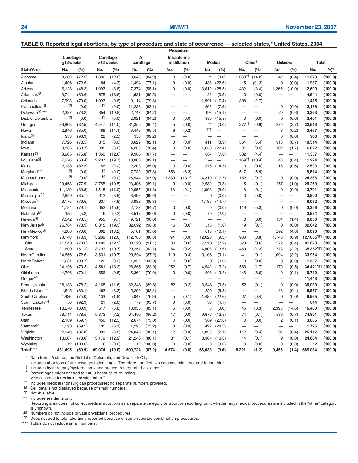|                                        | Procedure                    |         |          |                        |                               |         |             |                              |                            |                |                                          |                    |             |                |                   |                    |
|----------------------------------------|------------------------------|---------|----------|------------------------|-------------------------------|---------|-------------|------------------------------|----------------------------|----------------|------------------------------------------|--------------------|-------------|----------------|-------------------|--------------------|
|                                        | Curettage<br>$\leq$ 12 weeks |         |          | Curettage<br>>12 weeks | All<br>curettage <sup>t</sup> |         |             | Intrauterine<br>instillation |                            | <b>Medical</b> |                                          | Other <sup>§</sup> |             | <b>Unknown</b> | <b>Total</b>      |                    |
| <b>State/Area</b>                      | No.                          | (%)     | No.      | (%)                    | No.                           | (%)     | No.         | $(\%)$                       | No.                        | (%)            | No.                                      | (%)                | No.         | (%)            | No.               | $(%)$ <sup>1</sup> |
| Alabama                                | 8,239                        | (72.5)  | 1,386    | (12.2)                 | 9,648                         | (84.9)  | $\mathsf 0$ | (0.0)                        |                            | (0.0)          | $1,680^{\dagger\dagger}$                 | (14.8)             | 42          | (0.4)          | 11,370            | (100.0)            |
| Alaska                                 | 1,406                        | (72.6)  | 84       | (4.3)                  | 1,494                         | (77.1)  | $\pmb{0}$   | (0.0)                        | 438                        | (22.6)         | 5                                        | (03)               | $\mathbf 0$ | (0.0)          | 1,937             | (100.0)            |
| Arizona                                | 6,128                        | (48.3)  | 1,093    | (8.6)                  | 7,374                         | (58.1)  | $\mathbf 0$ | (0.0)                        | 3,619                      | (28.5)         | 432                                      | (3.4)              | 1,265       | (10.0)         | 12,690            | (100.0)            |
| Arkansas <sup>§§</sup>                 | 3,744                        | (80.6)  | 875      | (18.8)                 | 4,621                         | (99.5)  |             |                              | 22                         | (0.5)          | $\mathbf 0$                              | (0.0)              |             |                | 4,644             | (100.0)            |
| Colorado                               | 7,993                        | (70.0)  | 1,093    | (9.6)                  | 9,114                         | (79.8)  |             |                              | 1,991                      | (17.4)         | 308                                      | (2.7)              |             |                | 11,415            | (100.0)            |
| Connecticut <sup>§§</sup>              | $-$ 11                       | (0.0)   | $-$ 11   | (0.0)                  | 11,223                        | (92.1)  |             | $\overline{\phantom{0}}$     | 962                        | (7.9)          |                                          |                    | $\mathbf 0$ | (0.0)          | 12,189            | (100.0)            |
| Delaware <sup>§§,***</sup>             | 2,387                        | (73.2)  | 354      | (10.8)                 | 2,747                         | (84.2)  |             |                              | 492                        | (15.1)         |                                          |                    | 20          | (0.6)          | 3,263             | (100.0)            |
| Dist. of Columbia                      | $-$ 11                       | (0.0)   | $\equiv$ | (0.0)                  | 2,021                         | (84.2)  | $\mathbf 0$ | (0.0)                        | 380                        | (15.8)         | 0                                        | (0.0)              | 0           | (0.0)          | 2,401             | (100.0)            |
| Georgia                                | 26,808                       | (82.5)  | 4,547    | (14.0)                 | 31,355                        | (96.4)  | 5           | (0.0)                        | $* *$                      | (0.0)          | 277††                                    | (0.9)              | 876         | (2.7)          | 32,513            | (100.0)            |
| Hawaii                                 | 2,946                        | (85.0)  | 489      | (14.1)                 | 3,449                         | (99.5)  | 6           | (0.2)                        | $^{\dagger\dagger\dagger}$ |                |                                          |                    | 8           | (0.2)          | 3,467             | (100.0)            |
| ldaho <sup>§§</sup>                    | 933                          | (96.9)  | 22       | (2.3)                  | 955                           | (99.2)  |             |                              |                            |                |                                          |                    | $\mathbf 0$ | (0.0)          | 963               | (100.0)            |
| Indiana                                | 7,726                        | (73.5)  | 315      | (3.0)                  | 8,629                         | (82.1)  | $\mathbf 0$ | (0.0)                        | 411                        | (3.9)          | 564                                      | (5.4)              | 910         | (8.7)          | 10,514            | (100.0)            |
| lowa                                   | 3,835                        | (63.7)  | 395      | (6.6)                  | 4,239                         | (70.4)  | $\mathbf 0$ | (0.0)                        | 1,650                      | (27.4)         | 31                                       | (0.5)              | 102         | (1.7)          | 6,022             | (100.0)            |
| Kansas§§                               | 8,605                        | (75.8)  | 1,360    | (12.0)                 | 9,965                         | (87.7)  |             |                              | 887                        | (7.8)          | 502                                      | (4.4)              |             |                | 11,357            | (100.0)            |
| Louisiana <sup>§§</sup>                | 7,676                        | (68.4)  | 2,207    | (19.7)                 | 10,006                        | (89.1)  |             |                              |                            |                | $1,169$ <sup><math>\dagger</math>†</sup> | (10.4)             | 48          | (0.4)          | 11,224            | (100.0)            |
| Maine                                  | 2,138                        | (82.5)  | 56       | (2.2)                  | 2,203                         | (85.0)  | $\pmb{0}$   | (0.0)                        | 375                        | (14.5)         | 0                                        | (0.0)              | 15          | (0.6)          | 2,593             | (100.0)            |
| Maryland***                            | $-$ 11                       | (0.0)   | $-$ 11   | (0.0)                  | 7,739                         | (87.8)  | 558         | (6.3)                        |                            |                | 517                                      | (5.9)              |             |                | 8,814             | (100.0)            |
| Massachusetts                          | $-$ 11                       | (0.0)   | $-$ 11   | (0.0)                  | 16,544                        | (67.9)  | 3,330       | (13.7)                       | 4,310                      | (17.7)         | 182                                      | (0.7)              | $\mathbf 0$ | (0.0)          | 24,366            | (100.0)            |
|                                        | 20,453                       | (77.9)  | 2,755    | (10.5)                 | 23,406                        | (89.1)  | 9           | (0.0)                        | 2,582                      | (9.8)          | 15                                       | (0.1)              | 257         | (1.0)          | 26,269            | (100.0)            |
| Michigan                               | 11,139                       | (80.8)  | 1,518    | (11.0)                 | 12,657                        | (91.8)  | 18          | (0.1)                        | 1,098                      | (8.0)          | 18                                       | (0.1)              | $\mathbf 0$ | (0.0)          | 13,791            | (100.0)            |
| Minnesota<br>Mississippi <sup>§§</sup> | 2,999                        |         | 312      |                        |                               | (99.9)  |             |                              | 0                          | (0.0)          | $\mathbf 0$                              |                    |             |                | 3,500             |                    |
| Missouri <sup>§§</sup>                 | 6,175                        | (85.7)  | 637      | (8.9)                  | 3,498                         | (85.3)  |             |                              | 1,185                      |                |                                          | (0.0)              |             |                | 8,072             | (100.0)            |
|                                        |                              | (76.5)  |          | (7.9)                  | 6,882                         |         | $\mathbf 0$ |                              |                            | (14.7)         |                                          |                    | 0           |                |                   | (100.0)            |
| Montana                                | 1,784                        | (79.1)  | 353      | (15.6)                 | 2,137                         | (94.7)  | $\mathsf 0$ | (0.0)                        | 0                          | (0.0)          | 119                                      | (5.3)              |             | (0.0)          | 2,256             | (100.0)            |
| Nebraska <sup>§§</sup>                 | 185                          | (5.2)   | 6        | (0.2)                  | 3,513                         | (98.0)  |             | (0.0)                        | 70                         | (2.0)          |                                          |                    |             |                | 3,584             | (100.0)            |
| Nevada <sup>§§</sup>                   | 7,542                        | (76.5)  | 955      | (9.7)                  | 9,721                         | (98.6)  |             |                              |                            |                | $\mathbf 0$                              | (0.0)              | 134         | (1.4)          | 9,856             | (100.0)            |
| New Jersey <sup>§§§</sup>              | 25,764                       | (78.9)  | 6,315    | (19.3)                 | 32,092                        | (98.3)  | 16          | (0.0)                        | 515                        | (1.6)          | 19                                       | (0.1)              | $\mathbf 0$ | (0.0)          | 32,642            | (100.0)            |
| New Mexico <sup>§§</sup>               | 4,288                        | (70.6)  | 802      | (13.2)                 | 5,161                         | (85.0)  |             | $\overline{\phantom{0}}$     | 616                        | (10.1)         |                                          |                    | 292         | (4.8)          | 6,070             | (100.0)            |
| New York                               | 93,148                       | (73.3)  | 15,289   | (12.0)                 | 112,780                       | (88.8)  | 94          | (0.0)                        | 12,028                     | (9.5)          | 988                                      | (0.8)              | 1,145       | (0.9)          | 127,035           | (100.0)            |
| City                                   | 71,548                       | (78.0)  | 11,492   | (12.5)                 | 83,523                        | (91.1)  | 30          | (0.0)                        | 7,220                      | (7.9)          | 528                                      | (0.6)              | 372         | (0.4)          | 91,673            | (100.0)            |
| <b>State</b>                           | 21,600                       | (61.1)  | 3,797    | (10.7)                 | 29,257                        | (82.7)  | 64          | (0.2)                        | 4,808                      | (13.6)         | 460                                      | (1.3)              | 773         | (2.2)          | 35,3621111        | (100.0)            |
| North Carolina                         | 24,666                       | (72.6)  | 3,631    | (10.7)                 | 29,594                        | (87.2)  | 119         | (0.4)                        | 3,106                      | (9.1)          | 41                                       | (0.1)              | 1,094       | (3.2)          | 33,954            | (100.0)            |
| North Dakota                           | 1,231                        | (90.7)  | 126      | (9.3)                  | 1,357                         | (100.0) | 0           | (0.0)                        | 0                          | (0.0)          | 0                                        | (0.0)              | $\mathbf 0$ | (0.0)          | 1,357             | (100.0)            |
| Ohio                                   | 24,196                       | (70.3)  | 4,581    | (13.3)                 | 28,865                        | (83.9)  | 252         | (0.7)                        | 4,542                      | (13.2)         | 583                                      | (1.7)              | 179         | (0.5)          | 34,421 MM (100.0) |                    |
| Oklahoma                               | 4,706                        | (70.1)  | 656      | (9.8)                  | 5,364                         | (79.9)  | $\mathbf 0$ | (0.0)                        | 893                        | (13.3)         | 446                                      | (6.6)              | 9           | (0.1)          | 6,712             | (100.0)            |
| Oregon <sup>§§</sup>                   |                              |         |          |                        |                               |         |             |                              |                            |                |                                          |                    |             |                | 11,443            | (100.0)            |
| Pennsylvania                           | 28,183                       | (78.2)  | 4,165    | (11.6)                 | 32,348                        | (89.8)  | 82          | (0.2)                        | 3,548                      | (9.8)          | 52                                       | (0.1)              | $\mathbf 0$ | (0.0)          | 36,030            | (100.0)            |
| Rhode Island <sup>§§</sup>             | 4,645                        | (83.1)  | 462      | (8.3)                  | 5,209                         | (93.2)  |             |                              | 350                        | (6.3)          |                                          |                    | 23          | (0.4)          | 5,587             | (100.0)            |
| South Carolina                         | 4,926                        | (75.0)  | 103      | (1.6)                  | 5,047                         | (76.9)  | 5           | (0.1)                        | 1,486                      | (22.6)         | 27                                       | (0.4)              | 0           | (0.0)          | 6,565             | (100.0)            |
| South Dakota <sup>§§</sup>             | 756                          | (92.9)  | 21       | (2.6)                  | 779                           | (95.7)  | $\mathsf 0$ | (0.0)                        | 33                         | (4.1)          |                                          |                    |             |                | 814               | (100.0)            |
| Tennessee                              | 13,270                       | (80.9)  | 617      | (3.8)                  | 13,958                        | (85.1)  | 6           | (0.0)                        | $\mathbf 0$                | (0.0)          | 46                                       | (0.3)              | 2,390       | (14.6)         | 16,400            | (100.0)            |
| Texas                                  | 58,711                       | (78.5)  | 5,373    | (7.2)                  | 64,495                        | (86.2)  | 17          | (0.0)                        | 9,676                      | (12.9)         | 74                                       | (0.1)              | 539         | (0.7)          | 74,801            | (100.0)            |
| Utah                                   | 2,189                        | (59.7)  | 450      | (12.3)                 | 2,674                         | (73.0)  | 0           | (0.0)                        | 989                        | (27.0)         | 0                                        | (0.0)              | 2           | (0.1)          | 3,665             | (100.0)            |
| Vermont <sup>§§</sup>                  | 1,193                        | (69.2)  | 105      | (6.1)                  | 1,298                         | (75.2)  | $\mathbf 0$ | (0.0)                        | 422                        | (24.5)         |                                          |                    |             |                | 1,725             | (100.0)            |
| Virginia                               | 22,940                       | (87.8)  | 991      | (3.8)                  | 24,046                        | (92.1)  | 12          | (0.0)                        | 1,850                      | (7.1)          | 112                                      | (0.4)              | 97          | (0.4)          | 26,117            | (100.0)            |
| Washington                             | 18,007                       | (73.0)  | 3,179    | (12.9)                 | 21,246                        | (86.1)  | 31          | (0.1)                        | 3,364                      | (13.6)         | 14                                       | (0.1)              | 9           | (0.0)          | 24.664            | (100.0)            |
| Wyoming                                | 12                           | (100.0) | 0        | (0.0)                  | 12                            | (100.0) | 0           | (0.0)                        | 0                          | (0.0)          | 0                                        | (0.0)              | 0           | (0.0)          | 12                | (100.0)            |
| Total****                              | 481,495                      | (69.9)  | 69,074   | (10.0)                 | 600,724                       | (87.2)  | 4,574       | (0.6)                        | 66,033                     | (9.6)          | 8,221                                    | (1.2)              | 9,456       | (1.4)          | 689,084           | (100.0)            |

### **TABLE 8. Reported legal abortions, by type of procedure and state of occurrence — selected states,\* United States, 2004**

\* Data from 43 states, the District of Columbia, and New York City.

† Includes abortions of unknown gestational age. Therefore, the first two columns might not add to the third.

§ Includes hysterotomy/hysterectomy and procedures reported as "other."

¶ Percentages might not add to 100.0 because of rounding.

\*\* Medical procedures included with "other."

†† Includes medical (nonsurgical) procedures; no separate numbers provided.

§§ Cell details not displayed because of small numbers.

¶¶ Not Available.

\*\*\* Includes residents only.

††† Reporting area does not collect medical abortions as a separate category on abortion reporting form; whether any medical procedures are included in the "other" category is unknown.

§§§ Numbers do not include private physicians' procedures.

 $1111$  Does not add to total abortions reported because of some reported combination procedures.

\*\*\*\* Totals do not include small numbers.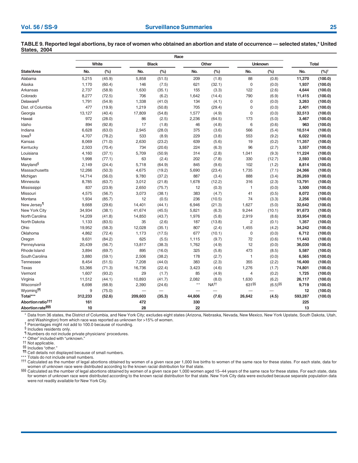|                               |         |        |         |              | Race   |                  |                   |              |         |                 |
|-------------------------------|---------|--------|---------|--------------|--------|------------------|-------------------|--------------|---------|-----------------|
|                               |         | White  |         | <b>Black</b> |        | Other            | <b>Unknown</b>    |              |         | <b>Total</b>    |
| State/Area                    | No.     | (%)    | No.     | (%)          | No.    | (%)              | No.               | (%)          | No.     | $(%)^{\dagger}$ |
| Alabama                       | 5,215   | (45.9) | 5,858   | (51.5)       | 209    | (1.8)            | 88                | (0.8)        | 11,370  | (100.0)         |
| Alaska                        | 1,170   | (60.4) | 146     | (7.5)        | 621    | (32.1)           | $\mathbf 0$       | (0.0)        | 1,937   | (100.0)         |
| Arkansas                      | 2,737   | (58.9) | 1,630   | (35.1)       | 155    | (3.3)            | 122               | (2.6)        | 4,644   | (100.0)         |
| Colorado                      | 8,277   | (72.5) | 706     | (6.2)        | 1,642  | (14.4)           | 790               | (6.9)        | 11,415  | (100.0)         |
| Delaware <sup>§</sup>         | 1,791   | (54.9) | 1,338   | (41.0)       | 134    | (4.1)            | $\mathbf 0$       | (0.0)        | 3,263   | (100.0)         |
| Dist. of Columbia             | 477     | (19.9) | 1,219   | (50.8)       | 705    | (29.4)           | $\mathbf 0$       | (0.0)        | 2,401   | (100.0)         |
| Georgia                       | 13,127  | (40.4) | 17,809  | (54.8)       | 1,577  | (4.9)            | $\mathbf 0$       | (0.0)        | 32,513  | (100.0)         |
| Hawaii                        | 972     | (28.0) | 86      | (2.5)        | 2,236  | (64.5)           | 173               | (5.0)        | 3,467   | (100.0)         |
| Idaho                         | 894     | (92.8) | 17      | (1.8)        | 46     | (4.8)            | 6                 | (0.6)        | 963     | (100.0)         |
| Indiana                       | 6,628   | (63.0) | 2,945   | (28.0)       | 375    | (3.6)            | 566               | (5.4)        | 10,514  | (100.0)         |
| lowa§                         | 4,707   | (78.2) | 533     | (8.9)        | 229    | (3.8)            | 553               | (9.2)        | 6,022   | (100.0)         |
| Kansas                        | 8,069   | (71.0) | 2,630   | (23.2)       | 639    | (5.6)            | 19                | (0.2)        | 11,357  | (100.0)         |
| Kentucky                      | 2,503   | (70.4) | 734     | (20.6)       | 224    | (6.3)            | 96                | (2.7)        | 3,557   | (100.0)         |
| Louisiana                     | 4,160   | (37.1) | 5,709   | (50.9)       | 314    | (2.8)            | 1,041             | (9.3)        | 11,224  | (100.0)         |
| Maine                         | 1,998   | (77.1) | 63      | (2.4)        | 202    | (7.8)            | 330               | (12.7)       | 2,593   | (100.0)         |
| Maryland <sup>§</sup>         | 2,149   | (24.4) | 5,718   | (64.9)       | 845    | (9.6)            | 102               | (1.2)        | 8,814   | (100.0)         |
| Massachusetts                 | 12,266  | (50.3) | 4,675   | (19.2)       | 5,690  | (23.4)           | 1,735             | (7.1)        | 24,366  | (100.0)         |
| Michigan                      | 14,714  | (56.0) | 9,780   | (37.2)       | 887    | (3.4)            | 888               | (3.4)        | 26,269  | (100.0)         |
| Minnesota                     | 8,785   | (63.7) | 3,012   | (21.8)       | 1,678  | (12.2)           | 316               | (2.3)        | 13,791  | (100.0)         |
| Mississippi                   | 837     | (23.9) | 2,650   | (75.7)       | 12     | (0.3)            | $\mathbf{1}$      | (0.0)        | 3,500   | (100.0)         |
| Missouri                      | 4,575   | (56.7) | 3,073   | (38.1)       | 383    | (4.7)            | 41                | (0.5)        | 8,072   | (100.0)         |
| Montana                       | 1,934   | (85.7) | 12      | (0.5)        | 236    | (10.5)           | 74                | (3.3)        | 2,256   | (100.0)         |
| New Jersey <sup>11</sup>      | 9,668   | (29.6) | 14,401  | (44.1)       | 6,946  | (21.3)           | 1,627             | (5.0)        | 32,642  | (100.0)         |
| <b>New York City</b>          | 34,934  | (38.1) | 41,674  | (45.5)       | 5,821  | (6.3)            | 9,244             | (10.1)       | 91,673  | (100.0)         |
| North Carolina                | 14,209  | (41.8) | 14,850  | (43.7)       | 1,976  | (5.8)            | 2,919             | (8.6)        | 33,954  | (100.0)         |
| North Dakota                  | 1,133   | (83.5) | 35      | (2.6)        | 187    | (13.8)           | $\overline{c}$    | (0.1)        | 1,357   | (100.0)         |
| Ohio                          | 19,952  | (58.3) | 12,028  | (35.1)       | 807    | (2.4)            | 1,455             | (4.2)        | 34,242  | (100.0)         |
| Oklahoma                      | 4,862   | (72.4) | 1,173   | (17.5)       | 677    | (10.1)           | $\mathbf 0$       | (0.0)        | 6,712   | (100.0)         |
| Oregon                        | 9,631   | (84.2) | 625     | (5.5)        | 1,115  | (9.7)            | 72                | (0.6)        | 11,443  | (100.0)         |
| Pennsylvania                  | 20,439  | (56.7) | 13,817  | (38.3)       | 1,762  | (4.9)            | 12                | (0.0)        | 36,030  | (100.0)         |
| Rhode Island                  | 3,894   | (69.7) | 895     | (16.0)       | 325    | (5.8)            | 473               | (8.5)        | 5,587   | (100.0)         |
| South Carolina                | 3,880   | (59.1) | 2,506   | (38.2)       | 178    | (2.7)            | $\mathbf{1}$      | (0.0)        | 6,565   | (100.0)         |
| Tennessee                     | 8,454   | (51.5) | 7,208   | (44.0)       | 383    | (2.3)            | 355               | (2.2)        | 16,400  | (100.0)         |
| <b>Texas</b>                  | 53,366  | (71.3) | 16,736  | (22.4)       | 3,423  | (4.6)            | 1,276             | (1.7)        | 74,801  | (100.0)         |
| Vermont                       | 1,607   | (93.2) | 29      | (1.7)        | 85     | (4.9)            | $\overline{4}$    | (0.2)        | 1,725   | (100.0)         |
| Virginia                      | 11,512  | (44.1) | 10,893  | (41.7)       | 2,082  | (8.0)            | 1,630             | (6.2)        | 26,117  | (100.0)         |
| Wisconsin <sup>§</sup>        | 6,698   | (68.9) | 2,390   | (24.6)       | $* *$  | NA <sup>tt</sup> | 631 <sup>§§</sup> | $(6.5)^{\S\$ | 9,719   | (100.0)         |
| Wyoming <sup>111</sup>        | 9       | (75.0) |         |              |        |                  |                   |              | 12      | (100.0)         |
| Total***                      | 312,233 | (52.6) | 209,603 | (35.3)       | 44,806 | (7.6)            | 26,642            | (4.5)        | 593,287 | (100.0)         |
| Abortion ratio <sup>†††</sup> | 161     |        | 472     |              | 330    |                  |                   |              | 225     |                 |
| Abortion rate <sup>§§§</sup>  | 10      |        | 28      |              | 22     |                  |                   |              | 13      |                 |

**TABLE 9. Reported legal abortions, by race of women who obtained an abortion and state of occurrence — selected states,\* United States, 2004**

\* Data from 36 states, the District of Columbia, and New York City; excludes eight states (Arizona, Nebraska, Nevada, New Mexico, New York Upstate, South Dakota, Utah, and Washington) from which race was reported as unknown for >15% of women.

† Percentages might not add to 100.0 because of rounding.

§ Includes residents only.

¶ Numbers do not include private physicians' procedures.

\*\* Other" included with "unknown."

†† Not applicable.

§§ Includes "other."

¶¶ Cell details not displayed because of small numbers.

\*\*\* Totals do not include small numbers.

††† Calculated as the number of legal abortions obtained by women of a given race per 1,000 live births to women of the same race for these states. For each state, data for

women of unknown race were distributed according to the known racial distribution for that state.<br><sup>§§§</sup> Calculated as the number of legal abortions obtained by women of a given race per 1,000 women aged 15-44 years of the for women of unknown race were distributed according to the known racial distribution for that state. New York City data were excluded because separate population data were not readily available for New York City.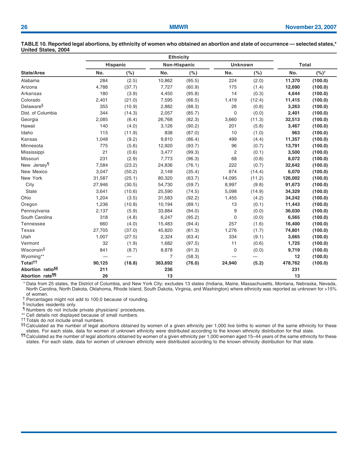|                              |        | Hispanic | Non-Hispanic   |        | <b>Unknown</b> |        | <b>Total</b> |                 |
|------------------------------|--------|----------|----------------|--------|----------------|--------|--------------|-----------------|
| State/Area                   | No.    | (%)      | No.            | (%)    | No.            | (%)    | No.          | $(%)^{\dagger}$ |
| Alabama                      | 284    | (2.5)    | 10,862         | (95.5) | 224            | (2.0)  | 11,370       | (100.0)         |
| Arizona                      | 4,788  | (37.7)   | 7,727          | (60.9) | 175            | (1.4)  | 12,690       | (100.0)         |
| Arkansas                     | 180    | (3.9)    | 4,450          | (95.8) | 14             | (0.3)  | 4,644        | (100.0)         |
| Colorado                     | 2,401  | (21.0)   | 7,595          | (66.5) | 1,419          | (12.4) | 11,415       | (100.0)         |
| Delaware <sup>§</sup>        | 355    | (10.9)   | 2,882          | (88.3) | 26             | (0.8)  | 3,263        | (100.0)         |
| Dist. of Columbia            | 344    | (14.3)   | 2,057          | (85.7) | $\mathbf 0$    | (0.0)  | 2,401        | (100.0)         |
| Georgia                      | 2,085  | (6.4)    | 26,768         | (82.3) | 3,660          | (11.3) | 32,513       | (100.0)         |
| Hawaii                       | 140    | (4.0)    | 3,126          | (90.2) | 201            | (5.8)  | 3,467        | (100.0)         |
| Idaho                        | 115    | (11.9)   | 838            | (87.0) | 10             | (1.0)  | 963          | (100.0)         |
| Kansas                       | 1,048  | (9.2)    | 9,810          | (86.4) | 499            | (4.4)  | 11,357       | (100.0)         |
| Minnesota                    | 775    | (5.6)    | 12,920         | (93.7) | 96             | (0.7)  | 13,791       | (100.0)         |
| Mississippi                  | 21     | (0.6)    | 3,477          | (99.3) | $\overline{c}$ | (0.1)  | 3,500        | (100.0)         |
| Missouri                     | 231    | (2.9)    | 7,773          | (96.3) | 68             | (0.8)  | 8,072        | (100.0)         |
| New Jersey <sup>¶</sup>      | 7,584  | (23.2)   | 24,836         | (76.1) | 222            | (0.7)  | 32,642       | (100.0)         |
| New Mexico                   | 3,047  | (50.2)   | 2,149          | (35.4) | 874            | (14.4) | 6,070        | (100.0)         |
| New York                     | 31,587 | (25.1)   | 80,320         | (63.7) | 14,095         | (11.2) | 126,002      | (100.0)         |
| City                         | 27,946 | (30.5)   | 54,730         | (59.7) | 8,997          | (9.8)  | 91,673       | (100.0)         |
| <b>State</b>                 | 3,641  | (10.6)   | 25,590         | (74.5) | 5,098          | (14.9) | 34,329       | (100.0)         |
| Ohio                         | 1,204  | (3.5)    | 31,583         | (92.2) | 1,455          | (4.2)  | 34,242       | (100.0)         |
| Oregon                       | 1,236  | (10.8)   | 10,194         | (89.1) | 13             | (0.1)  | 11,443       | (100.0)         |
| Pennsylvania                 | 2,137  | (5.9)    | 33,884         | (94.0) | 9              | (0.0)  | 36,030       | (100.0)         |
| South Carolina               | 318    | (4.8)    | 6,247          | (95.2) | 0              | (0.0)  | 6,565        | (100.0)         |
| <b>Tennessee</b>             | 660    | (4.0)    | 15,483         | (94.4) | 257            | (1.6)  | 16,400       | (100.0)         |
| Texas                        | 27,705 | (37.0)   | 45,820         | (61.3) | 1,276          | (1.7)  | 74,801       | (100.0)         |
| Utah                         | 1,007  | (27.5)   | 2,324          | (63.4) | 334            | (9.1)  | 3,665        | (100.0)         |
| Vermont                      | 32     | (1.9)    | 1,682          | (97.5) | 11             | (0.6)  | 1,725        | (100.0)         |
| Wisconsin <sup>§</sup>       | 841    | (8.7)    | 8,878          | (91.3) | $\mathbf 0$    | (0.0)  | 9,719        | (100.0)         |
| Wyoming**                    |        |          | $\overline{7}$ | (58.3) |                |        | 12           | (100.0)         |
| Total <sup>††</sup>          | 90,125 | (18.8)   | 363,692        | (76.0) | 24,940         | (5.2)  | 478,762      | (100.0)         |
| Abortion ratio <sup>§§</sup> | 211    |          | 236            |        |                |        | 231          |                 |
| Abortion rate <sup>111</sup> | 26     |          | 13             |        |                |        | 13           |                 |

**TABLE 10. Reported legal abortions, by ethnicity of women who obtained an abortion and state of occurrence — selected states,\* United States, 2004**

\* Data from 25 states, the District of Columbia, and New York City; excludes 13 states (Indiana, Maine, Massachusetts, Montana, Nebraska, Nevada, North Carolina, North Dakota, Oklahoma, Rhode Island, South Dakota, Virginia, and Washington) where ethnicity was reported as unknown for >15% of women.

† Percentages might not add to 100.0 because of rounding.

¶ Numbers do not include private physicians' procedures.

\*\* Cell details not displayed because of small numbers.

†† Totals do not include small numbers.

§§ Calculated as the number of legal abortions obtained by women of a given ethnicity per 1,000 live births to women of the same ethnicity for these states. For each state, data for women of unknown ethnicity were distributed according to the known ethnicity distribution for that state.

¶¶ Calculated as the number of legal abortions obtained by women of a given ethnicity per 1,000 women aged 15–44 years of the same ethnicity for these states. For each state, data for women of unknown ethnicity were distributed according to the known ethnicity distribution for that state.

<sup>§</sup> Includes residents only.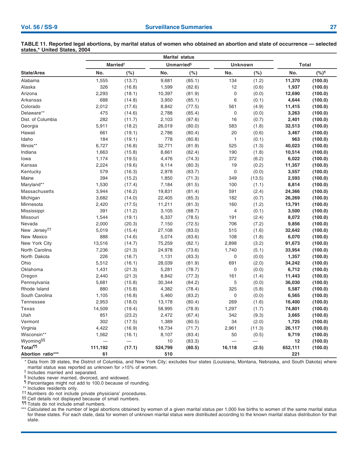| TABLE 11. Reported legal abortions, by marital status of women who obtained an abortion and state of occurrence - selected |  |
|----------------------------------------------------------------------------------------------------------------------------|--|
| states.* United States, 2004                                                                                               |  |

|                          |         |                      | <b>Marital status</b>         |        |              |        |              |         |
|--------------------------|---------|----------------------|-------------------------------|--------|--------------|--------|--------------|---------|
|                          |         | Married <sup>t</sup> | <b>Unmarried</b> <sup>§</sup> |        | Unknown      |        | <b>Total</b> |         |
| State/Area               | No.     | (%)                  | No.                           | (%)    | No.          | (%)    | No.          | (%)     |
| Alabama                  | 1,555   | (13.7)               | 9,681                         | (85.1) | 134          | (1.2)  | 11,370       | (100.0) |
| Alaska                   | 326     | (16.8)               | 1,599                         | (82.6) | 12           | (0.6)  | 1,937        | (100.0) |
| Arizona                  | 2,293   | (18.1)               | 10,397                        | (81.9) | 0            | (0.0)  | 12,690       | (100.0) |
| Arkansas                 | 688     | (14.8)               | 3,950                         | (85.1) | 6            | (0.1)  | 4,644        | (100.0) |
| Colorado                 | 2,012   | (17.6)               | 8,842                         | (77.5) | 561          | (4.9)  | 11,415       | (100.0) |
| Delaware**               | 475     | (14.6)               | 2,788                         | (85.4) | 0            | (0.0)  | 3,263        | (100.0) |
| Dist. of Columbia        | 282     | (11.7)               | 2,103                         | (87.6) | 16           | (0.7)  | 2,401        | (100.0) |
| Georgia                  | 5,911   | (18.2)               | 26,019                        | (80.0) | 583          | (1.8)  | 32,513       | (100.0) |
| Hawaii                   | 661     | (19.1)               | 2,786                         | (80.4) | 20           | (0.6)  | 3,467        | (100.0) |
| Idaho                    | 184     | (19.1)               | 778                           | (80.8) | $\mathbf{1}$ | (0.1)  | 963          | (100.0) |
| Illinois**               | 6,727   | (16.8)               | 32,771                        | (81.9) | 525          | (1.3)  | 40,023       | (100.0) |
| Indiana                  | 1,663   | (15.8)               | 8,661                         | (82.4) | 190          | (1.8)  | 10,514       | (100.0) |
| lowa                     | 1,174   | (19.5)               | 4,476                         | (74.3) | 372          | (6.2)  | 6,022        | (100.0) |
| Kansas                   | 2,224   | (19.6)               | 9,114                         | (80.3) | 19           | (0.2)  | 11,357       | (100.0) |
| Kentucky                 | 579     | (16.3)               | 2,978                         | (83.7) | 0            | (0.0)  | 3,557        | (100.0) |
| Maine                    | 394     | (15.2)               | 1,850                         | (71.3) | 349          | (13.5) | 2,593        | (100.0) |
| Maryland**               | 1,530   | (17.4)               | 7,184                         | (81.5) | 100          | (1.1)  | 8,814        | (100.0) |
| Massachusetts            | 3,944   | (16.2)               | 19,831                        | (81.4) | 591          | (2.4)  | 24,366       | (100.0) |
| Michigan                 | 3,682   | (14.0)               | 22,405                        | (85.3) | 182          | (0.7)  | 26,269       | (100.0) |
| Minnesota                | 2,420   | (17.5)               | 11,211                        | (81.3) | 160          | (1.2)  | 13,791       | (100.0) |
| Mississippi              | 391     | (11.2)               | 3,105                         | (88.7) | 4            | (0.1)  | 3,500        | (100.0) |
| Missouri                 | 1,544   | (19.1)               | 6,337                         | (78.5) | 191          | (2.4)  | 8,072        | (100.0) |
| Nevada                   | 2,000   | (20.3)               | 7,150                         | (72.5) | 706          | (7.2)  | 9,856        | (100.0) |
| New Jersey <sup>††</sup> | 5,019   | (15.4)               | 27,108                        | (83.0) | 515          | (1.6)  | 32,642       | (100.0) |
| New Mexico               | 888     | (14.6)               | 5,074                         | (83.6) | 108          | (1.8)  | 6,070        | (100.0) |
| New York City            | 13,516  | (14.7)               | 75,259                        | (82.1) | 2,898        | (3.2)  | 91,673       | (100.0) |
| North Carolina           | 7,236   | (21.3)               | 24,978                        | (73.6) | 1,740        | (5.1)  | 33,954       | (100.0) |
| North Dakota             | 226     | (16.7)               | 1,131                         | (83.3) | 0            | (0.0)  | 1,357        | (100.0) |
| Ohio                     | 5,512   | (16.1)               | 28,039                        | (81.9) | 691          | (2.0)  | 34,242       | (100.0) |
| Oklahoma                 | 1,431   | (21.3)               | 5,281                         | (78.7) | 0            | (0.0)  | 6,712        | (100.0) |
| Oregon                   | 2,440   | (21.3)               | 8,842                         | (77.3) | 161          | (1.4)  | 11,443       | (100.0) |
| Pennsylvania             | 5,681   | (15.8)               | 30,344                        | (84.2) | 5            | (0.0)  | 36,030       | (100.0) |
| Rhode Island             | 880     | (15.8)               | 4,382                         | (78.4) | 325          | (5.8)  | 5,587        | (100.0) |
| South Carolina           | 1,105   | (16.8)               | 5,460                         | (83.2) | 0            | (0.0)  | 6,565        | (100.0) |
| <b>Tennessee</b>         | 2,953   | (18.0)               | 13,178                        | (80.4) | 269          | (1.6)  | 16,400       | (100.0) |
| <b>Texas</b>             | 14,509  | (19.4)               | 58,995                        | (78.9) | 1,297        | (1.7)  | 74,801       | (100.0) |
| Utah                     | 851     | (23.2)               | 2,472                         | (67.4) | 342          | (9.3)  | 3,665        | (100.0) |
| Vermont                  | 302     | (17.5)               | 1,389                         | (80.5) | 34           | (2.0)  | 1,725        | (100.0) |
| Virginia                 | 4,422   | (16.9)               | 18,734                        | (71.7) | 2,961        | (11.3) | 26,117       | (100.0) |
| Wisconsin**              | 1,562   | (16.1)               | 8,107                         | (83.4) | 50           | (0.5)  | 9,719        | (100.0) |
| Wyoming <sup>§§</sup>    |         |                      | 10                            | (83.3) |              |        | 12           | (100.0) |
| Total <sup>11</sup>      | 111,192 | (17.1)               | 524,799                       | (80.5) | 16,118       | (2.5)  | 652,111      | (100.0) |
| Abortion ratio***        | 61      |                      | 510                           |        |              |        | 221          |         |

\* Data from 39 states, the District of Columbia, and New York City; excludes four states (Louisiana, Montana, Nebraska, and South Dakota) where marital status was reported as unknown for >15% of women.

† Includes married and separated.

§ Includes never married, divorced, and widowed.

¶ Percentages might not add to 100.0 because of rounding.

\*\* Includes residents only.

†† Numbers do not include private physicians' procedures. §§ Cell details not displayed because of small numbers.

¶¶ Totals do not include small numbers.

\*\*\* Calculated as the number of legal abortions obtained by women of a given marital status per 1,000 live births to women of the same marital status for these states. For each state, data for women of unknown marital status were distributed according to the known marital status distribution for that state.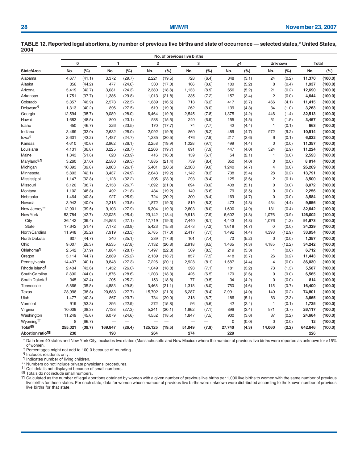|                                     |                  | No. of previous live births |                |        |                |        |                |       |             |                |                     |                |              |                    |  |
|-------------------------------------|------------------|-----------------------------|----------------|--------|----------------|--------|----------------|-------|-------------|----------------|---------------------|----------------|--------------|--------------------|--|
|                                     | 0                |                             | $\blacksquare$ |        | $\overline{2}$ |        | 3              |       |             | $\geq$ 4       | <b>Unknown</b>      |                |              | <b>Total</b>       |  |
| State/Area                          | No.              | $(\%)$                      | No.            | $(\%)$ | No.            | (%)    | No.            | (%)   | No.         | (%)            | No.                 | $(\%)$         | No.          | $(%)^{\dagger}$    |  |
| Alabama                             | 4,677            | (41.1)                      | 3,372          | (29.7) | 2,221          | (19.5) | 728            | (6.4) | 348         | (3.1)          | 24                  | (0.2)          | 11,370       | (100.0)            |  |
| Alaska                              | 856              | (44.2)                      | 477            | (24.6) | 330            | (17.0) | 166            | (8.6) | 100         | (5.2)          | 8                   | (0.4)          | 1,937        | (100.0)            |  |
| Arizona                             | 5,419            | (42.7)                      | 3,081          | (24.3) | 2,380          | (18.8) | 1,133          | (8.9) | 656         | (5.2)          | 21                  | (0.2)          | 12,690       | (100.0)            |  |
| Arkansas                            | 1,751            | (37.7)                      | 1,386          | (29.8) | 1,013          | (21.8) | 335            | (7.2) | 157         | (3.4)          | 2                   | (0.0)          | 4,644        | (100.0)            |  |
| Colorado                            | 5,357            | (46.9)                      | 2,573          | (22.5) | 1,889          | (16.5) | 713            | (6.2) | 417         | (3.7)          | 466                 | (4.1)          | 11,415       | (100.0)            |  |
| Delaware <sup>§</sup>               | 1,313            | (40.2)                      | 896            | (27.5) | 619            | (19.0) | 262            | (8.0) | 139         | (4.3)          | 34                  | (1.0)          | 3,263        | (100.0)            |  |
| Georgia                             | 12,594           | (38.7)                      | 9,089          | (28.0) | 6,464          | (19.9) | 2,545          | (7.8) | 1,375       | (4.2)          | 446                 | (1.4)          | 32,513       | (100.0)            |  |
| Hawaii                              | 1,683            | (48.5)                      | 800            | (23.1) | 538            | (15.5) | 240            | (6.9) | 155         | (4.5)          | 51                  | (1.5)          | 3,467        | (100.0)            |  |
| Idaho                               | 450              | (46.7)                      | 226            | (23.5) | 170            | (17.7) | 74             | (7.7) | 42          | (4.4)          | $\mathbf{1}$        | (0.1)          | 963          | (100.0)            |  |
| Indiana                             | 3,469            | (33.0)                      | 2,632          | (25.0) | 2,092          | (19.9) | 860            | (8.2) | 489         | (4.7)          | 972                 | (9.2)          | 10,514       | (100.0)            |  |
| lowa§                               | 2,601            | (43.2)                      | 1,487          | (24.7) | 1,235          | (20.5) | 476            | (7.9) | 217         | (3.6)          | 6                   | (0.1)          | 6,022        | (100.0)            |  |
| Kansas                              | 4,610            | (40.6)                      | 2,962          | (26.1) | 2,258          | (19.9) | 1,028          | (9.1) | 499         | (4.4)          | 0                   | (0.0)          | 11,357       | (100.0)            |  |
| Louisiana                           | 4,131            | (36.8)                      | 3,225          | (28.7) | 2,206          | (19.7) | 891            | (7.9) | 447         | (4.0)          | 324                 | (2.9)          | 11,224       | (100.0)            |  |
| Maine                               | 1,343            | (51.8)                      | 620            | (23.9) | 416            | (16.0) | 159            | (6.1) | 54          | (2.1)          | 1                   | (0.0)          | 2,593        | (100.0)            |  |
| Maryland <sup>§,¶</sup>             | 3,260            | (37.0)                      | 2,580          | (29.3) | 1,885          | (21.4) | 739            | (8.4) | 350         | (4.0)          | 0                   | (0.0)          | 8814         | (100.0)            |  |
| Michigan                            | 10,393           | (39.6)                      | 6,863          | (26.1) | 5,401          | (20.6) | 2,368          | (9.0) | 1,240       | (4.7)          | 4                   | (0.0)          | 26,269       | (100.0)            |  |
| Minnesota                           | 5,803            | (42.1)                      | 3,437          | (24.9) | 2,643          | (19.2) | 1,142          | (8.3) | 738         | (5.4)          | 28                  | (0.2)          | 13,791       | (100.0)            |  |
| Mississippi                         | 1,147            | (32.8)                      | 1,128          | (32.2) | 805            | (23.0) | 293            | (8.4) | 125         | (3.6)          | 2                   | (0.1)          | 3,500        | (100.0)            |  |
| Missouri                            | 3,120            | (38.7)                      | 2,158          | (26.7) | 1,692          | (21.0) | 694            | (8.6) | 408         | (5.1)          | 0                   | (0.0)          | 8,072        | (100.0)            |  |
| Montana                             | 1,102            | (48.8)                      | 492            | (21.8) | 434            | (19.2) | 149            | (6.6) | 79          | (3.5)          | 0                   | (0.0)          | 2,256        | (100.0)            |  |
| Nebraska                            | 1,464            | (40.8)                      | 927            | (25.9) | 724            | (20.2) | 300            | (8.4) | 169         | (4.7)          | 0                   | (0.0)          | 3,584        | (100.0)            |  |
| Nevada                              | 3,943            | (40.0)                      | 2,315          | (23.5) | 1,872          | (19.0) | 819            | (8.3) | 473         | (4.8)          | 434                 | (4.4)          | 9,856        | (100.0)            |  |
| New Jersey**                        | 12,901           | (39.5)                      | 9,103          | (27.9) | 6,304          | (19.3) | 2,603          | (8.0) | 1,600       | (4.9)          | 131                 | (0.4)          | 32,642       | (100.0)            |  |
| New York                            | 53,784           | (42.7)                      | 32,025         | (25.4) | 23,142         | (18.4) | 9,913          | (7.9) | 6,602       | (4.8)          | 1,076               | (0.9)          | 126,002      | (100.0)            |  |
| City                                | 36,142           | (39.4)                      | 24,853         | (27.1) | 17,719         | (19.3) | 7,440          | (8.1) | 4,443       | (4.8)          | 1,076               | (1.2)          | 91,673       | (100.0)            |  |
| <b>State</b>                        | 17,642           | (51.4)                      | 7,172          | (20.9) | 5,423          | (15.8) | 2,473          | (7.2) | 1,619       | (4.7)          | 0                   | (0.0)          | 34,329       | (100.0)            |  |
| North Carolina                      | 11,948           | (35.2)                      | 7,919          | (23.3) | 5,785          | (17.0) | 2,417          | (7.1) | 1,492       | (4.4)          | 4,393               | (12.9)         | 33,954       | (100.0)            |  |
| North Dakota                        | 607              | (44.7)                      | 340            | (25.1) | 239            | (17.6) | 101            | (7.4) | 70          | (5.2)          | 0                   | (0.0)          | 1,357        | (100.0)            |  |
| Ohio                                | 9,007            | (26.3)                      | 9,535          | (27.8) | 7,132          | (20.8) | 2,918          | (8.5) | 1,465       | (4.3)          | 4,185               | (12.2)         | 34,242       | (100.0)            |  |
| Oklahoma <sup>11</sup>              | 2,542            | (37.9)                      | 1,884          | (28.1) | 1,497          | (22.3) | 569            | (8.5) | 219         | (3.3)          | $\mathbf{1}$        | (0.0)          | 6,712        | (100.0)            |  |
| Oregon                              | 5,114            | (44.7)                      | 2,889          | (25.2) | 2,139          | (18.7) | 857            | (7.5) | 418         | (3.7)          | 26                  | (0.2)          | 11,443       | (100.0)            |  |
| Pennsylvania                        | 14,437           | (40.1)                      | 9,848          | (27.3) | 7,226          | (20.1) | 2,928          | (8.1) | 1,587       | (4.4)          | 4                   | (0.0)          | 36,030       | (100.0)            |  |
| Rhode Island¶                       | 2,434            | (43.6)                      | 1,452          | (26.0) | 1,049          | (18.8) | 398            | (7.1) | 181         | (3.2)          | 73                  | (1.3)          | 5,587        | (100.0)            |  |
| South Carolina                      | 2,890            | (44.0)                      | 1,876          | (28.6) | 1,203          | (18.3) | 426            | (6.5) | 170         | (2.6)          | 0                   | (0.0)          | 6,565        | (100.0)            |  |
| South Dakota <sup>¶</sup>           | 345              | (42.4)                      | 205            | (25.2) | 153            | (18.8) | 77             | (9.5) | 34          | (4.2)          | 0                   | (0.0)          | 814          | (100.0)            |  |
| Tennessee                           | 5,866            | (35.8)                      | 4,883          | (29.8) | 3,468          | (21.1) | 1,318          | (8.0) | 750         | (4.6)          | 115                 | (0.7)          | 16,400       | (100.0)            |  |
| Texas                               | 28,998           | (38.8)                      | 20,683         | (27.7) | 15,702         | (21.0) | 6,287          | (8.4) | 2,991       | (4.0)          | 140                 | (0.2)          | 74,801       | (100.0)            |  |
| Utah                                | 1,477            | (40.3)                      | 867            | (23.7) | 734            | (20.0) | 318            | (8.7) | 186         | (5.1)          | 83                  | (2.3)          | 3,665        | (100.0)            |  |
| Vermont                             | 919              | (53.3)                      | 395            | (22.9) | 272            | (15.8) | 96             | (5.6) | 42<br>896   | (2.4)          | $\mathbf{1}$<br>971 | (0.1)          | 1,725        | (100.0)            |  |
| Virginia                            | 10,009<br>11,249 | (38.3)<br>(45.6)            | 7,138<br>6.079 | (27.3) | 5,241          | (20.1) | 1,862<br>1.847 | (7.1) | 900         | (3.4)          | 37                  | (3.7)          | 26,117       | (100.0)<br>(100.0) |  |
| Washington<br>Wyoming <sup>††</sup> | 8                | (66.7)                      |                | (24.6) | 4,552          | (18.5) |                | (7.5) | $\mathbf 0$ | (3.6)          | 0                   | (0.2)<br>(0.0) | 24,664<br>12 | (100.0)            |  |
| Total <sup>§§</sup>                 | 255,021          | (39.7)                      | 169,847        | (26.4) | 125,125        | (19.5) | 51,049         | (7.9) | 27,740      | (0.0)<br>(4.3) | 14,060              | (2.2)          | 642,846      | (100.0)            |  |
| Abortion ratio¶¶                    | 230              |                             | 190            |        | 264            |        | 274            |       | 229         |                |                     |                | 226          |                    |  |
|                                     |                  |                             |                |        |                |        |                |       |             |                |                     |                |              |                    |  |

**TABLE 12. Reported legal abortions, by number of previous live births and state of occurrence — selected states,\* United States, 2004**

\* Data from 40 states and New York City; excludes two states (Massachusetts and New Mexico) where the number of previous live births were reported as unknown for >15% of women.

† Percentages might not add to 100.0 because of rounding.

§ Includes residents only.

¶ Indicates number of living children.

\*\* Numbers do not include private physicians' procedures.

†† Cell details not displayed because of small numbers.

§§ Totals do not include small numbers.

¶¶ Calculated as the number of legal abortions obtained by women with a given number of previous live births per 1,000 live births to women with the same number of previous live births for these states. For each state, data for women whose number of previous live births were unknown were distributed according to the known number of previous live births for that state.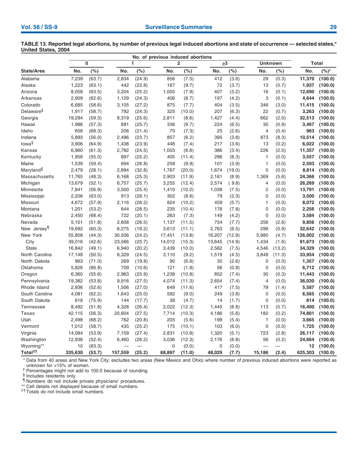|                       | No. of previous induced abortions |              |         |        |        |                |        |          |              |         |         |                 |
|-----------------------|-----------------------------------|--------------|---------|--------|--------|----------------|--------|----------|--------------|---------|---------|-----------------|
|                       |                                   | $\mathbf{0}$ |         | 1      |        | $\overline{2}$ |        | $\geq 3$ |              | Unknown |         | <b>Total</b>    |
| State/Area            | No.                               | (%)          | No.     | (% )   | No.    | (%)            | No.    | (%)      | No.          | (%)     | No.     | $(%)^{\dagger}$ |
| Alabama               | 7,239                             | (63.7)       | 2,834   | (24.9) | 856    | (7.5)          | 412    | (3.6)    | 29           | (0.3)   | 11,370  | (100.0)         |
| Alaska                | 1,223                             | (63.1)       | 442     | (22.8) | 187    | (9.7)          | 72     | (3.7)    | 13           | (0.7)   | 1,937   | (100.0)         |
| Arizona               | 8,058                             | (63.5)       | 3,204   | (25.2) | 1,005  | (7.9)          | 407    | (3.2)    | 16           | (0.1)   | 12,690  | (100.0)         |
| Arkansas              | 2,909                             | (62.6)       | 1,129   | (24.3) | 406    | (8.7)          | 197    | (4.2)    | 3            | (0.1)   | 4,644   | (100.0)         |
| Colorado              | 6,685                             | (58.6)       | 3,105   | (27.2) | 875    | (7.7)          | 404    | (3.5)    | 346          | (3.0)   | 11,415  | (100.0)         |
| Delaware <sup>§</sup> | 1,917                             | (58.7)       | 792     | (24.3) | 325    | (10.0)         | 207    | (6.3)    | 22           | (0.7)   | 3,263   | (100.0)         |
| Georgia               | 19,294                            | (59.3)       | 8,319   | (25.6) | 2,811  | (8.6)          | 1,427  | (4.4)    | 662          | (2.0)   | 32,513  | (100.0)         |
| Hawaii                | 1,986                             | (57.3)       | 891     | (25.7) | 336    | (9.7)          | 224    | (6.5)    | 30           | (0.9)   | 3,467   | (100.0)         |
| Idaho                 | 658                               | (68.3)       | 206     | (21.4) | 70     | (7.3)          | 25     | (2.6)    | 4            | (0.4)   | 963     | (100.0)         |
| Indiana               | 5,893                             | (56.0)       | 2,496   | (23.7) | 857    | (8.2)          | 395    | (3.8)    | 873          | (8.3)   | 10,514  | (100.0)         |
| lowa§                 | 3,906                             | (64.9)       | 1,438   | (23.9) | 448    | (7.4)          | 217    | (3.6)    | 13           | (0.2)   | 6,022   | (100.0)         |
| Kansas                | 6,960                             | (61.3)       | 2,782   | (24.5) | 1,003  | (8.8)          | 386    | (3.4)    | 226          | (2.0)   | 11,357  | (100.0)         |
| Kentucky              | 1,958                             | (55.0)       | 897     | (25.2) | 405    | (11.4)         | 296    | (8.3)    | $\mathbf{1}$ | (0.0)   | 3,557   | (100.0)         |
| Maine                 | 1,539                             | (59.4)       | 694     | (26.8) | 258    | (9.9)          | 101    | (3.9)    | 1            | (0.0)   | 2,593   | (100.0)         |
| Maryland <sup>§</sup> | 2,479                             | (28.1)       | 2,894   | (32.8) | 1,767  | (20.0)         | 1,674  | (19.0)   | $\mathbf 0$  | (0.0)   | 8,814   | (100.0)         |
| Massachusetts         | 11,765                            | (48.3)       | 6,168   | (25.3) | 2,903  | (11.9)         | 2,161  | (8.9)    | 1,369        | (5.6)   | 24,366  | (100.0)         |
| Michigan              | 13,679                            | (52.1)       | 6,757   | (25.7) | 3,255  | (12.4)         | 2,574  | (9.8)    | 4            | (0.0)   | 26,269  | (100.0)         |
| Minnesota             | 7,841                             | (56.9)       | 3,500   | (25.4) | 1,410  | (10.2)         | 1,038  | (7.5)    | 2            | (0.0)   | 13,791  | (100.0)         |
| Mississippi           | 2,206                             | (63.0)       | 913     | (26.1) | 302    | (8.6)          | 79     | (2.3)    | 0            | (0.0)   | 3,500   | (100.0)         |
| Missouri              | 4,672                             | (57.9)       | 2,116   | (26.2) | 824    | (10.2)         | 459    | (5.7)    | 1            | (0.0)   | 8,072   | (100.0)         |
| Montana               | 1,201                             | (53.2)       | 644     | (28.5) | 235    | (10.4)         | 176    | (7.8)    | $\mathbf 0$  | (0.0)   | 2,256   | (100.0)         |
| Nebraska              | 2,450                             | (68.4)       | 722     | (20.1) | 263    | (7.3)          | 149    | (4.2)    | 0            | (0.0)   | 3,584   | (100.0)         |
| Nevada                | 5,101                             | (51.8)       | 2,608   | (26.5) | 1,137  | (11.5)         | 754    | (7.7)    | 256          | (2.6)   | 9,856   | (100.0)         |
| New Jersev¶           | 19,692                            | (60.3)       | 6,275   | (19.2) | 3,613  | (11.1)         | 2,763  | (8.5)    | 299          | (0.9)   | 32,642  | (100.0)         |
| New York              | 55,858                            | (44.3)       | 30,506  | (24.2) | 17,451 | (13.8)         | 16,207 | (12.9)   | 5,980        | (4.7)   | 126,002 | (100.0)         |
| City                  | 39,016                            | (42.6)       | 23,566  | (25.7) | 14,012 | (15.3)         | 13,645 | (14.9)   | 1,434        | (1.6)   | 91,673  | (100.0)         |
| <b>State</b>          | 16,842                            | (49.1)       | 6,940   | (20.2) | 3,439  | (10.0)         | 2,562  | (7.5)    | 4,546        | (13.2)  | 34,329  | (100.0)         |
| North Carolina        | 17,148                            | (50.5)       | 8,329   | (24.5) | 3,110  | (9.2)          | 1,519  | (4.5)    | 3,848        | (11.3)  | 33,954  | (100.0)         |
| North Dakota          | 963                               | (71.0)       | 269     | (19.8) | 90     | (6.6)          | 35     | (2.6)    | 0            | (0.0)   | 1,357   | (100.0)         |
| Oklahoma              | 5,826                             | (86.8)       | 709     | (10.6) | 121    | (1.8)          | 56     | (0.8)    | 0            | (0.0)   | 6,712   | (100.0)         |
| Oregon                | 6,360                             | (55.6)       | 2,963   | (25.9) | 1,238  | (10.8)         | 852    | (7.4)    | 30           | (0.3)   | 11,443  | (100.0)         |
| Pennsylvania          | 19,382                            | (53.8)       | 9,916   | (27.5) | 4,074  | (11.3)         | 2,654  | (7.4)    | 4            | (0.0)   | 36,030  | (100.0)         |
| Rhode Island          | 2,936                             | (52.6)       | 1,506   | (27.0) | 649    | (11.6)         | 417    | (7.5)    | 79           | (1.4)   | 5,587   | (100.0)         |
| South Carolina        | 4,081                             | (62.2)       | 1,643   | (25.0) | 592    | (9.0)          | 249    | (3.8)    | 0            | (0.0)   | 6,565   | (100.0)         |
| South Dakota          | 618                               | (75.9)       | 144     | (17.7) | 38     | (4.7)          | 14     | (1.7)    | 0            | (0.0)   | 814     | (100.0)         |
| Tennessee             | 8,492                             | (51.8)       | 4,328   | (26.4) | 2,022  | (12.3)         | 1,445  | (8.8)    | 113          | (0.7)   | 16,400  | (100.0)         |
| Texas                 | 42,115                            | (56.3)       | 20,604  | (27.5) | 7,714  | (10.3)         | 4,186  | (5.6)    | 182          | (0.2)   | 74,801  | (100.0)         |
| Utah                  | 2,498                             | (68.2)       | 762     | (20.8) | 205    | (5.6)          | 199    | (5.4)    | 1            | (0.0)   | 3,665   | (100.0)         |
| Vermont               | 1,012                             | (58.7)       | 435     | (25.2) | 175    | (10.1)         | 103    | (6.0)    | 0            | (0.0)   | 1,725   | (100.0)         |
| Virginia              | 14,084                            | (53.9)       | 7,159   | (27.4) | 2,831  | (10.8)         | 1,320  | (5.1)    | 723          | (2.8)   | 26,117  | (100.0)         |
| Washington            | 12,936                            | (52.4)       | 6,460   | (26.2) | 3,036  | (12.3)         | 2,176  | (8.8)    | 56           | (0.2)   | 24,664  | (100.0)         |
| Wyoming**             | 10                                | (83.3)       |         |        | 0      | (0.0)          | 0      | (0.0)    |              |         | 12      | (100.0)         |
| Total <sup>††</sup>   | 335,630                           | (53.7)       | 157,559 | (25.2) | 68,897 | (11.0)         | 48,029 | (7.7)    | 15,186       | (2.4)   | 625,303 | (100.0)         |

**TABLE 13. Reported legal abortions, by number of previous legal induced abortions and state of occurrence — selected states,\* United States, 2004**

\* Data from 40 areas and New York City; excludes two areas (New Mexico and Ohio) where number of previous induced abortions were reported as unknown for >15% of women.

† Percentages might not add to 100.0 because of rounding.

§ Includes residents only.

¶ Numbers do not include private physicians' procedures.

\*\* Cell details not displayed because of small numbers.

†† Totals do not include small numbers.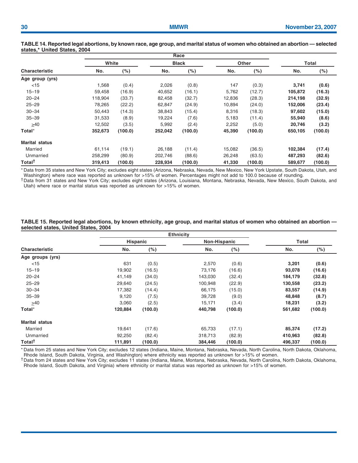|                       | White   |         |         | <b>Black</b> |        | Other   |         | Total   |
|-----------------------|---------|---------|---------|--------------|--------|---------|---------|---------|
| Characteristic        | No.     | (%)     | No.     | (%)          | No.    | (%)     | No.     | (%)     |
| Age group (yrs)       |         |         |         |              |        |         |         |         |
| $<$ 15                | 1,568   | (0.4)   | 2,026   | (0.8)        | 147    | (0.3)   | 3,741   | (0.6)   |
| $15 - 19$             | 59,458  | (16.9)  | 40,652  | (16.1)       | 5,762  | (12.7)  | 105,872 | (16.3)  |
| $20 - 24$             | 118,904 | (33.7)  | 82,458  | (32.7)       | 12,836 | (28.3)  | 214,198 | (32.9)  |
| $25 - 29$             | 78,265  | (22.2)  | 62,847  | (24.9)       | 10,894 | (24.0)  | 152,006 | (23.4)  |
| $30 - 34$             | 50,443  | (14.3)  | 38,843  | (15.4)       | 8,316  | (18.3)  | 97,602  | (15.0)  |
| $35 - 39$             | 31,533  | (8.9)   | 19,224  | (7.6)        | 5,183  | (11.4)  | 55,940  | (8.6)   |
| $\geq 40$             | 12,502  | (3.5)   | 5,992   | (2.4)        | 2,252  | (5.0)   | 20,746  | (3.2)   |
| Total*                | 352,673 | (100.0) | 252,042 | (100.0)      | 45,390 | (100.0) | 650,105 | (100.0) |
| <b>Marital status</b> |         |         |         |              |        |         |         |         |
| Married               | 61,114  | (19.1)  | 26,188  | (11.4)       | 15,082 | (36.5)  | 102,384 | (17.4)  |
| Unmarried             | 258,299 | (80.9)  | 202,746 | (88.6)       | 26,248 | (63.5)  | 487,293 | (82.6)  |
| Total <sup>†</sup>    | 319,413 | (100.0) | 228,934 | (100.0)      | 41,330 | (100.0) | 589,677 | (100.0) |

#### **TABLE 14. Reported legal abortions, by known race, age group, and marital status of women who obtained an abortion — selected states,\* United States, 2004**

\* Data from 35 states and New York City; excludes eight states (Arizona, Nebraska, Nevada, New Mexico, New York Upstate, South Dakota, Utah, and Washington) where race was reported as unknown for >15% of women. Percentages might not add to 100.0 because of rounding.

†Data from 31 states and New York City; excludes eight states (Arizona, Louisiana, Montana, Nebraska, Nevada, New Mexico, South Dakota, and Utah) where race or marital status was reported as unknown for >15% of women.

**TABLE 15. Reported legal abortions, by known ethnicity, age group, and marital status of women who obtained an abortion selected states, United States, 2004**

|                       |         | <b>Ethnicity</b> |              |         |         |         |
|-----------------------|---------|------------------|--------------|---------|---------|---------|
|                       |         | Hispanic         | Non-Hispanic |         | Total   |         |
| <b>Characteristic</b> | No.     | (%)              | No.          | (%)     | No.     | $(\% )$ |
| Age groups (yrs)      |         |                  |              |         |         |         |
| $<$ 15                | 631     | (0.5)            | 2,570        | (0.6)   | 3,201   | (0.6)   |
| $15 - 19$             | 19,902  | (16.5)           | 73,176       | (16.6)  | 93,078  | (16.6)  |
| $20 - 24$             | 41,149  | (34.0)           | 143,030      | (32.4)  | 184,179 | (32.8)  |
| $25 - 29$             | 29,640  | (24.5)           | 100,948      | (22.9)  | 130,558 | (23.2)  |
| $30 - 34$             | 17,382  | (14.4)           | 66,175       | (15.0)  | 83,557  | (14.9)  |
| $35 - 39$             | 9,120   | (7.5)            | 39,728       | (9.0)   | 48,848  | (8.7)   |
| $\geq 40$             | 3,060   | (2.5)            | 15,171       | (3.4)   | 18,231  | (3.2)   |
| Total*                | 120,884 | (100.0)          | 440,798      | (100.0) | 561,682 | (100.0) |
| <b>Marital status</b> |         |                  |              |         |         |         |
| Married               | 19,641  | (17.6)           | 65,733       | (17.1)  | 85,374  | (17.2)  |
| Unmarried             | 92,250  | (82.4)           | 318,713      | (82.9)  | 410,963 | (82.8)  |
| Total <sup>†</sup>    | 111,891 | (100.0)          | 384,446      | (100.0) | 496,337 | (100.0) |

\* Data from 25 states and New York City; excludes 12 states (Indiana, Maine, Montana, Nebraska, Nevada, North Carolina, North Dakota, Oklahoma, Rhode Island, South Dakota, Virginia, and Washington) where ethnicity was reported as unknown for >15% of women.

†Data from 24 states and New York City; excludes 11 states (Indiana, Maine, Montana, Nebraska, Nevada, North Carolina, North Dakota, Oklahoma, Rhode Island, South Dakota, and Virginia) where ethnicity or marital status was reported as unknown for >15% of women.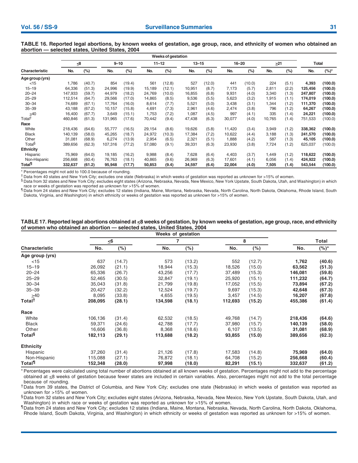#### **TABLE 16. Reported legal abortions, by known weeks of gestation, age group, race, and ethnicity of women who obtained an abortion — selected states, United States, 2004**

|                            |         | Weeks of gestation |          |        |        |           |           |        |           |        |        |        |         |         |
|----------------------------|---------|--------------------|----------|--------|--------|-----------|-----------|--------|-----------|--------|--------|--------|---------|---------|
|                            | ≤8      |                    | $9 - 10$ |        |        | $11 - 12$ | $13 - 15$ |        | $16 - 20$ |        | >21    |        | Total   |         |
| <b>Characteristic</b>      | No.     | $(\%)$             | No.      | (%)    | No.    | (%)       | No.       | $(\%)$ | No.       | $(\%)$ | No.    | $(\%)$ | No.     | $(%)^*$ |
| Age group (yrs)            |         |                    |          |        |        |           |           |        |           |        |        |        |         |         |
| $<$ 15                     | 1,786   | (40.7)             | 854      | (19.4) | 561    | (12.8)    | 527       | (12.0) | 441       | (10.0) | 224    | (5.1)  | 4,393   | (100.0) |
| $15 - 19$                  | 64,336  | (51.3)             | 24,996   | (19.9) | 15,189 | (12.1)    | 10,951    | (8.7)  | 7,173     | (5.7)  | 2,811  | (2.2)  | 125,456 | (100.0) |
| $20 - 24$                  | 147,933 | (59.7)             | 44,979   | (18.2) | 24,769 | (10.0)    | 16,855    | (6.8)  | 9,931     | (4.0)  | 3,340  | (1.3)  | 247,807 | (100.0) |
| $25 - 29$                  | 112,514 | (64.7)             | 29,566   | (17.0) | 14,865 | (8.5)     | 9,536     | (5.5)  | 5,623     | (3.2)  | 1,915  | (1.1)  | 174,019 | (100.0) |
| $30 - 34$                  | 74,689  | (67.1)             | 17,764   | (16.0) | 8,614  | (7.7)     | 5,521     | (5.0)  | 3,438     | (3.1)  | 1,344  | (1.2)  | 111,370 | (100.0) |
| $35 - 39$                  | 43,188  | (67.2)             | 10,157   | (15.8) | 4,691  | (7.3)     | 2,961     | (4.6)  | 2,474     | (3.8)  | 796    | (1.2)  | 64,267  | (100.0) |
| $\geq 40$                  | 16,400  | (67.7)             | 3,649    | (15.1) | 1,753  | (7.2)     | 1,087     | (4.5)  | 997       | (4.1)  | 335    | (1.4)  | 24,221  | (100.0) |
| Total <sup>†</sup>         | 460,846 | (61.3)             | 131,965  | (17.6) | 70,442 | (9.4)     | 47,438    | (6.3)  | 30,077    | (4.0)  | 10,765 | (1.4)  | 751,533 | (100.0) |
| Race                       |         |                    |          |        |        |           |           |        |           |        |        |        |         |         |
| White                      | 218.436 | (64.6)             | 55,777   | (16.5) | 29,154 | (8.6)     | 19,626    | (5.8)  | 11,420    | (3.4)  | 3,949  | (1.2)  | 338,362 | (100.0) |
| <b>Black</b>               | 140,139 | (58.0)             | 45,265   | (18.7) | 24,972 | (10.3)    | 17,384    | (7.2)  | 10.622    | (4.4)  | 3,188  | (1.3)  | 241,570 | (100.0) |
| Other                      | 31,081  | (68.9)             | 6,274    | (13.9) | 2,954  | (6.5)     | 2,321     | (5.1)  | 1,888     | (4.2)  | 587    | (1.3)  | 45,105  | (100.0) |
| Total <sup>§</sup>         | 389,656 | (62.3)             | 107,316  | (77.2) | 57,080 | (9.1)     | 39,331    | (6.3)  | 23,930    | (3.8)  | 7,724  | (1.2)  | 625,037 | (100.0) |
| <b>Ethnicity</b>           |         |                    |          |        |        |           |           |        |           |        |        |        |         |         |
| Hispanic                   | 75,969  | (64.0)             | 19,185   | (16.2) | 9,988  | (8.4)     | 7,628     | (6.4)  | 4,403     | (3.7)  | 1,449  | (1.2)  | 118,622 | (100.0) |
| Non-Hispanic               | 256,668 | (60.4)             | 76.763   | (18.1) | 40,865 | (9.6)     | 26,969    | (6.3)  | 17,601    | (4.1)  | 6,056  | (1.4)  | 424,922 | (100.0) |
| <b>Total</b> <sup>11</sup> | 332,637 | (61.2)             | 95,948   | (17.7) | 50,853 | (9.4)     | 34,597    | (6.4)  | 22,004    | (4.0)  | 7,505  | (1.4)  | 543,544 | (100.0) |

\* Percentages might not add to 100.0 because of rounding.

† Data from 40 states and New York City; excludes one state (Nebraska) in which weeks of gestation was reported as unknown for >15% of women.

§ Data from 32 states and New York City; excludes eight states (Arizona, Nebraska, Nevada, New Mexico, New York Upstate, South Dakota, Utah, and Washington) in which race or weeks of gestation was reported as unknown for >15% of women.

10ata from 24 states and New York City; excludes 12 states (Indiana, Maine, Montana, Nebraska, Nevada, North Carolina, North Dakota, Oklahoma, Rhode Island, South Dakota, Virginia, and Washington) in which ethnicity or weeks of gestation was reported as unknown for >15% of women.

**TABLE 17. Reported legal abortions obtained at <8 weeks of gestation, by known weeks of gestation, age group, race, and ethnicity of women who obtained an abortion — selected states, United States, 2004**

|                    |         | $\leq 6$ | 7       |        |         | 8      |         | Total   |
|--------------------|---------|----------|---------|--------|---------|--------|---------|---------|
| Characteristic     | No.     | (%)      | No.     | (%)    | No.     | $(\%)$ | No.     | $(%)^*$ |
| Age group (yrs)    |         |          |         |        |         |        |         |         |
| $<$ 15             | 637     | (14.7)   | 573     | (13.2) | 552     | (12.7) | 1,762   | (40.6)  |
| $15 - 19$          | 26,092  | (21.1)   | 18,944  | (15.3) | 18,526  | (15.0) | 63,562  | (51.3)  |
| $20 - 24$          | 65,336  | (26.7)   | 43,256  | (17.7) | 37,489  | (15.3) | 146,081 | (59.8)  |
| $25 - 29$          | 52,465  | (30.5)   | 32,847  | (19.1) | 25,920  | (15.1) | 111,232 | (64.7)  |
| $30 - 34$          | 35,043  | (31.8)   | 21,799  | (19.8) | 17,052  | (15.5) | 73,894  | (67.2)  |
| $35 - 39$          | 20,427  | (32.2)   | 12,524  | (19.7) | 9,697   | (15.3) | 42,648  | (67.3)  |
| $\geq 40$          | 8,095   | (33.8)   | 4,655   | (19.5) | 3,457   | (14.5) | 16,207  | (67.8)  |
| Total <sup>†</sup> | 208,095 | (28.1)   | 134,598 | (18.1) | 112,693 | (15.2) | 455,386 | (61.4)  |
| Race               |         |          |         |        |         |        |         |         |
| White              | 106,136 | (31.4)   | 62,532  | (18.5) | 49,768  | (14.7) | 218,436 | (64.6)  |
| <b>Black</b>       | 59,371  | (24.6)   | 42,788  | (17.7) | 37,980  | (15.7) | 140,139 | (58.0)  |
| Other              | 16,606  | (36.8)   | 8,368   | (18.6) | 6,107   | (13.5) | 31,081  | (68.9)  |
| Total§             | 182,113 | (29.1)   | 113,688 | (18.2) | 93,855  | (15.0) | 389,656 | (62.3)  |
| <b>Ethnicity</b>   |         |          |         |        |         |        |         |         |
| Hispanic           | 37,260  | (31.4)   | 21,126  | (17.8) | 17,583  | (14.8) | 75,969  | (64.0)  |
| Non-Hispanic       | 115,088 | (27.1)   | 76,872  | (18.1) | 64,708  | (15.2) | 256,668 | (60.4)  |
| Total¶             | 152,348 | (28.0)   | 97,998  | (18.0) | 82,291  | (15.1) | 332,637 | (61.2)  |

\* Percentages were calculated using total number of abortions obtained at all known weeks of gestation. Percentages might not add to the percentage obtained at  $\leq$ 8 weeks of gestation because fewer states are included in certain variables. Also, percentages might not add to the total percentage because of rounding.

†Data from 39 states, the District of Columbia, and New York City; excludes one state (Nebraska) in which weeks of gestation was reported as unknown for >15% of women.

§Data from 32 states and New York City; excludes eight states (Arizona, Nebraska, Nevada, New Mexico, New York Upstate, South Dakota, Utah, and Washington) in which race or weeks of gestation was reported as unknown for >15% of women.

¶Data from 24 states and New York City; excludes 12 states (Indiana, Maine, Montana, Nebraska, Nevada, North Carolina, North Dakota, Oklahoma, Rhode Island, South Dakota, Virginia, and Washington) in which ethnicity or weeks of gestation was reported as unknown for >15% of women.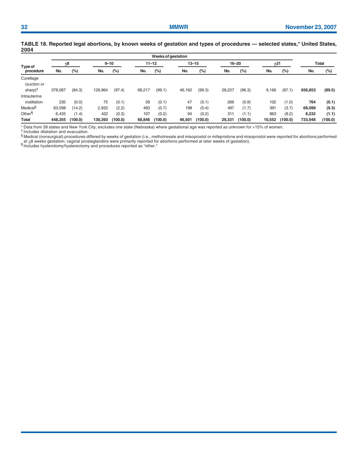|                                                 |         |         |         |                       |        | Weeks of gestation |        |         |           |         |           |         |         |         |
|-------------------------------------------------|---------|---------|---------|-----------------------|--------|--------------------|--------|---------|-----------|---------|-----------|---------|---------|---------|
| Type of                                         | ⊴8      |         |         | $11 - 12$<br>$9 - 10$ |        | $13 - 15$          |        |         | $16 - 20$ |         | $\geq$ 21 |         | Total   |         |
| procedure                                       | No.     | (%)     | No.     | $(\%)$                | No.    | $(\%)$             | No.    | (%)     | No.       | $(\%)$  | No.       | $(\%)$  | No.     | (%)     |
| Curettage<br>(suction or<br>sharp) <sup>†</sup> | 378,087 | (84.3)  | 126,964 | (97.4)                | 68,217 | (99.1)             | 46,162 | (99.3)  | 28,257    | (96.3)  | 9,166     | (87.1)  | 656,853 | (89.5)  |
| Intrauterine                                    |         |         |         |                       |        |                    |        |         |           |         |           |         |         |         |
| instillation                                    | 235     | (0.0)   | 75      | (0.1)                 | 39     | (0.1)              | 47     | (0.1)   | 266       | (0.9)   | 102       | (1.0)   | 764     | (0.1)   |
| Medical <sup>§</sup>                            | 63,598  | (14.2)  | 2,932   | (2.2)                 | 483    | (0.7)              | 198    | (0.4)   | 497       | (1.7)   | 391       | (3.7)   | 68,099  | (9.3)   |
| Other <sup>¶</sup>                              | 6,435   | (1.4)   | 422     | (0.3)                 | 107    | (0.2)              | 94     | (0.2)   | 311       | (1.1)   | 863       | (8.2)   | 8,232   | (1.1)   |
| <b>Total</b>                                    | 448,355 | (100.0) | 130,393 | (100.0)               | 68,846 | (100.0)            | 46,501 | (100.0) | 29,331    | (100.0) | 10,552    | (100.0) | 733,948 | (100.0) |

**TABLE 18. Reported legal abortions, by known weeks of gestation and types of procedures — selected states,\* United States, 2004**

\* Data from 39 states and New York City; excludes one state (Nebraska) where gestational age was reported as unknown for >15% of women.<br><sup>†</sup> Includes dilatation and evacuation.<br><sup>§</sup> Medical (nonsurgical) procedures differed at ≤8 weeks gestation; vaginal prostaglandins were primarily reported for abortions performed at later weeks of gestation).<br>¶ Includes hysterotomy/hysterectomy and procedures reported as "other."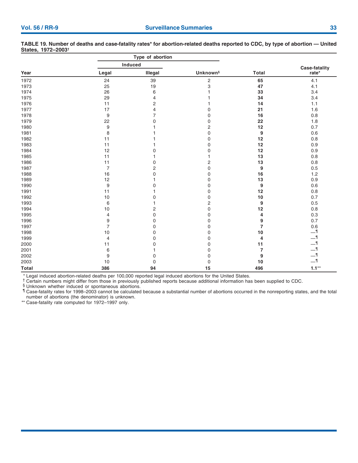|       |                | Type of abortion |                  |                |                      |
|-------|----------------|------------------|------------------|----------------|----------------------|
|       |                | Induced          |                  |                | <b>Case-fatality</b> |
| Year  | Legal          | Illegal          | <b>Unknown</b> § | <b>Total</b>   | rate*                |
| 1972  | 24             | 39               | $\sqrt{2}$       | 65             | 4.1                  |
| 1973  | 25             | 19               | 3                | 47             | 4.1                  |
| 1974  | 26             | 6                |                  | 33             | 3.4                  |
| 1975  | 29             | 4                |                  | 34             | 3.4                  |
| 1976  | 11             | 2                |                  | 14             | $1.1$                |
| 1977  | 17             | 4                | 0                | 21             | 1.6                  |
| 1978  | 9              | 7                | 0                | 16             | 0.8                  |
| 1979  | 22             | 0                | 0                | 22             | 1.8                  |
| 1980  | 9              |                  | $\overline{c}$   | 12             | 0.7                  |
| 1981  | 8              |                  | 0                | 9              | 0.6                  |
| 1982  | 11             |                  | 0                | 12             | 0.8                  |
| 1983  | 11             |                  | 0                | 12             | 0.9                  |
| 1984  | 12             | 0                | 0                | 12             | 0.9                  |
| 1985  | 11             |                  |                  | 13             | 0.8                  |
| 1986  | 11             | 0                | $\overline{c}$   | 13             | 0.8                  |
| 1987  | $\overline{7}$ | 2                | 0                | 9              | 0.5                  |
| 1988  | 16             | 0                | 0                | 16             | 1.2                  |
| 1989  | 12             |                  | 0                | 13             | 0.9                  |
| 1990  | 9              | 0                | 0                | 9              | 0.6                  |
| 1991  | 11             |                  | 0                | 12             | 0.8                  |
| 1992  | 10             | 0                | 0                | 10             | 0.7                  |
| 1993  | 6              | 1                | $\overline{c}$   | 9              | 0.5                  |
| 1994  | 10             | 2                | 0                | 12             | 0.8                  |
| 1995  | $\overline{4}$ | $\mathbf 0$      | 0                | 4              | 0.3                  |
| 1996  | 9              | 0                | 0                | 9              | 0.7                  |
| 1997  | $\overline{7}$ | 0                | 0                | $\overline{7}$ | 0.6                  |
| 1998  | 10             | 0                | $\Omega$         | 10             | $-1$                 |
| 1999  | $\overline{4}$ | 0                | 0                | 4              | $-$ 1                |
| 2000  | 11             | 0                | 0                | 11             | $-$ 1                |
| 2001  | 6              |                  | 0                | 7              | $-1$                 |
| 2002  | 9              | 0                | 0                | 9              | $-$                  |
| 2003  | 10             | 0                | $\mathbf 0$      | 10             | $-1$                 |
| Total | 386            | 94               | 15               | 496            | $1.1**$              |

|                    |  | TABLE 19. Number of deaths and case-fatality rates* for abortion-related deaths reported to CDC, by type of abortion — United |  |  |  |
|--------------------|--|-------------------------------------------------------------------------------------------------------------------------------|--|--|--|
| States, 1972–2003† |  |                                                                                                                               |  |  |  |

\* Legal induced abortion-related deaths per 100,000 reported legal induced abortions for the United States.

† Certain numbers might differ from those in previously published reports because additional information has been supplied to CDC. § Unknown whether induced or spontaneous abortions.

**The Case-fatality rates for 1998–2003** cannot be calculated because a substantial number of abortions occurred in the nonreporting states, and the total number of abortions (the denominator) is unknown.

\*\* Case-fatality rate computed for 1972–1997 only.